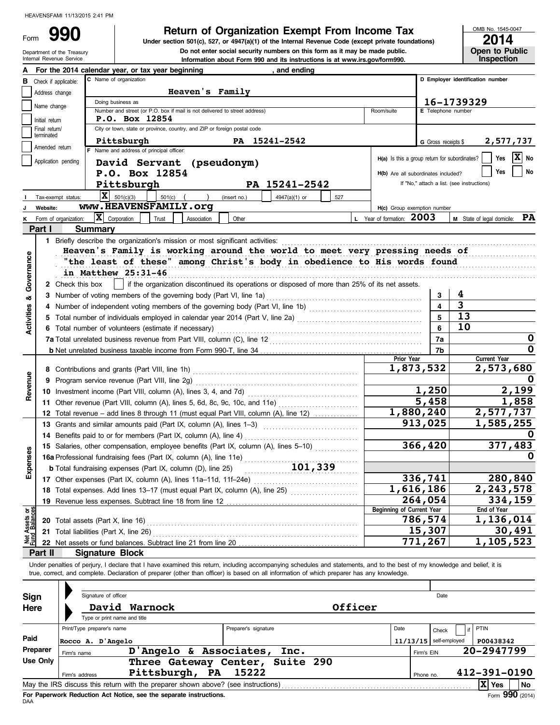Department of the Treasury Form

Do not enter social security numbers on this form as it may be made public. **990 2014 Depending Solution Staturn of Organization Exempt From Income Tax POSE No. 1545-0**<br>
Under section 501(c), 527, or 4947(a)(1) of the Internal Revenue Code (except private foundations)

OMB No. 1545-0047

| --- | --                    |
|-----|-----------------------|
|     | <b>Open to Public</b> |
|     | <b>Inspection</b>     |

|                                                                                           | Internal Revenue Service                                           |                                                |                                                                                                                                                                            |                      | Information about Form 990 and its instructions is at www.irs.gov/form990. |         |                                               |                         | <b>Inspection</b>                          |  |  |  |
|-------------------------------------------------------------------------------------------|--------------------------------------------------------------------|------------------------------------------------|----------------------------------------------------------------------------------------------------------------------------------------------------------------------------|----------------------|----------------------------------------------------------------------------|---------|-----------------------------------------------|-------------------------|--------------------------------------------|--|--|--|
|                                                                                           |                                                                    |                                                | For the 2014 calendar year, or tax year beginning                                                                                                                          |                      | , and ending                                                               |         |                                               |                         |                                            |  |  |  |
| в                                                                                         | Check if applicable:                                               |                                                | C Name of organization                                                                                                                                                     |                      |                                                                            |         |                                               |                         | D Employer identification number           |  |  |  |
|                                                                                           | Address change                                                     |                                                | Heaven's Family                                                                                                                                                            |                      |                                                                            |         |                                               |                         |                                            |  |  |  |
|                                                                                           |                                                                    |                                                | Doing business as                                                                                                                                                          |                      |                                                                            |         |                                               |                         | 16-1739329                                 |  |  |  |
|                                                                                           | Name change                                                        |                                                | Number and street (or P.O. box if mail is not delivered to street address)                                                                                                 |                      |                                                                            |         | Room/suite                                    | E Telephone number      |                                            |  |  |  |
|                                                                                           | Initial return                                                     |                                                | P.O. Box 12854                                                                                                                                                             |                      |                                                                            |         |                                               |                         |                                            |  |  |  |
| City or town, state or province, country, and ZIP or foreign postal code<br>Final return/ |                                                                    |                                                |                                                                                                                                                                            |                      |                                                                            |         |                                               |                         |                                            |  |  |  |
|                                                                                           | terminated                                                         |                                                | Pittsburgh                                                                                                                                                                 |                      | PA 15241-2542                                                              |         |                                               | G Gross receipts \$     | 2,577,737                                  |  |  |  |
|                                                                                           | Amended return                                                     |                                                | F Name and address of principal officer:                                                                                                                                   |                      |                                                                            |         |                                               |                         |                                            |  |  |  |
|                                                                                           | Application pending                                                |                                                | David Servant (pseudonym)                                                                                                                                                  |                      |                                                                            |         | H(a) Is this a group return for subordinates? |                         | $ X $ No<br>Yes                            |  |  |  |
|                                                                                           | No<br>Yes<br>P.O. Box 12854<br>H(b) Are all subordinates included? |                                                |                                                                                                                                                                            |                      |                                                                            |         |                                               |                         |                                            |  |  |  |
|                                                                                           |                                                                    |                                                | Pittsburgh                                                                                                                                                                 |                      | PA 15241-2542                                                              |         |                                               |                         | If "No," attach a list. (see instructions) |  |  |  |
|                                                                                           |                                                                    |                                                | $\mathbf{X}$ 501(c)(3)<br>$501(c)$ (                                                                                                                                       |                      |                                                                            |         |                                               |                         |                                            |  |  |  |
|                                                                                           | Tax-exempt status:                                                 |                                                | www.HEAVENSFAMILY.org                                                                                                                                                      | (insert no.)         | 4947(a)(1) or                                                              | 527     |                                               |                         |                                            |  |  |  |
|                                                                                           | Website:                                                           |                                                |                                                                                                                                                                            |                      |                                                                            |         | H(c) Group exemption number                   |                         |                                            |  |  |  |
| κ                                                                                         |                                                                    | Form of organization:                          | $ \mathbf{X} $ Corporation<br>Trust<br>Association                                                                                                                         | Other                |                                                                            |         | L Year of formation: 2003                     |                         | M State of legal domicile: PA              |  |  |  |
|                                                                                           | Part I                                                             | <b>Summary</b>                                 |                                                                                                                                                                            |                      |                                                                            |         |                                               |                         |                                            |  |  |  |
|                                                                                           |                                                                    |                                                |                                                                                                                                                                            |                      |                                                                            |         |                                               |                         |                                            |  |  |  |
|                                                                                           |                                                                    |                                                | Heaven's Family is working around the world to meet very pressing needs of                                                                                                 |                      |                                                                            |         |                                               |                         |                                            |  |  |  |
|                                                                                           |                                                                    |                                                | "the least of these" among Christ's body in obedience to His words found                                                                                                   |                      |                                                                            |         |                                               |                         |                                            |  |  |  |
|                                                                                           |                                                                    |                                                | in Matthew 25:31-46                                                                                                                                                        |                      |                                                                            |         |                                               |                         |                                            |  |  |  |
| Governance                                                                                |                                                                    |                                                | 2 Check this box     if the organization discontinued its operations or disposed of more than 25% of its net assets.                                                       |                      |                                                                            |         |                                               |                         |                                            |  |  |  |
| ಹ                                                                                         |                                                                    |                                                |                                                                                                                                                                            |                      |                                                                            |         |                                               | 3                       | 4                                          |  |  |  |
|                                                                                           |                                                                    |                                                |                                                                                                                                                                            |                      |                                                                            |         |                                               | $\overline{\mathbf{4}}$ | $\overline{\mathbf{3}}$                    |  |  |  |
|                                                                                           |                                                                    |                                                |                                                                                                                                                                            |                      |                                                                            |         |                                               | 5                       | 13                                         |  |  |  |
| Activities                                                                                |                                                                    |                                                | 6 Total number of volunteers (estimate if necessary)                                                                                                                       |                      |                                                                            |         |                                               | 6                       | 10                                         |  |  |  |
|                                                                                           |                                                                    |                                                |                                                                                                                                                                            |                      |                                                                            |         |                                               | 7a                      | 0                                          |  |  |  |
|                                                                                           |                                                                    |                                                | 7b                                                                                                                                                                         | 0                    |                                                                            |         |                                               |                         |                                            |  |  |  |
|                                                                                           |                                                                    |                                                |                                                                                                                                                                            |                      |                                                                            |         | Prior Year                                    |                         | <b>Current Year</b>                        |  |  |  |
|                                                                                           |                                                                    |                                                |                                                                                                                                                                            |                      |                                                                            |         |                                               | 1,873,532               | 2,573,680                                  |  |  |  |
| Revenue                                                                                   |                                                                    | 9 Program service revenue (Part VIII, line 2g) |                                                                                                                                                                            |                      |                                                                            |         |                                               |                         |                                            |  |  |  |
|                                                                                           |                                                                    |                                                |                                                                                                                                                                            | 1,250                | 2,199                                                                      |         |                                               |                         |                                            |  |  |  |
|                                                                                           |                                                                    |                                                |                                                                                                                                                                            |                      |                                                                            |         |                                               | 5,458                   | 1,858                                      |  |  |  |
|                                                                                           |                                                                    |                                                |                                                                                                                                                                            |                      |                                                                            |         |                                               | 1,880,240               | 2,577,737                                  |  |  |  |
|                                                                                           |                                                                    |                                                | 12 Total revenue – add lines 8 through 11 (must equal Part VIII, column (A), line 12)                                                                                      |                      |                                                                            |         |                                               | 913,025                 | 1,585,255                                  |  |  |  |
|                                                                                           |                                                                    |                                                | 13 Grants and similar amounts paid (Part IX, column (A), lines 1-3)                                                                                                        |                      |                                                                            |         |                                               |                         |                                            |  |  |  |
|                                                                                           |                                                                    |                                                | 14 Benefits paid to or for members (Part IX, column (A), line 4)                                                                                                           |                      |                                                                            |         |                                               |                         |                                            |  |  |  |
|                                                                                           |                                                                    |                                                | 15 Salaries, other compensation, employee benefits (Part IX, column (A), lines 5-10)                                                                                       |                      |                                                                            |         |                                               | 366,420                 | 377,483                                    |  |  |  |
| enses                                                                                     |                                                                    |                                                | 16a Professional fundraising fees (Part IX, column (A), line 11e)                                                                                                          |                      |                                                                            |         |                                               |                         | O                                          |  |  |  |
| Εx                                                                                        |                                                                    |                                                | <b>b</b> Total fundraising expenses (Part IX, column (D), line 25)                                                                                                         |                      | 101,339                                                                    |         |                                               |                         |                                            |  |  |  |
|                                                                                           |                                                                    |                                                | 17 Other expenses (Part IX, column (A), lines 11a-11d, 11f-24e)                                                                                                            |                      |                                                                            |         |                                               | 336,741                 | 280,840                                    |  |  |  |
|                                                                                           |                                                                    |                                                | 18 Total expenses. Add lines 13-17 (must equal Part IX, column (A), line 25)                                                                                               |                      |                                                                            |         |                                               | $\overline{1,616,186}$  | 2, 243, 578                                |  |  |  |
|                                                                                           |                                                                    |                                                | 19 Revenue less expenses. Subtract line 18 from line 12                                                                                                                    |                      |                                                                            |         |                                               | 264,054                 | 334,159                                    |  |  |  |
| Net Assets or<br>Fund Balances                                                            |                                                                    |                                                |                                                                                                                                                                            |                      |                                                                            |         | Beginning of Current Year                     |                         | End of Year                                |  |  |  |
|                                                                                           |                                                                    |                                                | 20 Total assets (Part X, line 16)                                                                                                                                          |                      |                                                                            |         |                                               | 786,574                 | 1,136,014                                  |  |  |  |
|                                                                                           |                                                                    |                                                | 21 Total liabilities (Part X, line 26)                                                                                                                                     |                      |                                                                            |         |                                               | 15,307                  | 30,491                                     |  |  |  |
|                                                                                           |                                                                    |                                                |                                                                                                                                                                            |                      |                                                                            |         |                                               | 771,267                 | 1,105,523                                  |  |  |  |
|                                                                                           | Part II                                                            |                                                | <b>Signature Block</b>                                                                                                                                                     |                      |                                                                            |         |                                               |                         |                                            |  |  |  |
|                                                                                           |                                                                    |                                                | Under penalties of perjury, I declare that I have examined this return, including accompanying schedules and statements, and to the best of my knowledge and belief, it is |                      |                                                                            |         |                                               |                         |                                            |  |  |  |
|                                                                                           |                                                                    |                                                | true, correct, and complete. Declaration of preparer (other than officer) is based on all information of which preparer has any knowledge.                                 |                      |                                                                            |         |                                               |                         |                                            |  |  |  |
|                                                                                           |                                                                    |                                                |                                                                                                                                                                            |                      |                                                                            |         |                                               |                         |                                            |  |  |  |
| <b>Sign</b>                                                                               |                                                                    |                                                | Signature of officer                                                                                                                                                       |                      |                                                                            |         |                                               | Date                    |                                            |  |  |  |
| Here                                                                                      |                                                                    |                                                | David Warnock                                                                                                                                                              |                      |                                                                            | Officer |                                               |                         |                                            |  |  |  |
|                                                                                           |                                                                    |                                                | Type or print name and title                                                                                                                                               |                      |                                                                            |         |                                               |                         |                                            |  |  |  |
|                                                                                           |                                                                    | Print/Type preparer's name                     |                                                                                                                                                                            | Preparer's signature |                                                                            |         | Date                                          | Check                   | <b>PTIN</b>                                |  |  |  |
| Paid                                                                                      |                                                                    | Rocco A. D'Angelo                              |                                                                                                                                                                            |                      |                                                                            |         | 11/13/15                                      | self-employed           | P00438342                                  |  |  |  |
|                                                                                           | Preparer                                                           |                                                | D'Angelo & Associates,                                                                                                                                                     |                      | Inc.                                                                       |         |                                               |                         | 20-2947799                                 |  |  |  |
|                                                                                           | Use Only                                                           | Firm's name                                    | Three Gateway Center,                                                                                                                                                      |                      | Suite 290                                                                  |         |                                               | Firm's EIN              |                                            |  |  |  |
|                                                                                           |                                                                    |                                                | Pittsburgh, PA                                                                                                                                                             | 15222                |                                                                            |         |                                               |                         | 412-391-0190                               |  |  |  |
|                                                                                           |                                                                    | Firm's address                                 |                                                                                                                                                                            |                      |                                                                            |         |                                               | Phone no.               |                                            |  |  |  |
|                                                                                           |                                                                    |                                                | May the IRS discuss this return with the preparer shown above? (see instructions)                                                                                          |                      |                                                                            |         |                                               |                         | $ \mathbf{X} $ Yes<br>No                   |  |  |  |

| Sign     |                                                                                       | Signature of officer                                                              |                      |      |                          |                  |  |  |  |  |
|----------|---------------------------------------------------------------------------------------|-----------------------------------------------------------------------------------|----------------------|------|--------------------------|------------------|--|--|--|--|
| Here     | Type or print name and title                                                          | David Warnock                                                                     |                      |      |                          |                  |  |  |  |  |
|          | Print/Type preparer's name                                                            |                                                                                   | Preparer's signature | Date | Check                    | <b>PTIN</b>      |  |  |  |  |
| Paid     | Rocco A. D'Angelo                                                                     |                                                                                   |                      |      | $11/13/15$ self-employed | P00438342        |  |  |  |  |
| Preparer | Firm's name                                                                           | D'Angelo & Associates,                                                            | Inc.                 |      | Firm's EIN               | 20-2947799       |  |  |  |  |
| Use Only |                                                                                       | Three Gateway Center,                                                             | Suite 290            |      |                          |                  |  |  |  |  |
|          | Pittsburgh,<br>412-391-0190<br>PA<br>15222<br>Firm's address<br>Phone no.             |                                                                                   |                      |      |                          |                  |  |  |  |  |
|          |                                                                                       | May the IRS discuss this return with the preparer shown above? (see instructions) |                      |      |                          | <b>No</b><br>Yes |  |  |  |  |
|          | Form 990 (2014)<br>For Paperwork Reduction Act Notice, see the separate instructions. |                                                                                   |                      |      |                          |                  |  |  |  |  |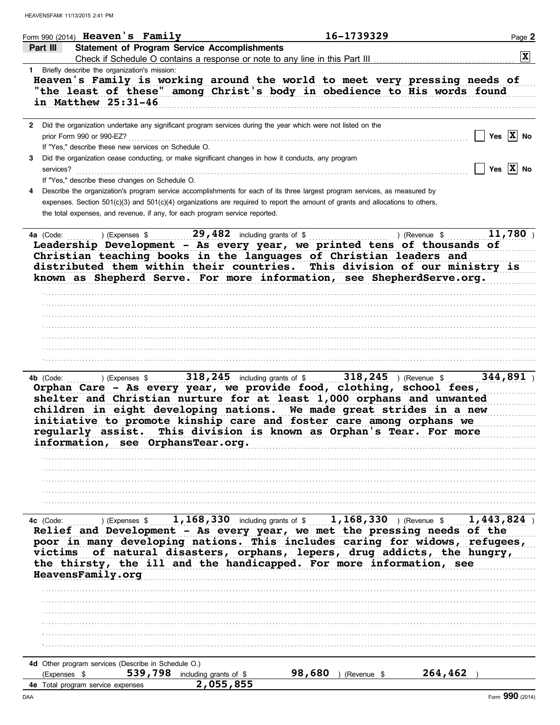|                | Form 990 $(2014)$ Heaven's Family                                                                                                                                                                                                                                                                                                                                                                                                                                      |                                                   |        | 16-1739329    |         | Page 2                |
|----------------|------------------------------------------------------------------------------------------------------------------------------------------------------------------------------------------------------------------------------------------------------------------------------------------------------------------------------------------------------------------------------------------------------------------------------------------------------------------------|---------------------------------------------------|--------|---------------|---------|-----------------------|
| Part III       | <b>Statement of Program Service Accomplishments</b>                                                                                                                                                                                                                                                                                                                                                                                                                    |                                                   |        |               |         | $ \mathbf{x} $        |
|                | Check if Schedule O contains a response or note to any line in this Part III<br>1 Briefly describe the organization's mission:                                                                                                                                                                                                                                                                                                                                         |                                                   |        |               |         |                       |
|                | Heaven's Family is working around the world to meet very pressing needs of<br>"the least of these" among Christ's body in obedience to His words found<br>in Matthew 25:31-46                                                                                                                                                                                                                                                                                          |                                                   |        |               |         |                       |
|                | 2 Did the organization undertake any significant program services during the year which were not listed on the<br>prior Form 990 or 990-EZ?                                                                                                                                                                                                                                                                                                                            |                                                   |        |               |         | Yes $ \mathbf{X} $ No |
| 3<br>services? | If "Yes," describe these new services on Schedule O.<br>Did the organization cease conducting, or make significant changes in how it conducts, any program<br>If "Yes," describe these changes on Schedule O.                                                                                                                                                                                                                                                          |                                                   |        |               |         | Yes $ \mathbf{X} $ No |
| 4              | Describe the organization's program service accomplishments for each of its three largest program services, as measured by<br>expenses. Section 501(c)(3) and 501(c)(4) organizations are required to report the amount of grants and allocations to others,<br>the total expenses, and revenue, if any, for each program service reported.                                                                                                                            |                                                   |        |               |         |                       |
| 4a (Code:      | a (Code: ) (Expenses \$29,482 including grants of \$11 ) (Revenue \$11 ) (Revenue \$11 ) (Revenue \$11 ) (Revenue \$11 ) (Revenue \$11 ) (Revenue \$11 ) (Revenue \$11 ) (Revenue \$11 ) (Revenue \$11 ) (Revenue \$11 ) (Revenue & 11 ) (<br>Christian teaching books in the languages of Christian leaders and<br>distributed them within their countries. This division of our ministry is<br>known as Shepherd Serve. For more information, see ShepherdServe.org. |                                                   |        |               |         | 11,780                |
|                |                                                                                                                                                                                                                                                                                                                                                                                                                                                                        |                                                   |        |               |         |                       |
|                |                                                                                                                                                                                                                                                                                                                                                                                                                                                                        |                                                   |        |               |         |                       |
| 4b (Code:      | b (Code: ) (Expenses \$318,245 including grants of \$318,245 ) (Revenue \$500 morphan Care - As every year, we provide food, clothing, school fees,<br>shelter and Christian nurture for at least 1,000 orphans and unwanted<br>children in eight developing nations. We made great strides in a new<br>initiative to promote kinship care and foster care among orphans we<br>regularly assist.<br>information, see OrphansTear.org.                                  | This division is known as Orphan's Tear. For more |        |               |         | 344,891               |
|                |                                                                                                                                                                                                                                                                                                                                                                                                                                                                        |                                                   |        |               |         |                       |
|                |                                                                                                                                                                                                                                                                                                                                                                                                                                                                        |                                                   |        |               |         |                       |
| 4c (Code:      | Expenses \$ 1, 168, 330 including grants of \$ 1, 168, 330 ) (Revenue \$ 1, 443, 824 )<br>Relief and Development - As every year, we met the pressing needs of the<br>poor in many developing nations. This includes caring for widows, refugees, victims of natural disasters, orphans, lepers, drug addicts, the hungry,<br>the thirsty, the ill and the handicapped. For more information, see<br>HeavensFamily.org                                                 |                                                   |        |               |         |                       |
|                |                                                                                                                                                                                                                                                                                                                                                                                                                                                                        |                                                   |        |               |         |                       |
|                |                                                                                                                                                                                                                                                                                                                                                                                                                                                                        |                                                   |        |               |         |                       |
|                |                                                                                                                                                                                                                                                                                                                                                                                                                                                                        |                                                   |        |               |         |                       |
|                |                                                                                                                                                                                                                                                                                                                                                                                                                                                                        |                                                   |        |               |         |                       |
| (Expenses \$   | 4d Other program services (Describe in Schedule O.)                                                                                                                                                                                                                                                                                                                                                                                                                    | 539,798 including grants of \$                    | 98,680 | ) (Revenue \$ | 264,462 |                       |
| DAA            | 4e Total program service expenses                                                                                                                                                                                                                                                                                                                                                                                                                                      | 2,055,855                                         |        |               |         | Form 990 (2014)       |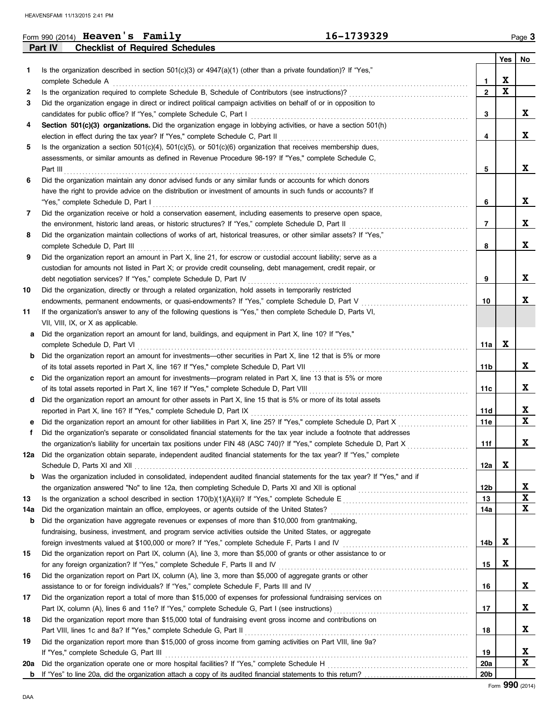|     |          | Form 990 (2014) Heaven's Family                                    |                                                                                                                      | 16-1739329                                                                                                                 |                 |             | Page 3 |
|-----|----------|--------------------------------------------------------------------|----------------------------------------------------------------------------------------------------------------------|----------------------------------------------------------------------------------------------------------------------------|-----------------|-------------|--------|
|     | Part IV  | <b>Checklist of Required Schedules</b>                             |                                                                                                                      |                                                                                                                            |                 |             |        |
|     |          |                                                                    |                                                                                                                      |                                                                                                                            |                 | Yes $ $     | No     |
| 1.  |          |                                                                    | Is the organization described in section $501(c)(3)$ or $4947(a)(1)$ (other than a private foundation)? If "Yes,"    |                                                                                                                            |                 |             |        |
|     |          | complete Schedule A                                                |                                                                                                                      |                                                                                                                            | 1               | X           |        |
| 2   |          |                                                                    | Is the organization required to complete Schedule B, Schedule of Contributors (see instructions)?                    |                                                                                                                            | $\overline{2}$  | $\mathbf x$ |        |
| 3   |          |                                                                    | Did the organization engage in direct or indirect political campaign activities on behalf of or in opposition to     |                                                                                                                            |                 |             |        |
|     |          |                                                                    | candidates for public office? If "Yes," complete Schedule C, Part I                                                  |                                                                                                                            | 3               |             | X      |
| 4   |          |                                                                    | Section 501(c)(3) organizations. Did the organization engage in lobbying activities, or have a section 501(h)        |                                                                                                                            |                 |             |        |
|     |          |                                                                    | election in effect during the tax year? If "Yes," complete Schedule C, Part II                                       |                                                                                                                            | 4               |             | X      |
| 5   |          |                                                                    | Is the organization a section $501(c)(4)$ , $501(c)(5)$ , or $501(c)(6)$ organization that receives membership dues, |                                                                                                                            |                 |             |        |
|     |          |                                                                    | assessments, or similar amounts as defined in Revenue Procedure 98-19? If "Yes," complete Schedule C,                |                                                                                                                            |                 |             |        |
|     | Part III |                                                                    |                                                                                                                      |                                                                                                                            | 5               |             | X      |
| 6   |          |                                                                    | Did the organization maintain any donor advised funds or any similar funds or accounts for which donors              |                                                                                                                            |                 |             |        |
|     |          |                                                                    | have the right to provide advice on the distribution or investment of amounts in such funds or accounts? If          |                                                                                                                            |                 |             |        |
|     |          | "Yes," complete Schedule D, Part I                                 |                                                                                                                      |                                                                                                                            | 6               |             | X      |
| 7   |          |                                                                    | Did the organization receive or hold a conservation easement, including easements to preserve open space,            |                                                                                                                            |                 |             |        |
|     |          |                                                                    | the environment, historic land areas, or historic structures? If "Yes," complete Schedule D, Part II                 |                                                                                                                            | 7               |             | X      |
| 8   |          |                                                                    | Did the organization maintain collections of works of art, historical treasures, or other similar assets? If "Yes,"  |                                                                                                                            |                 |             |        |
|     |          | complete Schedule D, Part III                                      |                                                                                                                      |                                                                                                                            | 8               |             | X      |
| 9   |          |                                                                    | Did the organization report an amount in Part X, line 21, for escrow or custodial account liability; serve as a      |                                                                                                                            |                 |             |        |
|     |          |                                                                    | custodian for amounts not listed in Part X; or provide credit counseling, debt management, credit repair, or         |                                                                                                                            |                 |             |        |
|     |          | debt negotiation services? If "Yes," complete Schedule D, Part IV  |                                                                                                                      |                                                                                                                            | 9               |             | X      |
| 10  |          |                                                                    | Did the organization, directly or through a related organization, hold assets in temporarily restricted              |                                                                                                                            |                 |             |        |
|     |          |                                                                    | endowments, permanent endowments, or quasi-endowments? If "Yes," complete Schedule D, Part V                         |                                                                                                                            | 10              |             | X      |
| 11  |          |                                                                    | If the organization's answer to any of the following questions is "Yes," then complete Schedule D, Parts VI,         |                                                                                                                            |                 |             |        |
|     |          | VII, VIII, IX, or X as applicable.                                 |                                                                                                                      |                                                                                                                            |                 |             |        |
| а   |          |                                                                    | Did the organization report an amount for land, buildings, and equipment in Part X, line 10? If "Yes,"               |                                                                                                                            |                 |             |        |
|     |          | complete Schedule D, Part VI                                       |                                                                                                                      |                                                                                                                            | 11a             | X           |        |
| b   |          |                                                                    | Did the organization report an amount for investments—other securities in Part X, line 12 that is 5% or more         |                                                                                                                            |                 |             |        |
|     |          |                                                                    | of its total assets reported in Part X, line 16? If "Yes," complete Schedule D, Part VII                             |                                                                                                                            | 11b             |             | X      |
| c   |          |                                                                    | Did the organization report an amount for investments—program related in Part X, line 13 that is 5% or more          |                                                                                                                            |                 |             |        |
|     |          |                                                                    | of its total assets reported in Part X, line 16? If "Yes," complete Schedule D, Part VIII                            |                                                                                                                            | 11c             |             | X      |
| d   |          |                                                                    | Did the organization report an amount for other assets in Part X, line 15 that is 5% or more of its total assets     |                                                                                                                            |                 |             |        |
|     |          |                                                                    | reported in Part X, line 16? If "Yes," complete Schedule D, Part IX                                                  |                                                                                                                            | 11d             |             | X      |
|     |          |                                                                    |                                                                                                                      | Did the organization report an amount for other liabilities in Part X, line 25? If "Yes," complete Schedule D, Part X      | 11e             |             | X      |
| f   |          |                                                                    |                                                                                                                      | Did the organization's separate or consolidated financial statements for the tax year include a footnote that addresses    |                 |             |        |
|     |          |                                                                    |                                                                                                                      | the organization's liability for uncertain tax positions under FIN 48 (ASC 740)? If "Yes," complete Schedule D, Part X     | 11f             |             | ᅀ      |
|     |          |                                                                    |                                                                                                                      | 12a Did the organization obtain separate, independent audited financial statements for the tax year? If "Yes," complete    |                 |             |        |
|     |          |                                                                    |                                                                                                                      |                                                                                                                            | 12a             | X           |        |
| b   |          |                                                                    |                                                                                                                      | Was the organization included in consolidated, independent audited financial statements for the tax year? If "Yes," and if |                 |             |        |
|     |          |                                                                    |                                                                                                                      |                                                                                                                            | 12b             |             | X      |
| 13  |          |                                                                    |                                                                                                                      |                                                                                                                            | 13              |             | X      |
| 14a |          |                                                                    | Did the organization maintain an office, employees, or agents outside of the United States?                          |                                                                                                                            | 14a             |             | X      |
| b   |          |                                                                    | Did the organization have aggregate revenues or expenses of more than \$10,000 from grantmaking,                     |                                                                                                                            |                 |             |        |
|     |          |                                                                    | fundraising, business, investment, and program service activities outside the United States, or aggregate            |                                                                                                                            |                 |             |        |
|     |          |                                                                    |                                                                                                                      | foreign investments valued at \$100,000 or more? If "Yes," complete Schedule F, Parts I and IV [[[[[[[[[[[[[[[             | 14b             | $\mathbf x$ |        |
| 15  |          |                                                                    | Did the organization report on Part IX, column (A), line 3, more than \$5,000 of grants or other assistance to or    |                                                                                                                            |                 |             |        |
|     |          |                                                                    | for any foreign organization? If "Yes," complete Schedule F, Parts II and IV                                         |                                                                                                                            | 15              | X           |        |
| 16  |          |                                                                    | Did the organization report on Part IX, column (A), line 3, more than \$5,000 of aggregate grants or other           |                                                                                                                            |                 |             |        |
|     |          |                                                                    | assistance to or for foreign individuals? If "Yes," complete Schedule F, Parts III and IV                            |                                                                                                                            | 16              |             | X      |
| 17  |          |                                                                    | Did the organization report a total of more than \$15,000 of expenses for professional fundraising services on       |                                                                                                                            |                 |             |        |
|     |          |                                                                    |                                                                                                                      |                                                                                                                            | 17              |             | X      |
| 18  |          |                                                                    | Did the organization report more than \$15,000 total of fundraising event gross income and contributions on          |                                                                                                                            |                 |             |        |
|     |          | Part VIII, lines 1c and 8a? If "Yes," complete Schedule G, Part II |                                                                                                                      |                                                                                                                            | 18              |             | X      |
| 19  |          |                                                                    | Did the organization report more than \$15,000 of gross income from gaming activities on Part VIII, line 9a?         |                                                                                                                            |                 |             |        |
|     |          | If "Yes," complete Schedule G, Part III                            |                                                                                                                      |                                                                                                                            | 19              |             | X      |
| 20a |          |                                                                    | Did the organization operate one or more hospital facilities? If "Yes," complete Schedule H                          |                                                                                                                            | <b>20a</b>      |             | X      |
|     |          |                                                                    |                                                                                                                      |                                                                                                                            | 20 <sub>b</sub> |             |        |

| uurl.                      |  |
|----------------------------|--|
| المماديات والمسالم المسادي |  |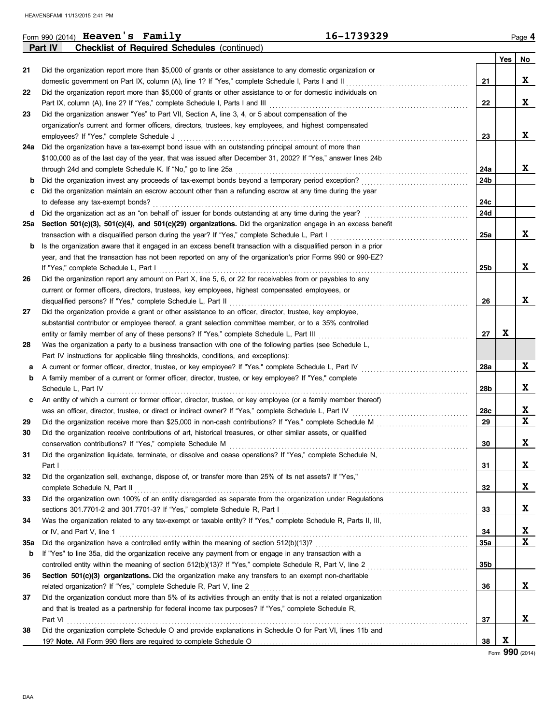|            | Form 990 $(2014)$ Heaven's Family                                                                                | 16-1739329      |     | Page 4 |  |  |  |  |  |
|------------|------------------------------------------------------------------------------------------------------------------|-----------------|-----|--------|--|--|--|--|--|
|            | <b>Checklist of Required Schedules (continued)</b><br><b>Part IV</b>                                             |                 |     |        |  |  |  |  |  |
|            |                                                                                                                  |                 | Yes | No     |  |  |  |  |  |
| 21         | Did the organization report more than \$5,000 of grants or other assistance to any domestic organization or      |                 |     |        |  |  |  |  |  |
|            | domestic government on Part IX, column (A), line 1? If "Yes," complete Schedule I, Parts I and II                | 21              |     | X      |  |  |  |  |  |
| 22         | Did the organization report more than \$5,000 of grants or other assistance to or for domestic individuals on    |                 |     |        |  |  |  |  |  |
|            |                                                                                                                  | 22              |     | X      |  |  |  |  |  |
| 23         | Did the organization answer "Yes" to Part VII, Section A, line 3, 4, or 5 about compensation of the              |                 |     |        |  |  |  |  |  |
|            | organization's current and former officers, directors, trustees, key employees, and highest compensated          |                 |     |        |  |  |  |  |  |
|            | employees? If "Yes," complete Schedule J                                                                         | 23              |     | X      |  |  |  |  |  |
| 24a        | Did the organization have a tax-exempt bond issue with an outstanding principal amount of more than              |                 |     |        |  |  |  |  |  |
|            | \$100,000 as of the last day of the year, that was issued after December 31, 2002? If "Yes," answer lines 24b    |                 |     |        |  |  |  |  |  |
|            |                                                                                                                  | 24a             |     | X      |  |  |  |  |  |
| b          |                                                                                                                  | 24b             |     |        |  |  |  |  |  |
| c          | Did the organization maintain an escrow account other than a refunding escrow at any time during the year        |                 |     |        |  |  |  |  |  |
|            | to defease any tax-exempt bonds?                                                                                 | 24c             |     |        |  |  |  |  |  |
| d          |                                                                                                                  | 24d             |     |        |  |  |  |  |  |
| 25a        | Section 501(c)(3), 501(c)(4), and 501(c)(29) organizations. Did the organization engage in an excess benefit     |                 |     |        |  |  |  |  |  |
|            | transaction with a disqualified person during the year? If "Yes," complete Schedule L, Part I                    | 25a             |     | X      |  |  |  |  |  |
| b          | Is the organization aware that it engaged in an excess benefit transaction with a disqualified person in a prior |                 |     |        |  |  |  |  |  |
|            | year, and that the transaction has not been reported on any of the organization's prior Forms 990 or 990-EZ?     |                 |     |        |  |  |  |  |  |
|            | If "Yes," complete Schedule L, Part I                                                                            | 25 <sub>b</sub> |     | X      |  |  |  |  |  |
| 26         | Did the organization report any amount on Part X, line 5, 6, or 22 for receivables from or payables to any       |                 |     |        |  |  |  |  |  |
|            | current or former officers, directors, trustees, key employees, highest compensated employees, or                |                 |     |        |  |  |  |  |  |
|            |                                                                                                                  | 26              |     | X      |  |  |  |  |  |
| 27         | Did the organization provide a grant or other assistance to an officer, director, trustee, key employee,         |                 |     |        |  |  |  |  |  |
|            | substantial contributor or employee thereof, a grant selection committee member, or to a 35% controlled          |                 |     |        |  |  |  |  |  |
|            | entity or family member of any of these persons? If "Yes," complete Schedule L, Part III [[[[[[[[[[[[[[[[[[[[    | 27              | X   |        |  |  |  |  |  |
| 28         | Was the organization a party to a business transaction with one of the following parties (see Schedule L,        |                 |     |        |  |  |  |  |  |
|            | Part IV instructions for applicable filing thresholds, conditions, and exceptions):                              |                 |     |        |  |  |  |  |  |
| а          | A current or former officer, director, trustee, or key employee? If "Yes," complete Schedule L, Part IV          | 28a             |     | X      |  |  |  |  |  |
| b          | A family member of a current or former officer, director, trustee, or key employee? If "Yes," complete           |                 |     |        |  |  |  |  |  |
|            | Schedule L, Part IV                                                                                              | 28b             |     | X      |  |  |  |  |  |
| c          | An entity of which a current or former officer, director, trustee, or key employee (or a family member thereof)  |                 |     |        |  |  |  |  |  |
|            |                                                                                                                  | 28c             |     | X      |  |  |  |  |  |
| 29         |                                                                                                                  | 29              |     | X      |  |  |  |  |  |
| 30         | Did the organization receive contributions of art, historical treasures, or other similar assets, or qualified   |                 |     |        |  |  |  |  |  |
|            | conservation contributions? If "Yes," complete Schedule M                                                        | 30              |     | X      |  |  |  |  |  |
| 31         | Did the organization liquidate, terminate, or dissolve and cease operations? If "Yes," complete Schedule N,      |                 |     |        |  |  |  |  |  |
|            |                                                                                                                  | 31              |     | X      |  |  |  |  |  |
| 32         | Did the organization sell, exchange, dispose of, or transfer more than 25% of its net assets? If "Yes,"          |                 |     |        |  |  |  |  |  |
|            | complete Schedule N, Part II                                                                                     | 32              |     | X      |  |  |  |  |  |
| 33         | Did the organization own 100% of an entity disregarded as separate from the organization under Regulations       |                 |     |        |  |  |  |  |  |
|            |                                                                                                                  | 33              |     | X      |  |  |  |  |  |
| 34         | Was the organization related to any tax-exempt or taxable entity? If "Yes," complete Schedule R, Parts II, III,  |                 |     |        |  |  |  |  |  |
|            | or IV, and Part V, line 1                                                                                        | 34              |     | X      |  |  |  |  |  |
| <b>35a</b> |                                                                                                                  | 35a             |     | X      |  |  |  |  |  |
| b          | If "Yes" to line 35a, did the organization receive any payment from or engage in any transaction with a          |                 |     |        |  |  |  |  |  |
|            |                                                                                                                  | 35 <sub>b</sub> |     |        |  |  |  |  |  |
| 36         | Section 501(c)(3) organizations. Did the organization make any transfers to an exempt non-charitable             |                 |     |        |  |  |  |  |  |
|            |                                                                                                                  | 36              |     | X      |  |  |  |  |  |
| 37         | Did the organization conduct more than 5% of its activities through an entity that is not a related organization |                 |     |        |  |  |  |  |  |
|            | and that is treated as a partnership for federal income tax purposes? If "Yes," complete Schedule R,             |                 |     |        |  |  |  |  |  |
|            | Part VI                                                                                                          | 37              |     | X      |  |  |  |  |  |
| 38         | Did the organization complete Schedule O and provide explanations in Schedule O for Part VI, lines 11b and       |                 |     |        |  |  |  |  |  |
|            |                                                                                                                  | 38              | X   |        |  |  |  |  |  |

Form **990** (2014)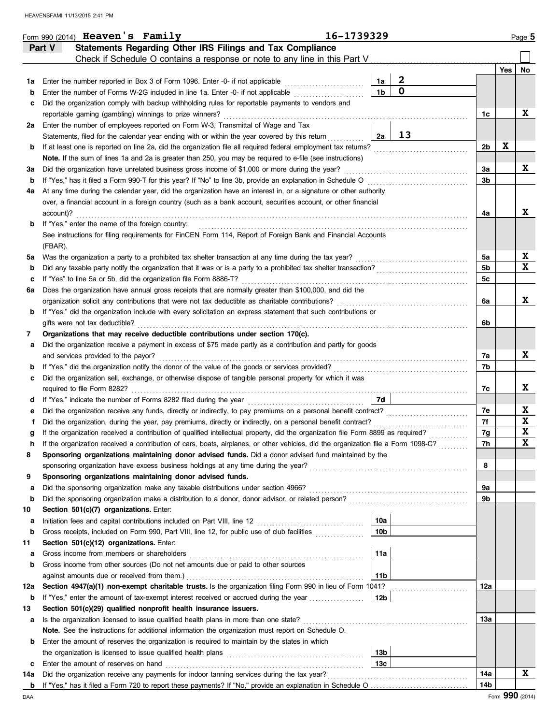|         | Form 990 (2014) Heaven's Family                                                                                                                                                                                           | 16-1739329 |                 |                  |                      |     | Page 5      |
|---------|---------------------------------------------------------------------------------------------------------------------------------------------------------------------------------------------------------------------------|------------|-----------------|------------------|----------------------|-----|-------------|
|         | Statements Regarding Other IRS Filings and Tax Compliance<br>Part V                                                                                                                                                       |            |                 |                  |                      |     |             |
|         | Check if Schedule O contains a response or note to any line in this Part V                                                                                                                                                |            |                 |                  |                      |     |             |
|         |                                                                                                                                                                                                                           |            |                 |                  |                      | Yes | No          |
| 1a      | Enter the number reported in Box 3 of Form 1096. Enter -0- if not applicable                                                                                                                                              |            | 1a              | $\boldsymbol{2}$ |                      |     |             |
| b       | Enter the number of Forms W-2G included in line 1a. Enter -0- if not applicable                                                                                                                                           |            | 1 <sub>b</sub>  | $\mathbf 0$      |                      |     |             |
| c       | Did the organization comply with backup withholding rules for reportable payments to vendors and                                                                                                                          |            |                 |                  |                      |     |             |
|         | reportable gaming (gambling) winnings to prize winners?                                                                                                                                                                   |            |                 |                  | 1c                   |     | X           |
| 2a      | Enter the number of employees reported on Form W-3, Transmittal of Wage and Tax                                                                                                                                           |            |                 |                  |                      |     |             |
|         | Statements, filed for the calendar year ending with or within the year covered by this return                                                                                                                             |            | 2a              | 13               |                      |     |             |
| b       | If at least one is reported on line 2a, did the organization file all required federal employment tax returns?                                                                                                            |            |                 |                  | 2b                   | X   |             |
|         | Note. If the sum of lines 1a and 2a is greater than 250, you may be required to e-file (see instructions)                                                                                                                 |            |                 |                  |                      |     |             |
| За      | Did the organization have unrelated business gross income of \$1,000 or more during the year?                                                                                                                             |            |                 |                  | За                   |     | X           |
| b       | If "Yes," has it filed a Form 990-T for this year? If "No" to line 3b, provide an explanation in Schedule O                                                                                                               |            |                 |                  | 3b                   |     |             |
| 4a      | At any time during the calendar year, did the organization have an interest in, or a signature or other authority                                                                                                         |            |                 |                  |                      |     |             |
|         | over, a financial account in a foreign country (such as a bank account, securities account, or other financial                                                                                                            |            |                 |                  |                      |     | X           |
|         | account)?                                                                                                                                                                                                                 |            |                 |                  | 4a                   |     |             |
| b       | If "Yes," enter the name of the foreign country:                                                                                                                                                                          |            |                 |                  |                      |     |             |
|         | See instructions for filing requirements for FinCEN Form 114, Report of Foreign Bank and Financial Accounts                                                                                                               |            |                 |                  |                      |     |             |
|         | (FBAR).                                                                                                                                                                                                                   |            |                 |                  |                      |     | X           |
| 5a      | Was the organization a party to a prohibited tax shelter transaction at any time during the tax year?<br>Did any taxable party notify the organization that it was or is a party to a prohibited tax shelter transaction? |            |                 |                  | 5a<br>5 <sub>b</sub> |     | X           |
| b       | If "Yes" to line 5a or 5b, did the organization file Form 8886-T?                                                                                                                                                         |            |                 |                  | 5c                   |     |             |
| c<br>6a | Does the organization have annual gross receipts that are normally greater than \$100,000, and did the                                                                                                                    |            |                 |                  |                      |     |             |
|         | organization solicit any contributions that were not tax deductible as charitable contributions?                                                                                                                          |            |                 |                  | 6а                   |     | X           |
| b       | If "Yes," did the organization include with every solicitation an express statement that such contributions or                                                                                                            |            |                 |                  |                      |     |             |
|         | gifts were not tax deductible?                                                                                                                                                                                            |            |                 |                  | 6b                   |     |             |
| 7       | Organizations that may receive deductible contributions under section 170(c).                                                                                                                                             |            |                 |                  |                      |     |             |
| а       | Did the organization receive a payment in excess of \$75 made partly as a contribution and partly for goods                                                                                                               |            |                 |                  |                      |     |             |
|         | and services provided to the payor?                                                                                                                                                                                       |            |                 |                  | 7а                   |     | X           |
| b       | If "Yes," did the organization notify the donor of the value of the goods or services provided?<br>If "Yes," did the organization notify the donor of the value of the goods or services provided?                        |            |                 |                  | 7b                   |     |             |
| c       | Did the organization sell, exchange, or otherwise dispose of tangible personal property for which it was                                                                                                                  |            |                 |                  |                      |     |             |
|         |                                                                                                                                                                                                                           |            |                 |                  | 7с                   |     | X           |
| d       |                                                                                                                                                                                                                           |            | 7d              |                  |                      |     |             |
| е       | Did the organization receive any funds, directly or indirectly, to pay premiums on a personal benefit contract?                                                                                                           |            |                 |                  | 7е                   |     | X           |
|         | Did the organization, during the year, pay premiums, directly or indirectly, on a personal benefit contract?                                                                                                              |            |                 |                  | 7f                   |     | X           |
|         | If the organization received a contribution of qualified intellectual property, did the organization file Form 8899 as required?                                                                                          |            |                 |                  | 7g                   |     | X           |
| n       | If the organization received a contribution of cars, boats, airplanes, or other vehicles, did the organization file a Form 1098-C?                                                                                        |            |                 |                  | 7 <sub>h</sub>       |     | $\mathbf x$ |
| 8       | Sponsoring organizations maintaining donor advised funds. Did a donor advised fund maintained by the                                                                                                                      |            |                 |                  |                      |     |             |
|         | sponsoring organization have excess business holdings at any time during the year?                                                                                                                                        |            |                 |                  | 8                    |     |             |
| 9       | Sponsoring organizations maintaining donor advised funds.                                                                                                                                                                 |            |                 |                  |                      |     |             |
| а       | Did the sponsoring organization make any taxable distributions under section 4966?                                                                                                                                        |            |                 |                  | 9а                   |     |             |
| b       | Did the sponsoring organization make a distribution to a donor, donor advisor, or related person?                                                                                                                         |            |                 |                  | 9b                   |     |             |
| 10      | Section 501(c)(7) organizations. Enter:                                                                                                                                                                                   |            |                 |                  |                      |     |             |
| а       |                                                                                                                                                                                                                           |            | 10a             |                  |                      |     |             |
| b       | Gross receipts, included on Form 990, Part VIII, line 12, for public use of club facilities                                                                                                                               |            | 10 <sub>b</sub> |                  |                      |     |             |
| 11      | Section 501(c)(12) organizations. Enter:                                                                                                                                                                                  |            |                 |                  |                      |     |             |
| а       | Gross income from members or shareholders                                                                                                                                                                                 |            | 11a             |                  |                      |     |             |
| b       | Gross income from other sources (Do not net amounts due or paid to other sources                                                                                                                                          |            |                 |                  |                      |     |             |
|         | against amounts due or received from them.)                                                                                                                                                                               |            | 11 <sub>b</sub> |                  |                      |     |             |
| 12a     | Section 4947(a)(1) non-exempt charitable trusts. Is the organization filing Form 990 in lieu of Form 1041?                                                                                                                |            |                 |                  | 12a                  |     |             |
| b       | If "Yes," enter the amount of tax-exempt interest received or accrued during the year                                                                                                                                     |            | 12b             |                  |                      |     |             |
| 13      | Section 501(c)(29) qualified nonprofit health insurance issuers.                                                                                                                                                          |            |                 |                  |                      |     |             |
| а       | Is the organization licensed to issue qualified health plans in more than one state?<br>Note. See the instructions for additional information the organization must report on Schedule O.                                 |            |                 |                  | 13а                  |     |             |
| b       | Enter the amount of reserves the organization is required to maintain by the states in which                                                                                                                              |            |                 |                  |                      |     |             |
|         | the organization is licensed to issue qualified health plans [11] contained a contained in the organization is                                                                                                            |            | 13b             |                  |                      |     |             |
| c       | Enter the amount of reserves on hand                                                                                                                                                                                      |            | 13c             |                  |                      |     |             |
| 14a     | Did the organization receive any payments for indoor tanning services during the tax year?                                                                                                                                |            |                 |                  | 14a                  |     | X           |
|         |                                                                                                                                                                                                                           |            |                 |                  | 14b                  |     |             |
|         |                                                                                                                                                                                                                           |            |                 |                  |                      |     |             |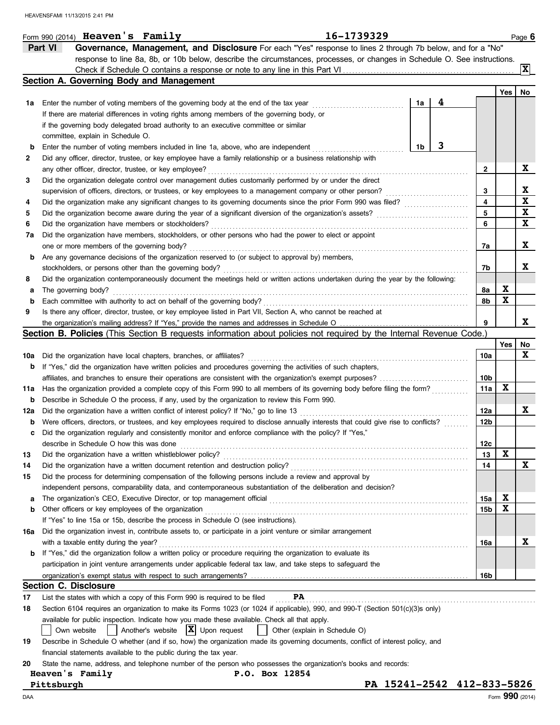|             | Part VI<br>Governance, Management, and Disclosure For each "Yes" response to lines 2 through 7b below, and for a "No"               |    |   |        |             |                  |  |  |  |  |
|-------------|-------------------------------------------------------------------------------------------------------------------------------------|----|---|--------|-------------|------------------|--|--|--|--|
|             | response to line 8a, 8b, or 10b below, describe the circumstances, processes, or changes in Schedule O. See instructions.           |    |   |        |             |                  |  |  |  |  |
|             |                                                                                                                                     |    |   |        |             | $ \mathbf{x} $   |  |  |  |  |
|             | Section A. Governing Body and Management                                                                                            |    |   |        | Yes         | No               |  |  |  |  |
| 1a          | Enter the number of voting members of the governing body at the end of the tax year                                                 | 1a | 4 |        |             |                  |  |  |  |  |
|             | If there are material differences in voting rights among members of the governing body, or                                          |    |   |        |             |                  |  |  |  |  |
|             | if the governing body delegated broad authority to an executive committee or similar                                                |    |   |        |             |                  |  |  |  |  |
|             | committee, explain in Schedule O.                                                                                                   |    |   |        |             |                  |  |  |  |  |
| b           | 3<br>1b<br>Enter the number of voting members included in line 1a, above, who are independent                                       |    |   |        |             |                  |  |  |  |  |
| 2           | Did any officer, director, trustee, or key employee have a family relationship or a business relationship with                      |    |   |        |             |                  |  |  |  |  |
|             | any other officer, director, trustee, or key employee?                                                                              |    |   | 2      |             | X                |  |  |  |  |
| 3           | Did the organization delegate control over management duties customarily performed by or under the direct                           |    |   |        |             |                  |  |  |  |  |
|             | supervision of officers, directors, or trustees, or key employees to a management company or other person?                          |    |   |        |             |                  |  |  |  |  |
| 4           |                                                                                                                                     |    | . | 3<br>4 |             | X<br>$\mathbf x$ |  |  |  |  |
| 5           |                                                                                                                                     |    |   | 5      |             | X                |  |  |  |  |
| 6           | Did the organization have members or stockholders?                                                                                  |    |   | 6      |             | $\mathbf x$      |  |  |  |  |
| 7а          | Did the organization have members, stockholders, or other persons who had the power to elect or appoint                             |    |   |        |             |                  |  |  |  |  |
|             | one or more members of the governing body?                                                                                          |    |   | 7a     |             | X                |  |  |  |  |
| b           | Are any governance decisions of the organization reserved to (or subject to approval by) members,                                   |    |   |        |             |                  |  |  |  |  |
|             | stockholders, or persons other than the governing body?                                                                             |    |   | 7b     |             | X                |  |  |  |  |
| 8           | Did the organization contemporaneously document the meetings held or written actions undertaken during the year by the following:   |    |   |        |             |                  |  |  |  |  |
| а           | The governing body?                                                                                                                 |    |   | 8а     | X           |                  |  |  |  |  |
| $\mathbf b$ | Each committee with authority to act on behalf of the governing body?                                                               |    |   | 8b     | $\mathbf x$ |                  |  |  |  |  |
| 9           | Is there any officer, director, trustee, or key employee listed in Part VII, Section A, who cannot be reached at                    |    |   |        |             |                  |  |  |  |  |
|             |                                                                                                                                     |    |   | 9      |             | X                |  |  |  |  |
|             | Section B. Policies (This Section B requests information about policies not required by the Internal Revenue Code.)                 |    |   |        |             |                  |  |  |  |  |
|             |                                                                                                                                     |    |   |        | Yes         | No               |  |  |  |  |
| 10a         | Did the organization have local chapters, branches, or affiliates?                                                                  |    |   | 10a    |             | X                |  |  |  |  |
| b           | If "Yes," did the organization have written policies and procedures governing the activities of such chapters,                      |    |   |        |             |                  |  |  |  |  |
|             | affiliates, and branches to ensure their operations are consistent with the organization's exempt purposes?                         |    |   | 10b    |             |                  |  |  |  |  |
| 11a         | Has the organization provided a complete copy of this Form 990 to all members of its governing body before filing the form?         |    |   | 11a    | X           |                  |  |  |  |  |
| b           | Describe in Schedule O the process, if any, used by the organization to review this Form 990.                                       |    |   |        |             |                  |  |  |  |  |
| 12a         | Did the organization have a written conflict of interest policy? If "No," go to line 13                                             |    |   | 12a    |             | X                |  |  |  |  |
| b           | Were officers, directors, or trustees, and key employees required to disclose annually interests that could give rise to conflicts? |    |   | 12b    |             |                  |  |  |  |  |
| c           | Did the organization regularly and consistently monitor and enforce compliance with the policy? If "Yes,"                           |    |   |        |             |                  |  |  |  |  |
|             | describe in Schedule O how this was done                                                                                            |    |   | 12c    |             |                  |  |  |  |  |
|             | Did the organization have a written whistleblower policy?                                                                           |    |   | 13     | X           |                  |  |  |  |  |
| 14          | Did the organization have a written document retention and destruction policy?                                                      |    |   | 14     |             | X                |  |  |  |  |
| 15          | Did the process for determining compensation of the following persons include a review and approval by                              |    |   |        |             |                  |  |  |  |  |
|             | independent persons, comparability data, and contemporaneous substantiation of the deliberation and decision?                       |    |   |        |             |                  |  |  |  |  |
| а           |                                                                                                                                     |    |   | 15a    | X           |                  |  |  |  |  |
| b           | Other officers or key employees of the organization                                                                                 |    |   | 15b    | X           |                  |  |  |  |  |
|             | If "Yes" to line 15a or 15b, describe the process in Schedule O (see instructions).                                                 |    |   |        |             |                  |  |  |  |  |
| 16a         | Did the organization invest in, contribute assets to, or participate in a joint venture or similar arrangement                      |    |   |        |             |                  |  |  |  |  |
|             | with a taxable entity during the year?                                                                                              |    |   | 16a    |             | X                |  |  |  |  |
| b           | If "Yes," did the organization follow a written policy or procedure requiring the organization to evaluate its                      |    |   |        |             |                  |  |  |  |  |
|             | participation in joint venture arrangements under applicable federal tax law, and take steps to safeguard the                       |    |   |        |             |                  |  |  |  |  |
|             |                                                                                                                                     |    |   | 16b    |             |                  |  |  |  |  |
|             | <b>Section C. Disclosure</b>                                                                                                        |    |   |        |             |                  |  |  |  |  |
| 17          | <b>PA</b><br>List the states with which a copy of this Form 990 is required to be filed                                             |    |   |        |             |                  |  |  |  |  |
| 18          | Section 6104 requires an organization to make its Forms 1023 (or 1024 if applicable), 990, and 990-T (Section 501(c)(3)s only)      |    |   |        |             |                  |  |  |  |  |
|             | available for public inspection. Indicate how you made these available. Check all that apply.                                       |    |   |        |             |                  |  |  |  |  |
|             | $\vert$ Another's website $\mathbf{X}$ Upon request<br>Other (explain in Schedule O)<br>Own website                                 |    |   |        |             |                  |  |  |  |  |
| 19          | Describe in Schedule O whether (and if so, how) the organization made its governing documents, conflict of interest policy, and     |    |   |        |             |                  |  |  |  |  |
|             | financial statements available to the public during the tax year.                                                                   |    |   |        |             |                  |  |  |  |  |
| 20          | State the name, address, and telephone number of the person who possesses the organization's books and records:                     |    |   |        |             |                  |  |  |  |  |
|             | Heaven's Family<br>P.O. Box 12854                                                                                                   |    |   |        |             |                  |  |  |  |  |
|             | PA 15241-2542 412-833-5826<br>Pittsburgh                                                                                            |    |   |        |             |                  |  |  |  |  |
| DAA         |                                                                                                                                     |    |   |        |             | Form 990 (2014)  |  |  |  |  |

Form 990 (2014) Page **6 Heaven's Family 16-1739329**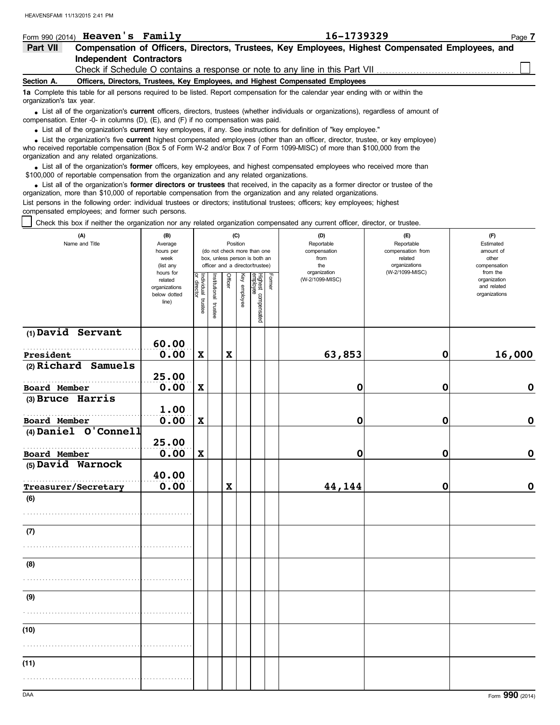|                                                                                                                                                               | Form 990 (2014) Heaven's Family                                                                                                                                                                                                  |                                                                                 | 16-1739329                                                                                       | Page 7 |  |  |  |  |  |  |
|---------------------------------------------------------------------------------------------------------------------------------------------------------------|----------------------------------------------------------------------------------------------------------------------------------------------------------------------------------------------------------------------------------|---------------------------------------------------------------------------------|--------------------------------------------------------------------------------------------------|--------|--|--|--|--|--|--|
| Part VII                                                                                                                                                      |                                                                                                                                                                                                                                  |                                                                                 | Compensation of Officers, Directors, Trustees, Key Employees, Highest Compensated Employees, and |        |  |  |  |  |  |  |
|                                                                                                                                                               | Independent Contractors                                                                                                                                                                                                          |                                                                                 |                                                                                                  |        |  |  |  |  |  |  |
|                                                                                                                                                               | Check if Schedule O contains a response or note to any line in this Part VII <i>concerential</i>                                                                                                                                 |                                                                                 |                                                                                                  |        |  |  |  |  |  |  |
| Section A.                                                                                                                                                    |                                                                                                                                                                                                                                  | Officers, Directors, Trustees, Key Employees, and Highest Compensated Employees |                                                                                                  |        |  |  |  |  |  |  |
| 1a Complete this table for all persons required to be listed. Report compensation for the calendar year ending with or within the<br>organization's tax year. |                                                                                                                                                                                                                                  |                                                                                 |                                                                                                  |        |  |  |  |  |  |  |
|                                                                                                                                                               | • List all of the organization's current officers, directors, trustees (whether individuals or organizations), regardless of amount of<br>compensation. Enter -0- in columns (D), $(E)$ , and $(F)$ if no compensation was paid. |                                                                                 |                                                                                                  |        |  |  |  |  |  |  |

List all of the organization's **current** key employees, if any. See instructions for definition of "key employee."

who received reportable compensation (Box 5 of Form W-2 and/or Box 7 of Form 1099-MISC) of more than \$100,000 from the organization and any related organizations. • List all of the organization's **current** key employees, if any. See instructions for definition of "key employee."<br>• List the organization's five **current** highest compensated employees (other than an officer, director,

• List all of the organization's **former** officers, key employees, and highest compensated employees who received more than<br>00,000 of reportable compensation from the organization and any related organizations \$100,000 of reportable compensation from the organization and any related organizations.

• List all of the organization's **former directors or trustees** that received, in the capacity as a former director or trustee of the property of the capacity as a former director or trustee of the property of the organiza organization, more than \$10,000 of reportable compensation from the organization and any related organizations. List persons in the following order: individual trustees or directors; institutional trustees; officers; key employees; highest compensated employees; and former such persons.

Check this box if neither the organization nor any related organization compensated any current officer, director, or trustee.

| (A)<br>(B)<br>Name and Title<br>Average |                               | (C)<br>Position                   |                      |             |              |                                                              |               | (D)<br>Reportable    | (E)<br>Reportable                | (F)<br>Estimated             |  |  |
|-----------------------------------------|-------------------------------|-----------------------------------|----------------------|-------------|--------------|--------------------------------------------------------------|---------------|----------------------|----------------------------------|------------------------------|--|--|
|                                         | hours per<br>week             |                                   |                      |             |              | (do not check more than one<br>box, unless person is both an |               | compensation<br>from | compensation from<br>related     | amount of<br>other           |  |  |
|                                         | (list any<br>hours for        |                                   |                      |             |              | officer and a director/trustee)                              |               | the<br>organization  | organizations<br>(W-2/1099-MISC) | compensation<br>from the     |  |  |
|                                         | related                       | Individual trustee<br>or director |                      | Officer     |              |                                                              | <b>Former</b> | (W-2/1099-MISC)      |                                  | organization                 |  |  |
|                                         | organizations<br>below dotted |                                   |                      |             | Key employee |                                                              |               |                      |                                  | and related<br>organizations |  |  |
|                                         | line)                         |                                   | nstitutional trustee |             |              | Highest compensated<br>employee                              |               |                      |                                  |                              |  |  |
|                                         |                               |                                   |                      |             |              |                                                              |               |                      |                                  |                              |  |  |
| $(1)$ David Servant                     |                               |                                   |                      |             |              |                                                              |               |                      |                                  |                              |  |  |
|                                         | 60.00                         |                                   |                      |             |              |                                                              |               |                      |                                  |                              |  |  |
| President                               | 0.00                          | $\boldsymbol{\mathrm{X}}$         |                      | $\mathbf x$ |              |                                                              |               | 63,853               | $\mathbf 0$                      | 16,000                       |  |  |
| (2) Richard Samuels                     | 25.00                         |                                   |                      |             |              |                                                              |               |                      |                                  |                              |  |  |
| Board Member                            | 0.00                          | $\boldsymbol{\mathrm{X}}$         |                      |             |              |                                                              |               | $\mathbf 0$          | $\mathbf 0$                      | $\mathbf{o}$                 |  |  |
| (3) Bruce Harris                        |                               |                                   |                      |             |              |                                                              |               |                      |                                  |                              |  |  |
|                                         | 1.00                          |                                   |                      |             |              |                                                              |               |                      |                                  |                              |  |  |
| Board Member                            | 0.00                          | $\pmb{\mathsf{X}}$                |                      |             |              |                                                              |               | 0                    | 0                                | $\mathbf 0$                  |  |  |
| (4) Daniel O'Connell                    |                               |                                   |                      |             |              |                                                              |               |                      |                                  |                              |  |  |
| Board Member                            | 25.00<br>0.00                 | $\mathbf x$                       |                      |             |              |                                                              |               | $\mathbf 0$          | $\mathbf 0$                      | $\mathbf 0$                  |  |  |
| (5) David Warnock                       |                               |                                   |                      |             |              |                                                              |               |                      |                                  |                              |  |  |
|                                         | 40.00                         |                                   |                      |             |              |                                                              |               |                      |                                  |                              |  |  |
| Treasurer/Secretary                     | 0.00                          |                                   |                      | $\mathbf x$ |              |                                                              |               | 44,144               | 0                                | $\mathbf 0$                  |  |  |
| (6)                                     |                               |                                   |                      |             |              |                                                              |               |                      |                                  |                              |  |  |
|                                         |                               |                                   |                      |             |              |                                                              |               |                      |                                  |                              |  |  |
| (7)                                     |                               |                                   |                      |             |              |                                                              |               |                      |                                  |                              |  |  |
|                                         |                               |                                   |                      |             |              |                                                              |               |                      |                                  |                              |  |  |
|                                         |                               |                                   |                      |             |              |                                                              |               |                      |                                  |                              |  |  |
| (8)                                     |                               |                                   |                      |             |              |                                                              |               |                      |                                  |                              |  |  |
|                                         |                               |                                   |                      |             |              |                                                              |               |                      |                                  |                              |  |  |
| (9)                                     |                               |                                   |                      |             |              |                                                              |               |                      |                                  |                              |  |  |
|                                         |                               |                                   |                      |             |              |                                                              |               |                      |                                  |                              |  |  |
|                                         |                               |                                   |                      |             |              |                                                              |               |                      |                                  |                              |  |  |
| (10)                                    |                               |                                   |                      |             |              |                                                              |               |                      |                                  |                              |  |  |
|                                         |                               |                                   |                      |             |              |                                                              |               |                      |                                  |                              |  |  |
| (11)                                    |                               |                                   |                      |             |              |                                                              |               |                      |                                  |                              |  |  |
|                                         |                               |                                   |                      |             |              |                                                              |               |                      |                                  |                              |  |  |
|                                         |                               |                                   |                      |             |              |                                                              |               |                      |                                  |                              |  |  |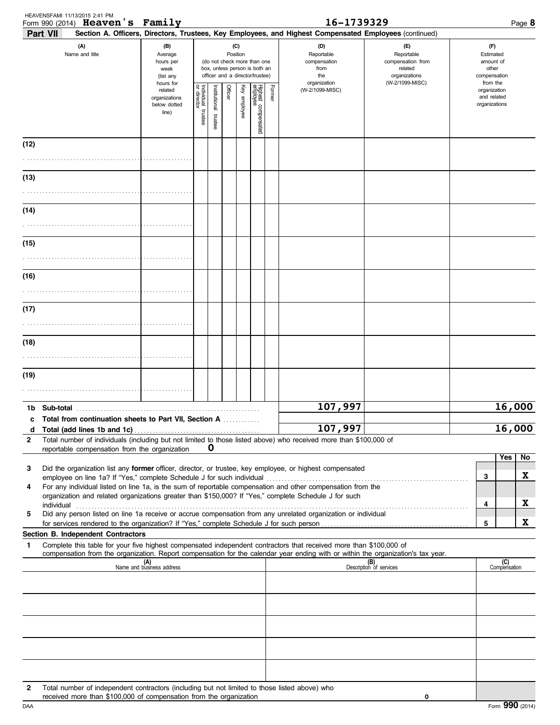|                                                                                       | HEAVENSFAMI 11/13/2015 2:41 PM<br>Form 990 (2014) Heaven's Family                                                                                                                                                                                                                                                                |                                                                                                                    |                                        |                       |         |                                                  |                                 |                                                                                                                                                                              | 16-1739329                                             |                                |                                                          |                     | Page 8  |
|---------------------------------------------------------------------------------------|----------------------------------------------------------------------------------------------------------------------------------------------------------------------------------------------------------------------------------------------------------------------------------------------------------------------------------|--------------------------------------------------------------------------------------------------------------------|----------------------------------------|-----------------------|---------|--------------------------------------------------|---------------------------------|------------------------------------------------------------------------------------------------------------------------------------------------------------------------------|--------------------------------------------------------|--------------------------------|----------------------------------------------------------|---------------------|---------|
| Part VII<br>(A)<br>(B)<br>Name and title<br>Average<br>hours per<br>week<br>(list any |                                                                                                                                                                                                                                                                                                                                  | (C)<br>Position<br>(do not check more than one<br>box, unless person is both an<br>officer and a director/trustee) |                                        |                       |         | (D)<br>Reportable<br>compensation<br>from<br>the |                                 | Section A. Officers, Directors, Trustees, Key Employees, and Highest Compensated Employees (continued)<br>(E)<br>Reportable<br>compensation from<br>related<br>organizations | (F)<br>Estimated<br>amount of<br>other<br>compensation |                                |                                                          |                     |         |
|                                                                                       |                                                                                                                                                                                                                                                                                                                                  | hours for<br>related<br>organizations<br>below dotted<br>line)                                                     | Individual 1<br>or director<br>trustee | Institutional trustee | Officer | Key employee                                     | Highest compensated<br>employee | Former                                                                                                                                                                       | organization<br>(W-2/1099-MISC)                        | (W-2/1099-MISC)                | from the<br>organization<br>and related<br>organizations |                     |         |
| (12)                                                                                  |                                                                                                                                                                                                                                                                                                                                  |                                                                                                                    |                                        |                       |         |                                                  |                                 |                                                                                                                                                                              |                                                        |                                |                                                          |                     |         |
| (13)                                                                                  |                                                                                                                                                                                                                                                                                                                                  |                                                                                                                    |                                        |                       |         |                                                  |                                 |                                                                                                                                                                              |                                                        |                                |                                                          |                     |         |
| (14)                                                                                  |                                                                                                                                                                                                                                                                                                                                  |                                                                                                                    |                                        |                       |         |                                                  |                                 |                                                                                                                                                                              |                                                        |                                |                                                          |                     |         |
| (15)                                                                                  |                                                                                                                                                                                                                                                                                                                                  |                                                                                                                    |                                        |                       |         |                                                  |                                 |                                                                                                                                                                              |                                                        |                                |                                                          |                     |         |
| (16)                                                                                  |                                                                                                                                                                                                                                                                                                                                  |                                                                                                                    |                                        |                       |         |                                                  |                                 |                                                                                                                                                                              |                                                        |                                |                                                          |                     |         |
| (17)                                                                                  |                                                                                                                                                                                                                                                                                                                                  |                                                                                                                    |                                        |                       |         |                                                  |                                 |                                                                                                                                                                              |                                                        |                                |                                                          |                     |         |
| (18)                                                                                  |                                                                                                                                                                                                                                                                                                                                  |                                                                                                                    |                                        |                       |         |                                                  |                                 |                                                                                                                                                                              |                                                        |                                |                                                          |                     |         |
| (19)                                                                                  |                                                                                                                                                                                                                                                                                                                                  |                                                                                                                    |                                        |                       |         |                                                  |                                 |                                                                                                                                                                              |                                                        |                                |                                                          |                     |         |
|                                                                                       |                                                                                                                                                                                                                                                                                                                                  |                                                                                                                    |                                        |                       |         |                                                  |                                 |                                                                                                                                                                              |                                                        |                                |                                                          |                     |         |
| d                                                                                     | c Total from continuation sheets to Part VII, Section A                                                                                                                                                                                                                                                                          |                                                                                                                    |                                        |                       |         |                                                  |                                 |                                                                                                                                                                              | 107,997<br>107,997                                     |                                | 16,000<br>16,000                                         |                     |         |
| $\mathbf{2}$                                                                          | Total number of individuals (including but not limited to those listed above) who received more than \$100,000 of<br>reportable compensation from the organization                                                                                                                                                               |                                                                                                                    |                                        | O                     |         |                                                  |                                 |                                                                                                                                                                              |                                                        |                                |                                                          |                     |         |
| 3<br>4                                                                                | Did the organization list any former officer, director, or trustee, key employee, or highest compensated<br>employee on line 1a? If "Yes," complete Schedule J for such individual<br>For any individual listed on line 1a, is the sum of reportable compensation and other compensation from the                                |                                                                                                                    |                                        |                       |         |                                                  |                                 |                                                                                                                                                                              |                                                        |                                | 3                                                        | Yes                 | No<br>X |
| 5                                                                                     | organization and related organizations greater than \$150,000? If "Yes," complete Schedule J for such<br>individual<br>Did any person listed on line 1a receive or accrue compensation from any unrelated organization or individual<br>for services rendered to the organization? If "Yes," complete Schedule J for such person |                                                                                                                    |                                        |                       |         |                                                  |                                 |                                                                                                                                                                              |                                                        |                                | 4<br>5                                                   |                     | X<br>X  |
|                                                                                       | Section B. Independent Contractors                                                                                                                                                                                                                                                                                               |                                                                                                                    |                                        |                       |         |                                                  |                                 |                                                                                                                                                                              |                                                        |                                |                                                          |                     |         |
| 1                                                                                     | Complete this table for your five highest compensated independent contractors that received more than \$100,000 of<br>compensation from the organization. Report compensation for the calendar year ending with or within the organization's tax year.                                                                           |                                                                                                                    |                                        |                       |         |                                                  |                                 |                                                                                                                                                                              |                                                        |                                |                                                          |                     |         |
|                                                                                       |                                                                                                                                                                                                                                                                                                                                  | Name and business address                                                                                          |                                        |                       |         |                                                  |                                 |                                                                                                                                                                              |                                                        | (B)<br>Description of services |                                                          | (C)<br>Compensation |         |
|                                                                                       |                                                                                                                                                                                                                                                                                                                                  |                                                                                                                    |                                        |                       |         |                                                  |                                 |                                                                                                                                                                              |                                                        |                                |                                                          |                     |         |
|                                                                                       |                                                                                                                                                                                                                                                                                                                                  |                                                                                                                    |                                        |                       |         |                                                  |                                 |                                                                                                                                                                              |                                                        |                                |                                                          |                     |         |
|                                                                                       |                                                                                                                                                                                                                                                                                                                                  |                                                                                                                    |                                        |                       |         |                                                  |                                 |                                                                                                                                                                              |                                                        |                                |                                                          |                     |         |
| 2                                                                                     | Total number of independent contractors (including but not limited to those listed above) who<br>received more than \$100,000 of compensation from the organization                                                                                                                                                              |                                                                                                                    |                                        |                       |         |                                                  |                                 |                                                                                                                                                                              |                                                        | 0                              |                                                          |                     |         |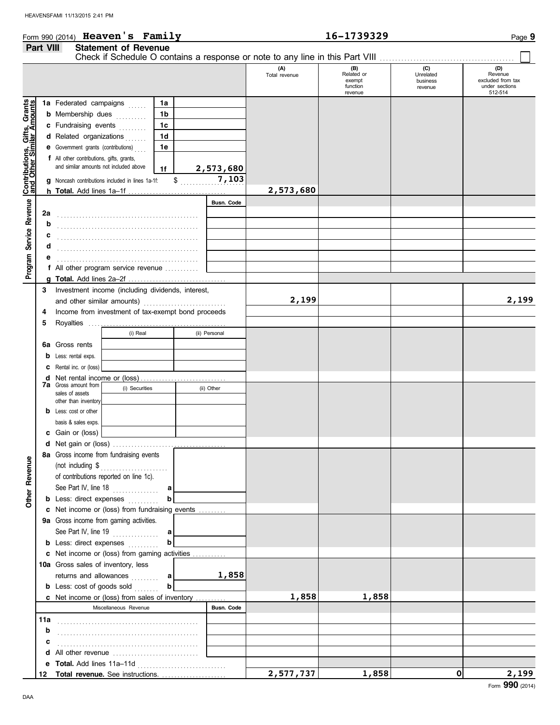#### **Part VIII Statement of Revenue** Check if Schedule O contains a response or note to any line in this Part VIII. **(A) (B) (C) (D)** Unrelated<br>business Total revenue Related or Unrelated Revenue excluded from tax exempt function under sections revenue 512-514 revenue , Gifts, Grants<br>milar Amounts **Contributions, Gifts, Grants and Other Similar Amounts 1a** Federated campaigns ..... **1a 1b b** Membership dues **........**.. **1c c** Fundraising events **. . . . . . . 1d d** Related organizations **......** |Contributions, Gif<br>|and Other Similar **1e e** Government grants (contributions) . . . . **f** All other contributions, gifts, grants, and similar amounts not included above **2,573,680 1f 7,103** \$ . . . . . . . . . . . . . . . . . . . . . **g** Noncash contributions included in lines 1a-1f: **2,573,680 h Total.** Add lines 1a–1f . . . . . . . . . . . . . . . . . . . . . . . . . . . . . . . . Program Service Revenue **Busn. Code Program Service Revenue 2a** . . . . . . . . . . . . . . . . . . . . . . . . . . . . . . . . . . . . . . . . . . . . . . **b c** . . . . . . . . . . . . . . . . . . . . . . . . . . . . . . . . . . . . . . . . . . . . . . **d** . . . . . . . . . . . . . . . . . . . . . . . . . . . . . . . . . . . . . . . . . . . . . . **e** . . . . . . . . . . . . . . . . . . . . . . . . . . . . . . . . . . . . . . . . . . . . . . **f** All other program service revenue . . . . . . . . . . . **g Total.** Add lines 2a–2f . . . . . . . . . . . . . . . . . . . . . . . . . . . . . . . . **3** Investment income (including dividends, interest, and other similar amounts) . . . . . . . . . . . . . . . . . . . . . . . . . . . **2,199 2,199** Income from investment of tax-exempt bond proceeds **4 5** Royalties .... (i) Real (ii) Personal **6a** Gross rents **b** Less: rental exps. **c** Rental inc. or (loss) **d** Net rental income or (loss) . . . . . . . . . . . . . . . . . . . . . . . . . . . . **7a** Gross amount from (i) Securities (ii) Other sales of assets other than inventory **b** Less: cost or other basis & sales exps. **c** Gain or (loss) **d** Net gain or (loss) . . . . . . . . . . . . . . . . . . . . . . . . . . . . . . . . . . . . . **8a** Gross income from fundraising events **Other Revenue Other Revenue** (not including \$ . . . . . . . . . . . . . . . . . . . . . . of contributions reported on line 1c). See Part IV, line 18 . . . . . . . . . . . . . . . **a b b** Less: direct expenses . . . . . . . . . **c** Net income or (loss) from fundraising events . . . . . . . . . Gross income from gaming activities. **9a** See Part IV, line 19 . . . . . . . . . . . . . . . **a b b** Less: direct expenses . . . . . . . . . Net income or (loss) from gaming activities . . . . . . . . . . . **c** 10a Gross sales of inventory, less returns and allowances ......... **1,858 a b b** Less: cost of goods sold . . . . . . . **1,858 1,858** Net income or (loss) from sales of inventory . . . . . . . . . . **c** Miscellaneous Revenue **Busn. Code 11a** . . . . . . . . . . . . . . . . . . . . . . . . . . . . . . . . . . . . . . . . . . . . . . **b** . . . . . . . . . . . . . . . . . . . . . . . . . . . . . . . . . . . . . . . . . . . . . . **c d** All other revenue ............................. **e Total.** Add lines 11a–11d . . . . . . . . . . . . . . . . . . . . . . . . . . . . . **2,577,737 1,858 0 2,199 Total revenue.** See instructions. . . . . . . . . . . . . . . . . . . . . . **12**

Form 990 (2014) Page **9 Heaven's Family 16-1739329**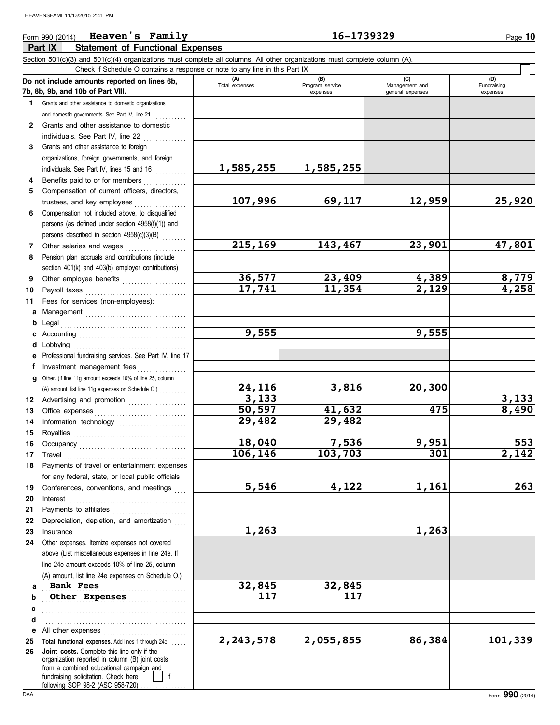#### **Part IX Statement of Functional Expenses** Form 990 (2014) Page **10 Heaven's Family 16-1739329** Section 501(c)(3) and 501(c)(4) organizations must complete all columns. All other organizations must complete column (A). **Do not include amounts reported on lines 6b, 7b, 8b, 9b, and 10b of Part VIII. 1** Grants and other assistance to domestic organizations **(A) (B) (C) (D)** Total expenses Program service Management and expenses general expenses Check if Schedule O contains a response or note to any line in this Part IX . . . . . . . . . . . . . . . . . . . . . . . . . . . . . . . . . . . . . . . . . . . . . . . . . . . . . . . . . . . . . . . . . . .

| 1.           | Grants and other assistance to domestic organizations     |                        |           |        |                    |
|--------------|-----------------------------------------------------------|------------------------|-----------|--------|--------------------|
|              | and domestic governments. See Part IV, line 21            |                        |           |        |                    |
| $\mathbf{2}$ | Grants and other assistance to domestic                   |                        |           |        |                    |
|              | individuals. See Part IV, line 22                         |                        |           |        |                    |
| 3            | Grants and other assistance to foreign                    |                        |           |        |                    |
|              | organizations, foreign governments, and foreign           |                        |           |        |                    |
|              | individuals. See Part IV, lines 15 and 16                 | 1,585,255              | 1,585,255 |        |                    |
| 4            | Benefits paid to or for members                           |                        |           |        |                    |
| 5            | Compensation of current officers, directors,              |                        |           |        |                    |
|              | trustees, and key employees                               | 107,996                | 69,117    | 12,959 | 25,920             |
| 6            | Compensation not included above, to disqualified          |                        |           |        |                    |
|              | persons (as defined under section 4958(f)(1)) and         |                        |           |        |                    |
|              | persons described in section 4958(c)(3)(B)                |                        |           |        |                    |
| $7^{\circ}$  | Other salaries and wages                                  | 215,169                | 143,467   | 23,901 | 47,801             |
| 8            | Pension plan accruals and contributions (include          |                        |           |        |                    |
|              | section 401(k) and 403(b) employer contributions)         |                        |           |        |                    |
| 9            |                                                           | 36,577                 | 23,409    | 4,389  | 8,779              |
|              | Other employee benefits                                   | 17,741                 | 11,354    | 2,129  | $\overline{4,258}$ |
| 10           | Payroll taxes                                             |                        |           |        |                    |
| 11           | Fees for services (non-employees):                        |                        |           |        |                    |
| a            |                                                           |                        |           |        |                    |
| b            | Legal                                                     | 9,555                  |           |        |                    |
|              |                                                           |                        |           | 9,555  |                    |
| d            | Lobbying                                                  |                        |           |        |                    |
| е            | Professional fundraising services. See Part IV, line 17   |                        |           |        |                    |
| f            | Investment management fees                                |                        |           |        |                    |
| a            | Other. (If line 11g amount exceeds 10% of line 25, column |                        |           |        |                    |
|              |                                                           | $\frac{24,116}{3,133}$ | 3,816     | 20,300 |                    |
| 12           | Advertising and promotion                                 |                        |           |        | 3,133              |
| 13           | Office expenses                                           | 50,597                 | 41,632    | 475    | 8,490              |
| 14           |                                                           | 29,482                 | 29,482    |        |                    |
| 15           |                                                           |                        |           |        |                    |
| 16           |                                                           | 18,040                 | 7,536     | 9,951  | 553                |
| 17           | Travel                                                    | 106,146                | 103,703   | 301    | $\overline{2,142}$ |
| 18           | Payments of travel or entertainment expenses              |                        |           |        |                    |
|              | for any federal, state, or local public officials         |                        |           |        |                    |
| 19           | Conferences, conventions, and meetings                    | 5,546                  | 4,122     | 1,161  | 263                |
| 20           |                                                           |                        |           |        |                    |
| 21           | Payments to affiliates                                    |                        |           |        |                    |
| 22           | Depreciation, depletion, and amortization                 |                        |           |        |                    |
| 23           | Insurance                                                 | 1,263                  |           | 1,263  |                    |
| 24           | Other expenses. Itemize expenses not covered              |                        |           |        |                    |
|              | above (List miscellaneous expenses in line 24e. If        |                        |           |        |                    |
|              | line 24e amount exceeds 10% of line 25, column            |                        |           |        |                    |
|              | (A) amount, list line 24e expenses on Schedule O.)        |                        |           |        |                    |
| a            | <b>Bank Fees</b>                                          | 32,845                 | 32,845    |        |                    |
| b            | Other Expenses                                            | 117                    | 117       |        |                    |
| c            |                                                           |                        |           |        |                    |
| d            |                                                           |                        |           |        |                    |
|              | .<br>e All other expenses                                 |                        |           |        |                    |
| 25           | Total functional expenses. Add lines 1 through 24e        | 2, 243, 578            | 2,055,855 | 86,384 | 101,339            |
| 26           | Joint costs. Complete this line only if the               |                        |           |        |                    |
|              | organization reported in column (B) joint costs           |                        |           |        |                    |
|              | from a combined educational campaign and                  |                        |           |        |                    |
|              | fundraising solicitation. Check here<br>if                |                        |           |        |                    |
| DAA          | following SOP 98-2 (ASC 958-720)                          |                        |           |        | Form 990 (2014)    |
|              |                                                           |                        |           |        |                    |

(D)<br>Fundraising expenses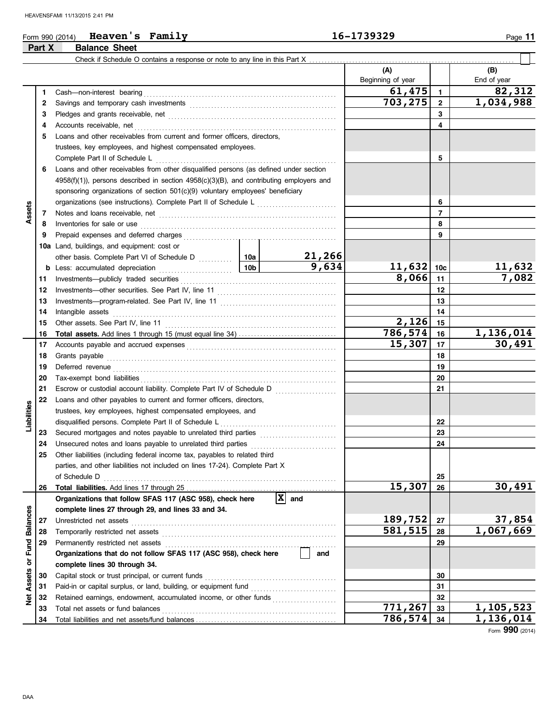### Form 990 (2014) Page **11 Heaven's Family 16-1739329 Part X Balance Sheet**

|                 |    | Check if Schedule O contains a response or note to any line in this Part X                                                                                                                                                     |                 |                                |                          |                |                        |
|-----------------|----|--------------------------------------------------------------------------------------------------------------------------------------------------------------------------------------------------------------------------------|-----------------|--------------------------------|--------------------------|----------------|------------------------|
|                 |    |                                                                                                                                                                                                                                |                 |                                | (A)<br>Beginning of year |                | (B)<br>End of year     |
|                 | 1  | Cash-non-interest bearing                                                                                                                                                                                                      |                 |                                | 61,475                   | $\mathbf{1}$   | 82,312                 |
|                 | 2  | Savings and temporary cash investments [111] [11] contract the same state of the same state of the same state of the state of the state of the state of the state of the state of the state of the state of the state of the s |                 |                                | 703,275                  | $\mathbf{2}$   | 1,034,988              |
|                 | З  | Pledges and grants receivable, net manufactured and state and grants receivable, net                                                                                                                                           |                 |                                |                          | 3              |                        |
|                 | 4  | Accounts receivable, net                                                                                                                                                                                                       |                 |                                |                          | 4              |                        |
|                 | 5  | Loans and other receivables from current and former officers, directors,                                                                                                                                                       |                 |                                |                          |                |                        |
|                 |    | trustees, key employees, and highest compensated employees.                                                                                                                                                                    |                 |                                |                          |                |                        |
|                 |    | Complete Part II of Schedule L                                                                                                                                                                                                 |                 |                                |                          | 5              |                        |
|                 | 6  | Loans and other receivables from other disqualified persons (as defined under section                                                                                                                                          |                 |                                |                          |                |                        |
|                 |    | $4958(f)(1)$ ), persons described in section $4958(c)(3)(B)$ , and contributing employers and                                                                                                                                  |                 |                                |                          |                |                        |
|                 |    | sponsoring organizations of section 501(c)(9) voluntary employees' beneficiary                                                                                                                                                 |                 |                                |                          |                |                        |
|                 |    |                                                                                                                                                                                                                                |                 |                                |                          | 6              |                        |
| Assets          | 7  |                                                                                                                                                                                                                                |                 |                                |                          | $\overline{7}$ |                        |
|                 | 8  | Inventories for sale or use                                                                                                                                                                                                    |                 |                                |                          | 8              |                        |
|                 | 9  | Prepaid expenses and deferred charges                                                                                                                                                                                          |                 |                                |                          | 9              |                        |
|                 |    | 10a Land, buildings, and equipment: cost or                                                                                                                                                                                    |                 |                                |                          |                |                        |
|                 |    | other basis. Complete Part VI of Schedule D [100]                                                                                                                                                                              |                 | 21,266                         |                          |                |                        |
|                 | b  | Less: accumulated depreciation                                                                                                                                                                                                 | 10 <sub>b</sub> | 9,634                          | 11,632                   | 10c            | <u>11,632</u>          |
|                 | 11 | Investments-publicly traded securities                                                                                                                                                                                         |                 |                                | 8,066                    | 11             | 7,082                  |
|                 | 12 |                                                                                                                                                                                                                                |                 |                                |                          | 12             |                        |
|                 | 13 |                                                                                                                                                                                                                                |                 |                                |                          | 13             |                        |
|                 | 14 | Intangible assets                                                                                                                                                                                                              |                 |                                |                          | 14             |                        |
|                 | 15 | Other assets. See Part IV, line 11                                                                                                                                                                                             |                 |                                | 2,126                    | 15             |                        |
|                 | 16 |                                                                                                                                                                                                                                |                 |                                | 786,574                  | 16             | 1,136,014              |
|                 | 17 |                                                                                                                                                                                                                                |                 | 15,307                         | 17                       | 30,491         |                        |
|                 | 18 |                                                                                                                                                                                                                                |                 | 18                             |                          |                |                        |
|                 | 19 | Deferred revenue                                                                                                                                                                                                               |                 |                                | 19                       |                |                        |
|                 | 20 | Tax-exempt bond liabilities                                                                                                                                                                                                    |                 |                                | 20                       |                |                        |
|                 | 21 |                                                                                                                                                                                                                                |                 | 21                             |                          |                |                        |
|                 | 22 | Loans and other payables to current and former officers, directors,                                                                                                                                                            |                 |                                |                          |                |                        |
| Liabilities     |    | trustees, key employees, highest compensated employees, and                                                                                                                                                                    |                 |                                |                          |                |                        |
|                 |    | disqualified persons. Complete Part II of Schedule L                                                                                                                                                                           |                 |                                |                          | 22             |                        |
|                 | 23 | Secured mortgages and notes payable to unrelated third parties [111] [11] Secured mortgages and notes payable to unrelated third parties [11] Annumental mortgages and notes payable to unrelated mortgages and mortgages and  |                 |                                |                          | 23             |                        |
|                 | 24 | Unsecured notes and loans payable to unrelated third parties                                                                                                                                                                   |                 |                                |                          | 24             |                        |
|                 | 25 | Other liabilities (including federal income tax, payables to related third                                                                                                                                                     |                 |                                |                          |                |                        |
|                 |    | parties, and other liabilities not included on lines 17-24). Complete Part X                                                                                                                                                   |                 |                                |                          |                |                        |
|                 |    | of Schedule D                                                                                                                                                                                                                  |                 |                                |                          | 25             |                        |
|                 | 26 |                                                                                                                                                                                                                                |                 |                                | 15,307                   | 26             | 30,491                 |
|                 |    | Organizations that follow SFAS 117 (ASC 958), check here                                                                                                                                                                       |                 | $\overline{\mathbf{x}}$<br>and |                          |                |                        |
|                 |    | complete lines 27 through 29, and lines 33 and 34.                                                                                                                                                                             |                 |                                |                          |                |                        |
| <b>Balances</b> | 27 | Unrestricted net assets                                                                                                                                                                                                        |                 |                                | 189,752                  | 27             | 37,854                 |
|                 | 28 | Temporarily restricted net assets                                                                                                                                                                                              |                 |                                | 581,515                  | 28             | $\overline{1,067,669}$ |
|                 | 29 | Permanently restricted net assets                                                                                                                                                                                              |                 |                                |                          | 29             |                        |
|                 |    | Organizations that do not follow SFAS 117 (ASC 958), check here                                                                                                                                                                | and             |                                |                          |                |                        |
| Assets or Fund  |    | complete lines 30 through 34.                                                                                                                                                                                                  |                 |                                |                          |                |                        |
|                 | 30 | Capital stock or trust principal, or current funds                                                                                                                                                                             |                 |                                |                          | 30             |                        |
|                 | 31 | Paid-in or capital surplus, or land, building, or equipment fund                                                                                                                                                               |                 |                                |                          | 31             |                        |
| ğ               | 32 | Retained earnings, endowment, accumulated income, or other funds                                                                                                                                                               |                 |                                |                          | 32             |                        |
|                 | 33 | Total net assets or fund balances                                                                                                                                                                                              | 771,267         | 33                             | 1,105,523                |                |                        |
|                 | 34 |                                                                                                                                                                                                                                |                 |                                | 786,574                  | 34             | 1,136,014              |

Form **990** (2014)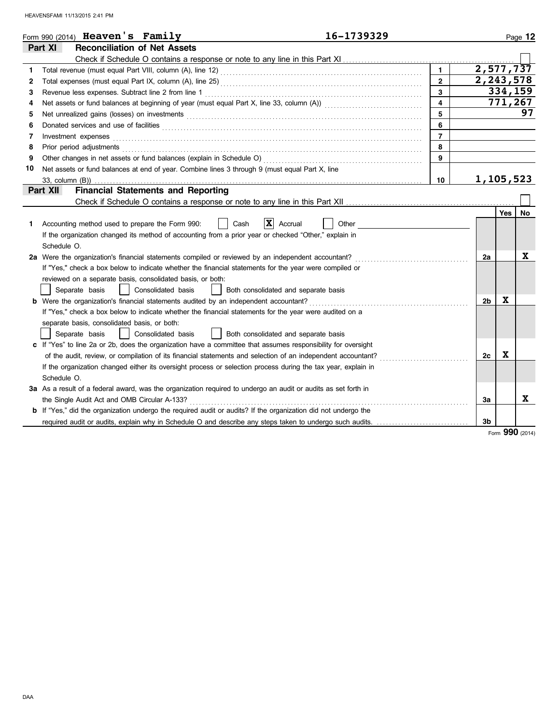|    | 16-1739329<br>Form 990 (2014) Heaven's Family                                                                                                                                                                                        |                         |                |         | Page 12   |
|----|--------------------------------------------------------------------------------------------------------------------------------------------------------------------------------------------------------------------------------------|-------------------------|----------------|---------|-----------|
|    | Part XI<br><b>Reconciliation of Net Assets</b>                                                                                                                                                                                       |                         |                |         |           |
|    |                                                                                                                                                                                                                                      |                         |                |         |           |
| 1  |                                                                                                                                                                                                                                      | $\blacksquare$          | 2,577,737      |         |           |
| 2  |                                                                                                                                                                                                                                      | $\mathbf{2}$            | 2,243,578      |         |           |
| 3  |                                                                                                                                                                                                                                      | 3                       |                | 334,159 |           |
| 4  |                                                                                                                                                                                                                                      | $\overline{\mathbf{4}}$ |                | 771,267 |           |
| 5  |                                                                                                                                                                                                                                      | 5                       |                |         | 97        |
| 6  | Donated services and use of facilities <b>constant of the constant of the constant of the constant of the constant of the constant of the constant of the constant of the constant of the constant of the constant of the consta</b> | 6                       |                |         |           |
| 7  | Investment expenses                                                                                                                                                                                                                  | $\overline{7}$          |                |         |           |
| 8  | Prior period adjustments                                                                                                                                                                                                             | 8                       |                |         |           |
| 9  |                                                                                                                                                                                                                                      | 9                       |                |         |           |
| 10 | Net assets or fund balances at end of year. Combine lines 3 through 9 (must equal Part X, line                                                                                                                                       |                         |                |         |           |
|    | 33, column (B))                                                                                                                                                                                                                      | 10                      | 1,105,523      |         |           |
|    | Part XII<br><b>Financial Statements and Reporting</b>                                                                                                                                                                                |                         |                |         |           |
|    |                                                                                                                                                                                                                                      |                         |                |         |           |
|    |                                                                                                                                                                                                                                      |                         |                | Yes     | <b>No</b> |
| 1. | $X$ Accrual<br>Cash<br>Other<br>Accounting method used to prepare the Form 990:                                                                                                                                                      |                         |                |         |           |
|    | If the organization changed its method of accounting from a prior year or checked "Other," explain in                                                                                                                                |                         |                |         |           |
|    | Schedule O.                                                                                                                                                                                                                          |                         |                |         |           |
|    | 2a Were the organization's financial statements compiled or reviewed by an independent accountant?                                                                                                                                   |                         | 2a             |         | X         |
|    | If "Yes," check a box below to indicate whether the financial statements for the year were compiled or                                                                                                                               |                         |                |         |           |
|    | reviewed on a separate basis, consolidated basis, or both:                                                                                                                                                                           |                         |                |         |           |
|    | Separate basis<br>Consolidated basis<br>Both consolidated and separate basis                                                                                                                                                         |                         |                |         |           |
|    | <b>b</b> Were the organization's financial statements audited by an independent accountant?                                                                                                                                          |                         | 2 <sub>b</sub> | X       |           |
|    | If "Yes," check a box below to indicate whether the financial statements for the year were audited on a                                                                                                                              |                         |                |         |           |
|    | separate basis, consolidated basis, or both:                                                                                                                                                                                         |                         |                |         |           |
|    | Consolidated basis<br>Separate basis<br>Both consolidated and separate basis                                                                                                                                                         |                         |                |         |           |
|    | c If "Yes" to line 2a or 2b, does the organization have a committee that assumes responsibility for oversight                                                                                                                        |                         |                |         |           |
|    | of the audit, review, or compilation of its financial statements and selection of an independent accountant?<br>.                                                                                                                    |                         | 2c             | X       |           |
|    | If the organization changed either its oversight process or selection process during the tax year, explain in                                                                                                                        |                         |                |         |           |
|    | Schedule O.                                                                                                                                                                                                                          |                         |                |         |           |
|    | 3a As a result of a federal award, was the organization required to undergo an audit or audits as set forth in                                                                                                                       |                         |                |         |           |
|    | the Single Audit Act and OMB Circular A-133?                                                                                                                                                                                         |                         | Зa             |         | X         |
|    | <b>b</b> If "Yes," did the organization undergo the required audit or audits? If the organization did not undergo the                                                                                                                |                         |                |         |           |
|    | required audit or audits, explain why in Schedule O and describe any steps taken to undergo such audits.                                                                                                                             |                         | 3 <sub>b</sub> |         |           |

Form **990** (2014)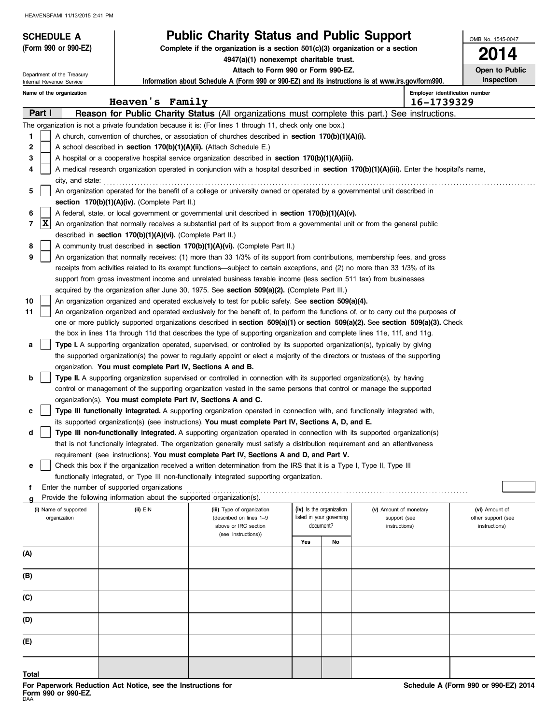| <b>SCHEDULE A</b>                                                                                       |                                                                                                                                                                                                                                                         | <b>Public Charity Status and Public Support</b>                                                                                                                                                                                                  |     |                          |                        | OMB No. 1545-0047              |  |  |
|---------------------------------------------------------------------------------------------------------|---------------------------------------------------------------------------------------------------------------------------------------------------------------------------------------------------------------------------------------------------------|--------------------------------------------------------------------------------------------------------------------------------------------------------------------------------------------------------------------------------------------------|-----|--------------------------|------------------------|--------------------------------|--|--|
| (Form 990 or 990-EZ)                                                                                    |                                                                                                                                                                                                                                                         | Complete if the organization is a section $501(c)(3)$ organization or a section                                                                                                                                                                  |     |                          |                        | 14                             |  |  |
|                                                                                                         |                                                                                                                                                                                                                                                         | 4947(a)(1) nonexempt charitable trust.<br>Attach to Form 990 or Form 990-EZ.                                                                                                                                                                     |     |                          |                        | Open to Public                 |  |  |
| Department of the Treasury<br>Internal Revenue Service                                                  |                                                                                                                                                                                                                                                         | Information about Schedule A (Form 990 or 990-EZ) and its instructions is at www.irs.gov/form990.                                                                                                                                                |     |                          |                        | Inspection                     |  |  |
| Name of the organization                                                                                |                                                                                                                                                                                                                                                         |                                                                                                                                                                                                                                                  |     |                          |                        | Employer identification number |  |  |
|                                                                                                         | Heaven's Family                                                                                                                                                                                                                                         |                                                                                                                                                                                                                                                  |     |                          | 16-1739329             |                                |  |  |
| Part I                                                                                                  |                                                                                                                                                                                                                                                         | Reason for Public Charity Status (All organizations must complete this part.) See instructions.                                                                                                                                                  |     |                          |                        |                                |  |  |
|                                                                                                         | The organization is not a private foundation because it is: (For lines 1 through 11, check only one box.)                                                                                                                                               |                                                                                                                                                                                                                                                  |     |                          |                        |                                |  |  |
| A church, convention of churches, or association of churches described in section 170(b)(1)(A)(i).<br>1 |                                                                                                                                                                                                                                                         |                                                                                                                                                                                                                                                  |     |                          |                        |                                |  |  |
| 2                                                                                                       | A school described in section 170(b)(1)(A)(ii). (Attach Schedule E.)                                                                                                                                                                                    |                                                                                                                                                                                                                                                  |     |                          |                        |                                |  |  |
| 3                                                                                                       | A hospital or a cooperative hospital service organization described in section $170(b)(1)(A)(iii)$ .<br>A medical research organization operated in conjunction with a hospital described in section 170(b)(1)(A)(iii). Enter the hospital's name,<br>4 |                                                                                                                                                                                                                                                  |     |                          |                        |                                |  |  |
| city, and state:                                                                                        |                                                                                                                                                                                                                                                         |                                                                                                                                                                                                                                                  |     |                          |                        |                                |  |  |
| 5                                                                                                       | An organization operated for the benefit of a college or university owned or operated by a governmental unit described in                                                                                                                               |                                                                                                                                                                                                                                                  |     |                          |                        |                                |  |  |
|                                                                                                         | section 170(b)(1)(A)(iv). (Complete Part II.)                                                                                                                                                                                                           |                                                                                                                                                                                                                                                  |     |                          |                        |                                |  |  |
| 6                                                                                                       |                                                                                                                                                                                                                                                         | A federal, state, or local government or governmental unit described in section 170(b)(1)(A)(v).                                                                                                                                                 |     |                          |                        |                                |  |  |
| X<br>7                                                                                                  |                                                                                                                                                                                                                                                         | An organization that normally receives a substantial part of its support from a governmental unit or from the general public                                                                                                                     |     |                          |                        |                                |  |  |
|                                                                                                         | described in section 170(b)(1)(A)(vi). (Complete Part II.)                                                                                                                                                                                              |                                                                                                                                                                                                                                                  |     |                          |                        |                                |  |  |
| 8                                                                                                       |                                                                                                                                                                                                                                                         | A community trust described in section 170(b)(1)(A)(vi). (Complete Part II.)                                                                                                                                                                     |     |                          |                        |                                |  |  |
| 9                                                                                                       |                                                                                                                                                                                                                                                         | An organization that normally receives: (1) more than 33 1/3% of its support from contributions, membership fees, and gross                                                                                                                      |     |                          |                        |                                |  |  |
|                                                                                                         |                                                                                                                                                                                                                                                         | receipts from activities related to its exempt functions—subject to certain exceptions, and (2) no more than 33 1/3% of its<br>support from gross investment income and unrelated business taxable income (less section 511 tax) from businesses |     |                          |                        |                                |  |  |
|                                                                                                         |                                                                                                                                                                                                                                                         | acquired by the organization after June 30, 1975. See section 509(a)(2). (Complete Part III.)                                                                                                                                                    |     |                          |                        |                                |  |  |
| 10                                                                                                      |                                                                                                                                                                                                                                                         | An organization organized and operated exclusively to test for public safety. See section 509(a)(4).                                                                                                                                             |     |                          |                        |                                |  |  |
| 11                                                                                                      |                                                                                                                                                                                                                                                         | An organization organized and operated exclusively for the benefit of, to perform the functions of, or to carry out the purposes of                                                                                                              |     |                          |                        |                                |  |  |
|                                                                                                         |                                                                                                                                                                                                                                                         | one or more publicly supported organizations described in section 509(a)(1) or section 509(a)(2). See section 509(a)(3). Check                                                                                                                   |     |                          |                        |                                |  |  |
|                                                                                                         |                                                                                                                                                                                                                                                         | the box in lines 11a through 11d that describes the type of supporting organization and complete lines 11e, 11f, and 11g.                                                                                                                        |     |                          |                        |                                |  |  |
| а                                                                                                       |                                                                                                                                                                                                                                                         | Type I. A supporting organization operated, supervised, or controlled by its supported organization(s), typically by giving                                                                                                                      |     |                          |                        |                                |  |  |
|                                                                                                         |                                                                                                                                                                                                                                                         | the supported organization(s) the power to regularly appoint or elect a majority of the directors or trustees of the supporting                                                                                                                  |     |                          |                        |                                |  |  |
|                                                                                                         | organization. You must complete Part IV, Sections A and B.                                                                                                                                                                                              |                                                                                                                                                                                                                                                  |     |                          |                        |                                |  |  |
| b                                                                                                       |                                                                                                                                                                                                                                                         | Type II. A supporting organization supervised or controlled in connection with its supported organization(s), by having                                                                                                                          |     |                          |                        |                                |  |  |
|                                                                                                         |                                                                                                                                                                                                                                                         | control or management of the supporting organization vested in the same persons that control or manage the supported                                                                                                                             |     |                          |                        |                                |  |  |
|                                                                                                         | organization(s). You must complete Part IV, Sections A and C.                                                                                                                                                                                           |                                                                                                                                                                                                                                                  |     |                          |                        |                                |  |  |
| c                                                                                                       |                                                                                                                                                                                                                                                         | Type III functionally integrated. A supporting organization operated in connection with, and functionally integrated with,                                                                                                                       |     |                          |                        |                                |  |  |
|                                                                                                         |                                                                                                                                                                                                                                                         | its supported organization(s) (see instructions). You must complete Part IV, Sections A, D, and E.                                                                                                                                               |     |                          |                        |                                |  |  |
| d                                                                                                       |                                                                                                                                                                                                                                                         | Type III non-functionally integrated. A supporting organization operated in connection with its supported organization(s)                                                                                                                        |     |                          |                        |                                |  |  |
|                                                                                                         |                                                                                                                                                                                                                                                         | that is not functionally integrated. The organization generally must satisfy a distribution requirement and an attentiveness                                                                                                                     |     |                          |                        |                                |  |  |
|                                                                                                         |                                                                                                                                                                                                                                                         | requirement (see instructions). You must complete Part IV, Sections A and D, and Part V.<br>Check this box if the organization received a written determination from the IRS that it is a Type I, Type II, Type III                              |     |                          |                        |                                |  |  |
| е                                                                                                       |                                                                                                                                                                                                                                                         | functionally integrated, or Type III non-functionally integrated supporting organization.                                                                                                                                                        |     |                          |                        |                                |  |  |
| f                                                                                                       | Enter the number of supported organizations                                                                                                                                                                                                             |                                                                                                                                                                                                                                                  |     |                          |                        |                                |  |  |
|                                                                                                         | Provide the following information about the supported organization(s).                                                                                                                                                                                  |                                                                                                                                                                                                                                                  |     |                          |                        |                                |  |  |
| (i) Name of supported                                                                                   | $(ii)$ $EIN$                                                                                                                                                                                                                                            | (iii) Type of organization                                                                                                                                                                                                                       |     | (iv) Is the organization | (v) Amount of monetary | (vi) Amount of                 |  |  |
| organization                                                                                            |                                                                                                                                                                                                                                                         | (described on lines 1-9                                                                                                                                                                                                                          |     | listed in your governing | support (see           | other support (see             |  |  |
|                                                                                                         |                                                                                                                                                                                                                                                         | above or IRC section<br>(see instructions))                                                                                                                                                                                                      |     | document?                | instructions)          | instructions)                  |  |  |
|                                                                                                         |                                                                                                                                                                                                                                                         |                                                                                                                                                                                                                                                  | Yes | No                       |                        |                                |  |  |
| (A)                                                                                                     |                                                                                                                                                                                                                                                         |                                                                                                                                                                                                                                                  |     |                          |                        |                                |  |  |
| (B)                                                                                                     |                                                                                                                                                                                                                                                         |                                                                                                                                                                                                                                                  |     |                          |                        |                                |  |  |
|                                                                                                         |                                                                                                                                                                                                                                                         |                                                                                                                                                                                                                                                  |     |                          |                        |                                |  |  |
| (C)                                                                                                     |                                                                                                                                                                                                                                                         |                                                                                                                                                                                                                                                  |     |                          |                        |                                |  |  |
| (D)                                                                                                     |                                                                                                                                                                                                                                                         |                                                                                                                                                                                                                                                  |     |                          |                        |                                |  |  |
| (E)                                                                                                     |                                                                                                                                                                                                                                                         |                                                                                                                                                                                                                                                  |     |                          |                        |                                |  |  |
|                                                                                                         |                                                                                                                                                                                                                                                         |                                                                                                                                                                                                                                                  |     |                          |                        |                                |  |  |
| Total                                                                                                   |                                                                                                                                                                                                                                                         |                                                                                                                                                                                                                                                  |     |                          |                        |                                |  |  |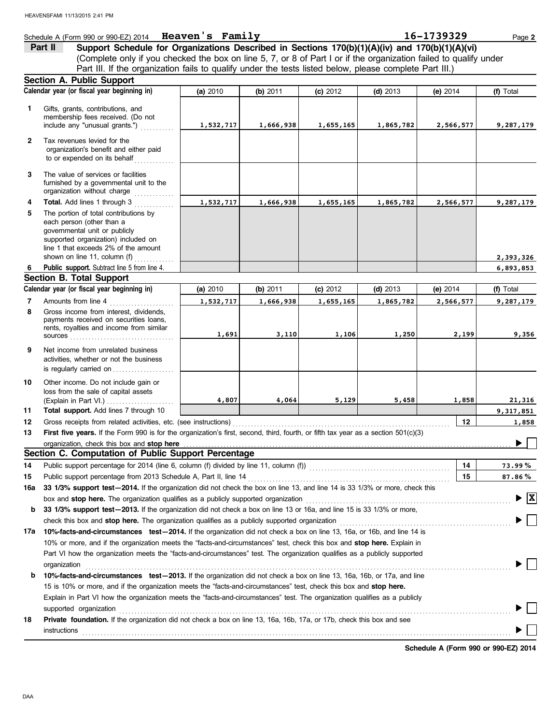#### Schedule A (Form 990 or 990-EZ) 2014 Page **2 Heaven's Family 16-1739329**

(Complete only if you checked the box on line 5, 7, or 8 of Part I or if the organization failed to qualify under Part II Support Schedule for Organizations Described in Sections 170(b)(1)(A)(iv) and 170(b)(1)(A)(vi) Part III. If the organization fails to qualify under the tests listed below, please complete Part III.)

|              | <b>Section A. Public Support</b>                                                                                                                                                                                   |                                                                                                                         |           |            |            |            |                                    |  |  |  |
|--------------|--------------------------------------------------------------------------------------------------------------------------------------------------------------------------------------------------------------------|-------------------------------------------------------------------------------------------------------------------------|-----------|------------|------------|------------|------------------------------------|--|--|--|
|              | Calendar year (or fiscal year beginning in)                                                                                                                                                                        | (a) 2010                                                                                                                | (b) 2011  | $(c)$ 2012 | $(d)$ 2013 | (e) $2014$ | (f) Total                          |  |  |  |
| 1.           | Gifts, grants, contributions, and<br>membership fees received. (Do not<br>include any "unusual grants.")                                                                                                           | 1,532,717                                                                                                               | 1,666,938 | 1,655,165  | 1,865,782  | 2,566,577  | 9,287,179                          |  |  |  |
| $\mathbf{2}$ | Tax revenues levied for the<br>organization's benefit and either paid<br>to or expended on its behalf                                                                                                              |                                                                                                                         |           |            |            |            |                                    |  |  |  |
| 3            | The value of services or facilities<br>furnished by a governmental unit to the<br>organization without charge                                                                                                      |                                                                                                                         |           |            |            |            |                                    |  |  |  |
| 4            | Total. Add lines 1 through 3                                                                                                                                                                                       | 1,532,717                                                                                                               | 1,666,938 | 1,655,165  | 1,865,782  | 2,566,577  | 9,287,179                          |  |  |  |
| 5            | The portion of total contributions by<br>each person (other than a<br>governmental unit or publicly<br>supported organization) included on<br>line 1 that exceeds 2% of the amount<br>shown on line 11, column (f) |                                                                                                                         |           |            |            |            |                                    |  |  |  |
| 6            | Public support. Subtract line 5 from line 4.                                                                                                                                                                       |                                                                                                                         |           |            |            |            | 2,393,326<br>6,893,853             |  |  |  |
|              | <b>Section B. Total Support</b>                                                                                                                                                                                    |                                                                                                                         |           |            |            |            |                                    |  |  |  |
|              | Calendar year (or fiscal year beginning in)                                                                                                                                                                        | (a) 2010                                                                                                                | (b) 2011  | (c) 2012   | $(d)$ 2013 | (e) $2014$ | (f) Total                          |  |  |  |
| 7            | Amounts from line 4                                                                                                                                                                                                | 1,532,717                                                                                                               | 1,666,938 | 1,655,165  | 1,865,782  | 2,566,577  | 9,287,179                          |  |  |  |
| 8            | Gross income from interest, dividends.<br>payments received on securities loans,<br>rents, royalties and income from similar                                                                                       | 1,691                                                                                                                   | 3,110     | 1,106      | 1,250      | 2,199      | 9,356                              |  |  |  |
| 9            | Net income from unrelated business<br>activities, whether or not the business<br>is regularly carried on                                                                                                           |                                                                                                                         |           |            |            |            |                                    |  |  |  |
| 10           | Other income. Do not include gain or<br>loss from the sale of capital assets                                                                                                                                       | 4,807                                                                                                                   | 4,064     | 5,129      | 5,458      | 1,858      | 21,316                             |  |  |  |
| 11           | Total support. Add lines 7 through 10                                                                                                                                                                              |                                                                                                                         |           |            |            |            | 9,317,851                          |  |  |  |
| 12           | Gross receipts from related activities, etc. (see instructions)                                                                                                                                                    |                                                                                                                         |           |            |            | 12         | 1,858                              |  |  |  |
| 13           | First five years. If the Form 990 is for the organization's first, second, third, fourth, or fifth tax year as a section 501(c)(3)                                                                                 |                                                                                                                         |           |            |            |            |                                    |  |  |  |
|              | organization, check this box and stop here                                                                                                                                                                         |                                                                                                                         |           |            |            |            |                                    |  |  |  |
|              | Section C. Computation of Public Support Percentage                                                                                                                                                                |                                                                                                                         |           |            |            |            |                                    |  |  |  |
| 14           | Public support percentage for 2014 (line 6, column (f) divided by line 11, column (f)) [[[[[[[[[[[[[[[[[[[[[[                                                                                                      |                                                                                                                         |           |            |            | 14         | 73.99%                             |  |  |  |
| 15           | Public support percentage from 2013 Schedule A, Part II, line 14                                                                                                                                                   |                                                                                                                         |           |            |            | 15         | $87.86\%$                          |  |  |  |
| 16a          | 33 1/3% support test-2014. If the organization did not check the box on line 13, and line 14 is 33 1/3% or more, check this                                                                                        |                                                                                                                         |           |            |            |            |                                    |  |  |  |
|              | box and stop here. The organization qualifies as a publicly supported organization                                                                                                                                 |                                                                                                                         |           |            |            |            | $\blacktriangleright \overline{X}$ |  |  |  |
| b            | 33 1/3% support test-2013. If the organization did not check a box on line 13 or 16a, and line 15 is 33 1/3% or more,                                                                                              |                                                                                                                         |           |            |            |            |                                    |  |  |  |
|              | check this box and stop here. The organization qualifies as a publicly supported organization                                                                                                                      |                                                                                                                         |           |            |            |            |                                    |  |  |  |
| 17a          | 10%-facts-and-circumstances test-2014. If the organization did not check a box on line 13, 16a, or 16b, and line 14 is                                                                                             |                                                                                                                         |           |            |            |            |                                    |  |  |  |
|              |                                                                                                                                                                                                                    | 10% or more, and if the organization meets the "facts-and-circumstances" test, check this box and stop here. Explain in |           |            |            |            |                                    |  |  |  |
|              | Part VI how the organization meets the "facts-and-circumstances" test. The organization qualifies as a publicly supported<br>organization                                                                          |                                                                                                                         |           |            |            |            |                                    |  |  |  |
| b            | 10%-facts-and-circumstances test-2013. If the organization did not check a box on line 13, 16a, 16b, or 17a, and line                                                                                              |                                                                                                                         |           |            |            |            |                                    |  |  |  |
|              | 15 is 10% or more, and if the organization meets the "facts-and-circumstances" test, check this box and stop here.                                                                                                 |                                                                                                                         |           |            |            |            |                                    |  |  |  |
|              | Explain in Part VI how the organization meets the "facts-and-circumstances" test. The organization qualifies as a publicly                                                                                         |                                                                                                                         |           |            |            |            |                                    |  |  |  |
|              | supported organization contains and contains a supported organization of the supported organization                                                                                                                |                                                                                                                         |           |            |            |            |                                    |  |  |  |
| 18           | Private foundation. If the organization did not check a box on line 13, 16a, 16b, 17a, or 17b, check this box and see                                                                                              |                                                                                                                         |           |            |            |            |                                    |  |  |  |
|              | instructions                                                                                                                                                                                                       |                                                                                                                         |           |            |            |            |                                    |  |  |  |

**Schedule A (Form 990 or 990-EZ) 2014**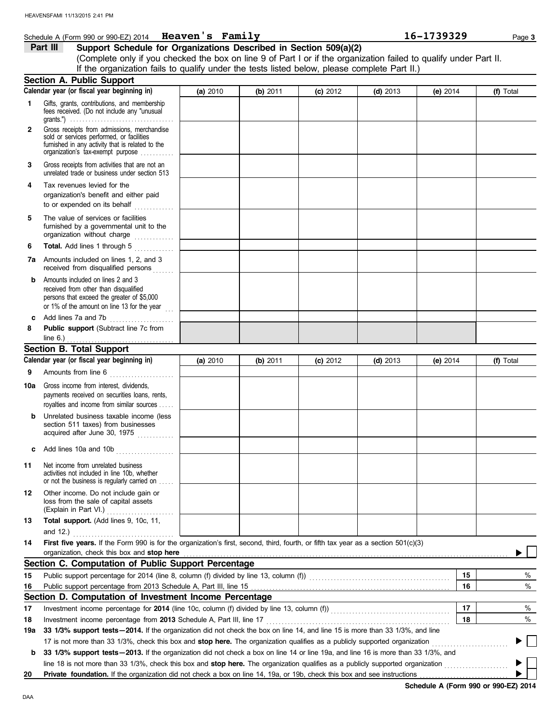#### **Schedule A (Form 990 or 990-EZ) 2014 Heaven's Family 16-1739329** Page 3

#### **Part III Support Schedule for Organizations Described in Section 509(a)(2)**

(Complete only if you checked the box on line 9 of Part I or if the organization failed to qualify under Part II. If the organization fails to qualify under the tests listed below, please complete Part II.)

|              | <b>Section A. Public Support</b>                                                                                                                                                                       |          |          |            |            |            |    |           |
|--------------|--------------------------------------------------------------------------------------------------------------------------------------------------------------------------------------------------------|----------|----------|------------|------------|------------|----|-----------|
|              | Calendar year (or fiscal year beginning in)                                                                                                                                                            | (a) 2010 | (b) 2011 | $(c)$ 2012 | $(d)$ 2013 | (e) 2014   |    | (f) Total |
| 1.           | Gifts, grants, contributions, and membership<br>fees received. (Do not include any "unusual<br>$grants."$                                                                                              |          |          |            |            |            |    |           |
| $\mathbf{2}$ | Gross receipts from admissions, merchandise<br>sold or services performed, or facilities<br>furnished in any activity that is related to the<br>organization's tax-exempt purpose                      |          |          |            |            |            |    |           |
| 3            | Gross receipts from activities that are not an<br>unrelated trade or business under section 513                                                                                                        |          |          |            |            |            |    |           |
| 4            | Tax revenues levied for the<br>organization's benefit and either paid<br>to or expended on its behalf                                                                                                  |          |          |            |            |            |    |           |
| 5            | The value of services or facilities<br>furnished by a governmental unit to the<br>organization without charge                                                                                          |          |          |            |            |            |    |           |
| 6            | Total. Add lines 1 through 5                                                                                                                                                                           |          |          |            |            |            |    |           |
| 7a           | Amounts included on lines 1, 2, and 3<br>received from disqualified persons<br>.                                                                                                                       |          |          |            |            |            |    |           |
| b            | Amounts included on lines 2 and 3<br>received from other than disqualified<br>persons that exceed the greater of \$5,000<br>or 1% of the amount on line 13 for the year                                |          |          |            |            |            |    |           |
| c            | Add lines 7a and 7b                                                                                                                                                                                    |          |          |            |            |            |    |           |
| 8            | Public support (Subtract line 7c from<br>line $6.$ )                                                                                                                                                   |          |          |            |            |            |    |           |
|              | .<br><b>Section B. Total Support</b>                                                                                                                                                                   |          |          |            |            |            |    |           |
|              | Calendar year (or fiscal year beginning in)                                                                                                                                                            | (a) 2010 | (b) 2011 | $(c)$ 2012 | (d) $2013$ | (e) $2014$ |    | (f) Total |
| 9            | Amounts from line 6                                                                                                                                                                                    |          |          |            |            |            |    |           |
| 10a          | Gross income from interest, dividends,<br>payments received on securities loans, rents,<br>royalties and income from similar sources                                                                   |          |          |            |            |            |    |           |
| b            | Unrelated business taxable income (less<br>section 511 taxes) from businesses<br>acquired after June 30, 1975                                                                                          |          |          |            |            |            |    |           |
| c            | Add lines 10a and 10b                                                                                                                                                                                  |          |          |            |            |            |    |           |
| 11           | Net income from unrelated business<br>activities not included in line 10b, whether<br>or not the business is regularly carried on                                                                      |          |          |            |            |            |    |           |
| 12           | Other income. Do not include gain or<br>loss from the sale of capital assets<br>(Explain in Part VI.)                                                                                                  |          |          |            |            |            |    |           |
| 13           | Total support. (Add lines 9, 10c, 11,                                                                                                                                                                  |          |          |            |            |            |    |           |
| 14           | First five years. If the Form 990 is for the organization's first, second, third, fourth, or fifth tax year as a section 501(c)(3)                                                                     |          |          |            |            |            |    |           |
|              | organization, check this box and stop here                                                                                                                                                             |          |          |            |            |            |    |           |
|              | Section C. Computation of Public Support Percentage                                                                                                                                                    |          |          |            |            |            |    |           |
| 15           | Public support percentage for 2014 (line 8, column (f) divided by line 13, column (f)) [[[[[[[[[[[[[[[[[[[[[[                                                                                          |          |          |            |            |            | 15 | %         |
| 16           |                                                                                                                                                                                                        |          |          |            |            |            | 16 | $\%$      |
|              | Section D. Computation of Investment Income Percentage                                                                                                                                                 |          |          |            |            |            | 17 |           |
| 17           |                                                                                                                                                                                                        |          |          |            |            |            |    | %         |
| 18<br>19a    | Investment income percentage from 2013 Schedule A, Part III, line 17<br>33 1/3% support tests - 2014. If the organization did not check the box on line 14, and line 15 is more than 33 1/3%, and line |          |          |            |            |            | 18 | $\%$      |
|              | 17 is not more than 33 1/3%, check this box and stop here. The organization qualifies as a publicly supported organization                                                                             |          |          |            |            |            |    |           |
| b            | 33 1/3% support tests - 2013. If the organization did not check a box on line 14 or line 19a, and line 16 is more than 33 1/3%, and                                                                    |          |          |            |            |            |    |           |
|              | line 18 is not more than 33 1/3%, check this box and stop here. The organization qualifies as a publicly supported organization                                                                        |          |          |            |            |            |    |           |
| 20           | Private foundation. If the organization did not check a box on line 14, 19a, or 19b, check this box and see instructions                                                                               |          |          |            |            |            |    |           |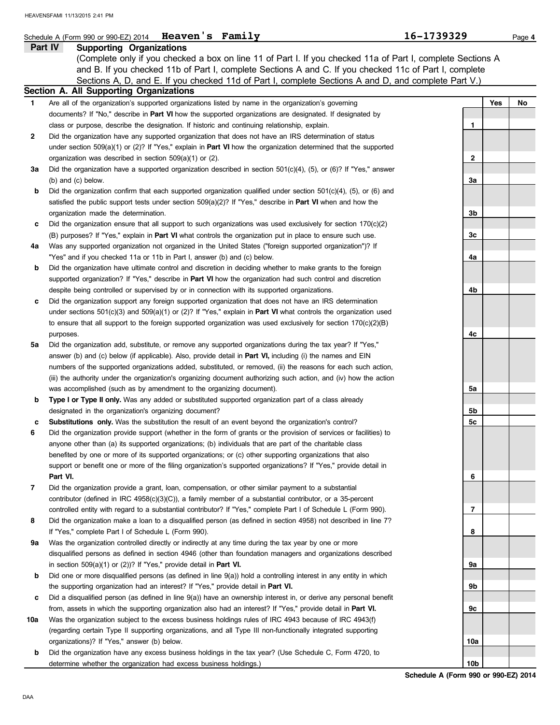|     | Schedule A (Form 990 or 990-EZ) 2014   Heaven's Family                                                                     | 16-1739329      |     | Page 4 |
|-----|----------------------------------------------------------------------------------------------------------------------------|-----------------|-----|--------|
|     | Part IV<br><b>Supporting Organizations</b>                                                                                 |                 |     |        |
|     | (Complete only if you checked a box on line 11 of Part I. If you checked 11a of Part I, complete Sections A                |                 |     |        |
|     | and B. If you checked 11b of Part I, complete Sections A and C. If you checked 11c of Part I, complete                     |                 |     |        |
|     | Sections A, D, and E. If you checked 11d of Part I, complete Sections A and D, and complete Part V.)                       |                 |     |        |
|     | Section A. All Supporting Organizations                                                                                    |                 |     |        |
| 1.  | Are all of the organization's supported organizations listed by name in the organization's governing                       |                 | Yes | No     |
|     | documents? If "No," describe in Part VI how the supported organizations are designated. If designated by                   |                 |     |        |
|     | class or purpose, describe the designation. If historic and continuing relationship, explain.                              | 1               |     |        |
| 2   | Did the organization have any supported organization that does not have an IRS determination of status                     |                 |     |        |
|     | under section 509(a)(1) or (2)? If "Yes," explain in <b>Part VI</b> how the organization determined that the supported     |                 |     |        |
|     | organization was described in section $509(a)(1)$ or (2).                                                                  | 2               |     |        |
| За  | Did the organization have a supported organization described in section $501(c)(4)$ , (5), or (6)? If "Yes," answer        |                 |     |        |
|     | $(b)$ and $(c)$ below.                                                                                                     | За              |     |        |
| b   | Did the organization confirm that each supported organization qualified under section $501(c)(4)$ , (5), or (6) and        |                 |     |        |
|     | satisfied the public support tests under section $509(a)(2)$ ? If "Yes," describe in <b>Part VI</b> when and how the       |                 |     |        |
|     | organization made the determination.                                                                                       | 3b              |     |        |
| c   | Did the organization ensure that all support to such organizations was used exclusively for section $170(c)(2)$            |                 |     |        |
|     | (B) purposes? If "Yes," explain in <b>Part VI</b> what controls the organization put in place to ensure such use.          | Зc              |     |        |
| 4a  | Was any supported organization not organized in the United States ("foreign supported organization")? If                   |                 |     |        |
|     | "Yes" and if you checked 11a or 11b in Part I, answer (b) and (c) below.                                                   | 4a              |     |        |
| b   | Did the organization have ultimate control and discretion in deciding whether to make grants to the foreign                |                 |     |        |
|     | supported organization? If "Yes," describe in Part VI how the organization had such control and discretion                 |                 |     |        |
|     | despite being controlled or supervised by or in connection with its supported organizations.                               | 4b              |     |        |
| c   | Did the organization support any foreign supported organization that does not have an IRS determination                    |                 |     |        |
|     | under sections $501(c)(3)$ and $509(a)(1)$ or (2)? If "Yes," explain in <b>Part VI</b> what controls the organization used |                 |     |        |
|     | to ensure that all support to the foreign supported organization was used exclusively for section $170(c)(2)(B)$           |                 |     |        |
|     | purposes.                                                                                                                  | 4c              |     |        |
| 5a  | Did the organization add, substitute, or remove any supported organizations during the tax year? If "Yes,"                 |                 |     |        |
|     | answer (b) and (c) below (if applicable). Also, provide detail in <b>Part VI</b> , including (i) the names and EIN         |                 |     |        |
|     | numbers of the supported organizations added, substituted, or removed, (ii) the reasons for each such action,              |                 |     |        |
|     | (iii) the authority under the organization's organizing document authorizing such action, and (iv) how the action          |                 |     |        |
|     | was accomplished (such as by amendment to the organizing document).                                                        | 5a              |     |        |
| b   | Type I or Type II only. Was any added or substituted supported organization part of a class already                        |                 |     |        |
|     | designated in the organization's organizing document?                                                                      | 5b              |     |        |
| c   | Substitutions only. Was the substitution the result of an event beyond the organization's control?                         | 5c              |     |        |
| 6   | Did the organization provide support (whether in the form of grants or the provision of services or facilities) to         |                 |     |        |
|     | anyone other than (a) its supported organizations; (b) individuals that are part of the charitable class                   |                 |     |        |
|     | benefited by one or more of its supported organizations; or (c) other supporting organizations that also                   |                 |     |        |
|     | support or benefit one or more of the filing organization's supported organizations? If "Yes," provide detail in           |                 |     |        |
|     | Part VI.                                                                                                                   | 6               |     |        |
| 7   | Did the organization provide a grant, loan, compensation, or other similar payment to a substantial                        |                 |     |        |
|     | contributor (defined in IRC $4958(c)(3)(C)$ ), a family member of a substantial contributor, or a 35-percent               |                 |     |        |
|     | controlled entity with regard to a substantial contributor? If "Yes," complete Part I of Schedule L (Form 990).            | 7               |     |        |
| 8   | Did the organization make a loan to a disqualified person (as defined in section 4958) not described in line 7?            |                 |     |        |
|     | If "Yes," complete Part I of Schedule L (Form 990).                                                                        | 8               |     |        |
| 9а  | Was the organization controlled directly or indirectly at any time during the tax year by one or more                      |                 |     |        |
|     | disqualified persons as defined in section 4946 (other than foundation managers and organizations described                |                 |     |        |
|     | in section 509(a)(1) or (2))? If "Yes," provide detail in Part VI.                                                         | 9а              |     |        |
| b   | Did one or more disqualified persons (as defined in line 9(a)) hold a controlling interest in any entity in which          |                 |     |        |
|     | the supporting organization had an interest? If "Yes," provide detail in Part VI.                                          | 9b              |     |        |
| c   | Did a disqualified person (as defined in line 9(a)) have an ownership interest in, or derive any personal benefit          |                 |     |        |
|     | from, assets in which the supporting organization also had an interest? If "Yes," provide detail in Part VI.               | 9с              |     |        |
| 10a | Was the organization subject to the excess business holdings rules of IRC 4943 because of IRC 4943(f)                      |                 |     |        |
|     | (regarding certain Type II supporting organizations, and all Type III non-functionally integrated supporting               |                 |     |        |
|     | organizations)? If "Yes," answer (b) below.                                                                                | 10a             |     |        |
| b   | Did the organization have any excess business holdings in the tax year? (Use Schedule C, Form 4720, to                     |                 |     |        |
|     | determine whether the organization had excess business holdings.)                                                          | 10 <sub>b</sub> |     |        |

**Schedule A (Form 990 or 990-EZ) 2014**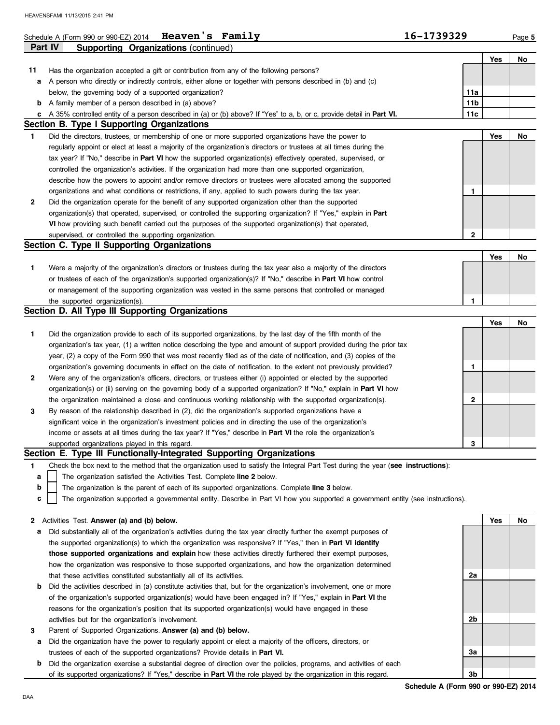#### Schedule A (Form 990 or 990-EZ) 2014 **Heaven's Family 16-1739329** Page 5 **Heaven's Family**

|              | Part IV<br><b>Supporting Organizations (continued)</b>                                                                            |                 |     |     |
|--------------|-----------------------------------------------------------------------------------------------------------------------------------|-----------------|-----|-----|
|              |                                                                                                                                   |                 | Yes | No  |
| 11           | Has the organization accepted a gift or contribution from any of the following persons?                                           |                 |     |     |
| а            | A person who directly or indirectly controls, either alone or together with persons described in (b) and (c)                      |                 |     |     |
|              | below, the governing body of a supported organization?                                                                            | 11a             |     |     |
| b            | A family member of a person described in (a) above?                                                                               | 11 <sub>b</sub> |     |     |
|              | A 35% controlled entity of a person described in (a) or (b) above? If "Yes" to a, b, or c, provide detail in Part VI.             | 11c             |     |     |
|              | Section B. Type I Supporting Organizations                                                                                        |                 |     |     |
| $\mathbf{1}$ | Did the directors, trustees, or membership of one or more supported organizations have the power to                               |                 | Yes | No  |
|              | regularly appoint or elect at least a majority of the organization's directors or trustees at all times during the                |                 |     |     |
|              | tax year? If "No," describe in <b>Part VI</b> how the supported organization(s) effectively operated, supervised, or              |                 |     |     |
|              | controlled the organization's activities. If the organization had more than one supported organization,                           |                 |     |     |
|              | describe how the powers to appoint and/or remove directors or trustees were allocated among the supported                         |                 |     |     |
|              | organizations and what conditions or restrictions, if any, applied to such powers during the tax year.                            | 1               |     |     |
| 2            | Did the organization operate for the benefit of any supported organization other than the supported                               |                 |     |     |
|              | organization(s) that operated, supervised, or controlled the supporting organization? If "Yes," explain in Part                   |                 |     |     |
|              | VI how providing such benefit carried out the purposes of the supported organization(s) that operated,                            |                 |     |     |
|              | supervised, or controlled the supporting organization.                                                                            | 2               |     |     |
|              | Section C. Type II Supporting Organizations                                                                                       |                 |     |     |
|              |                                                                                                                                   |                 | Yes | No. |
|              |                                                                                                                                   |                 |     |     |
| 1.           | Were a majority of the organization's directors or trustees during the tax year also a majority of the directors                  |                 |     |     |
|              | or trustees of each of the organization's supported organization(s)? If "No," describe in <b>Part VI</b> how control              |                 |     |     |
|              | or management of the supporting organization was vested in the same persons that controlled or managed                            | 1               |     |     |
|              | the supported organization(s).<br>Section D. All Type III Supporting Organizations                                                |                 |     |     |
|              |                                                                                                                                   |                 |     |     |
|              |                                                                                                                                   |                 | Yes | No. |
| 1.           | Did the organization provide to each of its supported organizations, by the last day of the fifth month of the                    |                 |     |     |
|              | organization's tax year, (1) a written notice describing the type and amount of support provided during the prior tax             |                 |     |     |
|              | year, (2) a copy of the Form 990 that was most recently filed as of the date of notification, and (3) copies of the               |                 |     |     |
|              | organization's governing documents in effect on the date of notification, to the extent not previously provided?                  | 1               |     |     |
| 2            | Were any of the organization's officers, directors, or trustees either (i) appointed or elected by the supported                  |                 |     |     |
|              | organization(s) or (ii) serving on the governing body of a supported organization? If "No," explain in <b>Part VI</b> how         |                 |     |     |
|              | the organization maintained a close and continuous working relationship with the supported organization(s).                       | 2               |     |     |
| 3            | By reason of the relationship described in (2), did the organization's supported organizations have a                             |                 |     |     |
|              | significant voice in the organization's investment policies and in directing the use of the organization's                        |                 |     |     |
|              | income or assets at all times during the tax year? If "Yes," describe in Part VI the role the organization's                      |                 |     |     |
|              | supported organizations played in this regard.                                                                                    | 3               |     |     |
|              | Section E. Type III Functionally-Integrated Supporting Organizations                                                              |                 |     |     |
| 1            | Check the box next to the method that the organization used to satisfy the Integral Part Test during the year (see instructions): |                 |     |     |
| а            | The organization satisfied the Activities Test. Complete line 2 below.                                                            |                 |     |     |
| b            | The organization is the parent of each of its supported organizations. Complete line 3 below.                                     |                 |     |     |
| c            | The organization supported a governmental entity. Describe in Part VI how you supported a government entity (see instructions).   |                 |     |     |
|              |                                                                                                                                   |                 |     |     |
| 2            | Activities Test. Answer (a) and (b) below.                                                                                        |                 | Yes | No  |
| а            | Did substantially all of the organization's activities during the tax year directly further the exempt purposes of                |                 |     |     |
|              | the supported organization(s) to which the organization was responsive? If "Yes," then in <b>Part VI identify</b>                 |                 |     |     |
|              | those supported organizations and explain how these activities directly furthered their exempt purposes,                          |                 |     |     |
|              | how the organization was responsive to those supported organizations, and how the organization determined                         |                 |     |     |
|              | that these activities constituted substantially all of its activities.                                                            | 2a              |     |     |
| b            | Did the activities described in (a) constitute activities that, but for the organization's involvement, one or more               |                 |     |     |
|              | of the organization's supported organization(s) would have been engaged in? If "Yes," explain in <b>Part VI</b> the               |                 |     |     |
|              | reasons for the organization's position that its supported organization(s) would have engaged in these                            |                 |     |     |
|              | activities but for the organization's involvement.                                                                                | 2b              |     |     |
| 3            | Parent of Supported Organizations. Answer (a) and (b) below.                                                                      |                 |     |     |
| а            | Did the organization have the power to regularly appoint or elect a majority of the officers, directors, or                       |                 |     |     |
|              | trustees of each of the supported organizations? Provide details in <b>Part VI.</b>                                               | 3a              |     |     |
| b            | Did the organization exercise a substantial degree of direction over the policies, programs, and activities of each               |                 |     |     |
|              | of its supported organizations? If "Yes," describe in Part VI the role played by the organization in this regard.                 | 3b              |     |     |

**Schedule A (Form 990 or 990-EZ) 2014**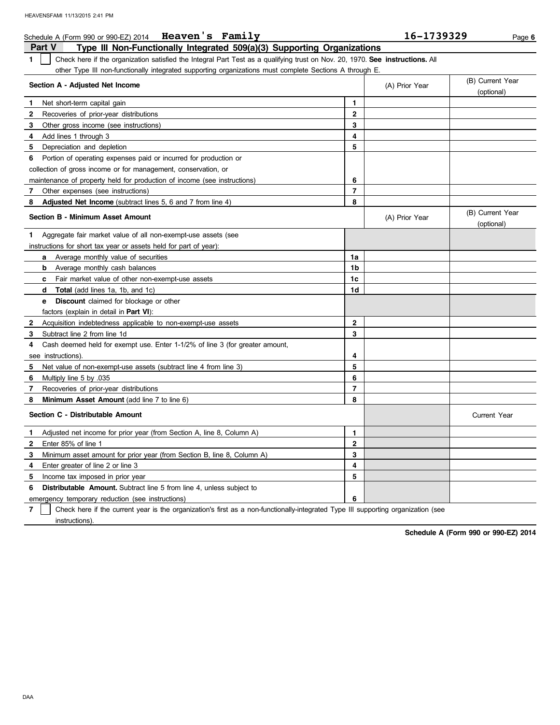|              | Schedule A (Form 990 or 990-EZ) 2014<br>Heaven's Family                                                                       |                | 16–1739329     | Page 6                         |
|--------------|-------------------------------------------------------------------------------------------------------------------------------|----------------|----------------|--------------------------------|
|              | Part V<br>Type III Non-Functionally Integrated 509(a)(3) Supporting Organizations                                             |                |                |                                |
| 1.           | Check here if the organization satisfied the Integral Part Test as a qualifying trust on Nov. 20, 1970. See instructions. All |                |                |                                |
|              | other Type III non-functionally integrated supporting organizations must complete Sections A through E.                       |                |                |                                |
|              | Section A - Adjusted Net Income                                                                                               |                | (A) Prior Year | (B) Current Year<br>(optional) |
| L.           | Net short-term capital gain                                                                                                   | 1              |                |                                |
| $\mathbf{2}$ | Recoveries of prior-year distributions                                                                                        | $\mathbf{2}$   |                |                                |
| 3            | Other gross income (see instructions)                                                                                         | 3              |                |                                |
| 4            | Add lines 1 through 3                                                                                                         | 4              |                |                                |
| 5            | Depreciation and depletion                                                                                                    | 5              |                |                                |
| 6.           | Portion of operating expenses paid or incurred for production or                                                              |                |                |                                |
|              | collection of gross income or for management, conservation, or                                                                |                |                |                                |
|              | maintenance of property held for production of income (see instructions)                                                      | 6              |                |                                |
| 7            | Other expenses (see instructions)                                                                                             | $\overline{7}$ |                |                                |
| 8            | <b>Adjusted Net Income</b> (subtract lines 5, 6 and 7 from line 4)                                                            | 8              |                |                                |
|              | <b>Section B - Minimum Asset Amount</b>                                                                                       |                | (A) Prior Year | (B) Current Year<br>(optional) |
| 1            | Aggregate fair market value of all non-exempt-use assets (see                                                                 |                |                |                                |
|              | instructions for short tax year or assets held for part of year):                                                             |                |                |                                |
|              | Average monthly value of securities<br>a                                                                                      | 1a             |                |                                |
|              | Average monthly cash balances<br>b                                                                                            | 1b             |                |                                |
|              | Fair market value of other non-exempt-use assets<br>c                                                                         | 1c             |                |                                |
|              | <b>Total</b> (add lines 1a, 1b, and 1c)<br>d                                                                                  | 1d             |                |                                |
|              | <b>Discount</b> claimed for blockage or other<br>е                                                                            |                |                |                                |
|              | factors (explain in detail in <b>Part VI)</b> :                                                                               |                |                |                                |
| 2            | Acquisition indebtedness applicable to non-exempt-use assets                                                                  | $\mathbf{2}$   |                |                                |
| 3            | Subtract line 2 from line 1d                                                                                                  | 3              |                |                                |
| 4            | Cash deemed held for exempt use. Enter 1-1/2% of line 3 (for greater amount,                                                  |                |                |                                |
|              | see instructions)                                                                                                             | 4              |                |                                |
| 5            | Net value of non-exempt-use assets (subtract line 4 from line 3)                                                              | 5              |                |                                |
| 6            | Multiply line 5 by 035                                                                                                        | 6              |                |                                |
| 7            | Recoveries of prior-year distributions                                                                                        | $\overline{7}$ |                |                                |
| 8            | Minimum Asset Amount (add line 7 to line 6)                                                                                   | 8              |                |                                |
|              | Section C - Distributable Amount                                                                                              |                |                | <b>Current Year</b>            |
| 1            | Adjusted net income for prior year (from Section A, line 8, Column A)                                                         | 1              |                |                                |
| 2            | Enter 85% of line 1                                                                                                           | 2              |                |                                |
| 3            | Minimum asset amount for prior year (from Section B, line 8, Column A)                                                        | 3              |                |                                |
| 4            | Enter greater of line 2 or line 3                                                                                             | 4              |                |                                |
| 5            | Income tax imposed in prior year                                                                                              | 5              |                |                                |
| 6            | <b>Distributable Amount.</b> Subtract line 5 from line 4, unless subject to                                                   |                |                |                                |
|              | emergency temporary reduction (see instructions)                                                                              | 6              |                |                                |

**7** instructions). Check here if the current year is the organization's first as a non-functionally-integrated Type III supporting organization (see

**Schedule A (Form 990 or 990-EZ) 2014**

**Heaven's Family 16-1739329**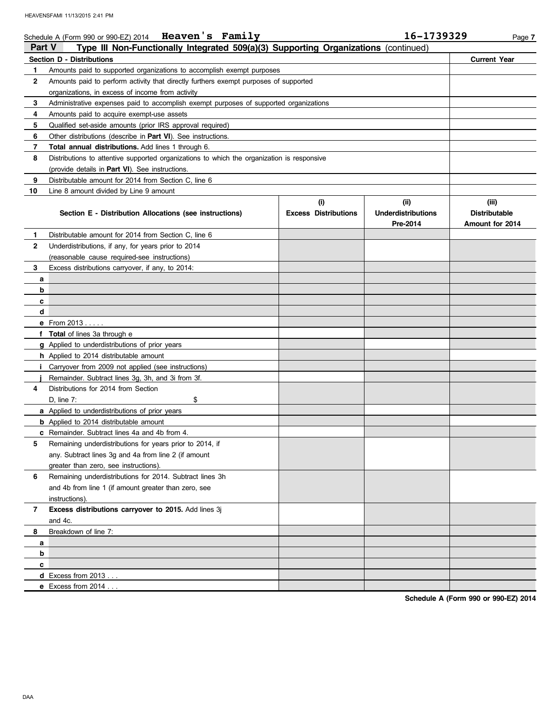|               | Schedule A (Form 990 or 990-EZ) 2014 Heaven's Family                                       |                             | 16-1739329                | Page 7               |
|---------------|--------------------------------------------------------------------------------------------|-----------------------------|---------------------------|----------------------|
| <b>Part V</b> | Type III Non-Functionally Integrated 509(a)(3) Supporting Organizations (continued)        |                             |                           |                      |
|               | <b>Section D - Distributions</b>                                                           |                             |                           | <b>Current Year</b>  |
| 1             | Amounts paid to supported organizations to accomplish exempt purposes                      |                             |                           |                      |
| 2             | Amounts paid to perform activity that directly furthers exempt purposes of supported       |                             |                           |                      |
|               | organizations, in excess of income from activity                                           |                             |                           |                      |
| 3             | Administrative expenses paid to accomplish exempt purposes of supported organizations      |                             |                           |                      |
| 4             | Amounts paid to acquire exempt-use assets                                                  |                             |                           |                      |
| 5             | Qualified set-aside amounts (prior IRS approval required)                                  |                             |                           |                      |
| 6             | Other distributions (describe in <b>Part VI</b> ). See instructions.                       |                             |                           |                      |
| 7             | Total annual distributions. Add lines 1 through 6.                                         |                             |                           |                      |
| 8             | Distributions to attentive supported organizations to which the organization is responsive |                             |                           |                      |
|               | (provide details in <b>Part VI</b> ). See instructions.                                    |                             |                           |                      |
| 9             | Distributable amount for 2014 from Section C, line 6                                       |                             |                           |                      |
| 10            | Line 8 amount divided by Line 9 amount                                                     |                             |                           |                      |
|               |                                                                                            | (i)                         | (ii)                      | (iii)                |
|               | Section E - Distribution Allocations (see instructions)                                    | <b>Excess Distributions</b> | <b>Underdistributions</b> | <b>Distributable</b> |
|               |                                                                                            |                             | Pre-2014                  | Amount for 2014      |
| 1             | Distributable amount for 2014 from Section C, line 6                                       |                             |                           |                      |
| 2             | Underdistributions, if any, for years prior to 2014                                        |                             |                           |                      |
|               | (reasonable cause required-see instructions)                                               |                             |                           |                      |
| 3             | Excess distributions carryover, if any, to 2014:                                           |                             |                           |                      |
| а             |                                                                                            |                             |                           |                      |
| b             |                                                                                            |                             |                           |                      |
| c             |                                                                                            |                             |                           |                      |
| d             |                                                                                            |                             |                           |                      |
|               | e From 2013                                                                                |                             |                           |                      |
|               | <b>Total</b> of lines 3a through e                                                         |                             |                           |                      |
|               | <b>g</b> Applied to underdistributions of prior years                                      |                             |                           |                      |
|               | <b>h</b> Applied to 2014 distributable amount                                              |                             |                           |                      |
| Ť.            | Carryover from 2009 not applied (see instructions)                                         |                             |                           |                      |
|               | Remainder. Subtract lines 3g, 3h, and 3i from 3f.                                          |                             |                           |                      |
| 4             | Distributions for 2014 from Section                                                        |                             |                           |                      |
|               | D, line 7:<br>\$                                                                           |                             |                           |                      |
|               | a Applied to underdistributions of prior years                                             |                             |                           |                      |
|               | <b>b</b> Applied to 2014 distributable amount                                              |                             |                           |                      |
|               | <b>c</b> Remainder. Subtract lines 4a and 4b from 4.                                       |                             |                           |                      |
|               | Remaining underdistributions for years prior to 2014, if                                   |                             |                           |                      |
|               | any. Subtract lines 3g and 4a from line 2 (if amount                                       |                             |                           |                      |
|               | greater than zero, see instructions).                                                      |                             |                           |                      |
| 6             | Remaining underdistributions for 2014. Subtract lines 3h                                   |                             |                           |                      |
|               | and 4b from line 1 (if amount greater than zero, see                                       |                             |                           |                      |
|               | instructions).                                                                             |                             |                           |                      |
| 7             | Excess distributions carryover to 2015. Add lines 3j                                       |                             |                           |                      |
|               | and 4c.                                                                                    |                             |                           |                      |
| 8             | Breakdown of line 7:                                                                       |                             |                           |                      |
| a             |                                                                                            |                             |                           |                      |
| b             |                                                                                            |                             |                           |                      |
| c             |                                                                                            |                             |                           |                      |
|               | <b>d</b> Excess from $2013$                                                                |                             |                           |                      |
|               | e Excess from $2014$                                                                       |                             |                           |                      |

**Schedule A (Form 990 or 990-EZ) 2014**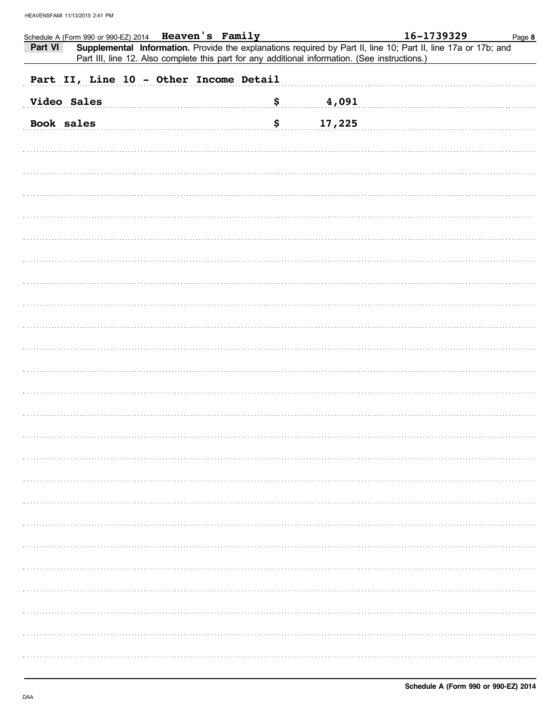| Schedule A (Form 990 or 990-EZ) 2014  Heaven's Family                                                                                                                                                                       |              | 16-1739329 | Page 8 |
|-----------------------------------------------------------------------------------------------------------------------------------------------------------------------------------------------------------------------------|--------------|------------|--------|
| Part VI<br>Supplemental Information. Provide the explanations required by Part II, line 10; Part II, line 17a or 17b; and<br>Part III, line 12. Also complete this part for any additional information. (See instructions.) |              |            |        |
| Part II, Line 10 - Other Income Detail                                                                                                                                                                                      |              |            |        |
|                                                                                                                                                                                                                             |              |            |        |
| <b>Video Sales</b>                                                                                                                                                                                                          | \$<br>4,091  |            |        |
| Book sales                                                                                                                                                                                                                  | \$<br>17,225 |            |        |
|                                                                                                                                                                                                                             |              |            |        |
|                                                                                                                                                                                                                             |              |            |        |
|                                                                                                                                                                                                                             |              |            |        |
|                                                                                                                                                                                                                             |              |            |        |
|                                                                                                                                                                                                                             |              |            |        |
|                                                                                                                                                                                                                             |              |            |        |
|                                                                                                                                                                                                                             |              |            |        |
|                                                                                                                                                                                                                             |              |            |        |
|                                                                                                                                                                                                                             |              |            |        |
|                                                                                                                                                                                                                             |              |            |        |
|                                                                                                                                                                                                                             |              |            |        |
|                                                                                                                                                                                                                             |              |            |        |
|                                                                                                                                                                                                                             |              |            |        |
|                                                                                                                                                                                                                             |              |            |        |
|                                                                                                                                                                                                                             |              |            |        |
|                                                                                                                                                                                                                             |              |            |        |
|                                                                                                                                                                                                                             |              |            |        |
|                                                                                                                                                                                                                             |              |            |        |
|                                                                                                                                                                                                                             |              |            |        |
|                                                                                                                                                                                                                             |              |            |        |
|                                                                                                                                                                                                                             |              |            |        |
|                                                                                                                                                                                                                             |              |            |        |
|                                                                                                                                                                                                                             |              |            |        |
|                                                                                                                                                                                                                             |              |            |        |
|                                                                                                                                                                                                                             |              |            |        |
|                                                                                                                                                                                                                             |              |            |        |
|                                                                                                                                                                                                                             |              |            |        |
|                                                                                                                                                                                                                             |              |            |        |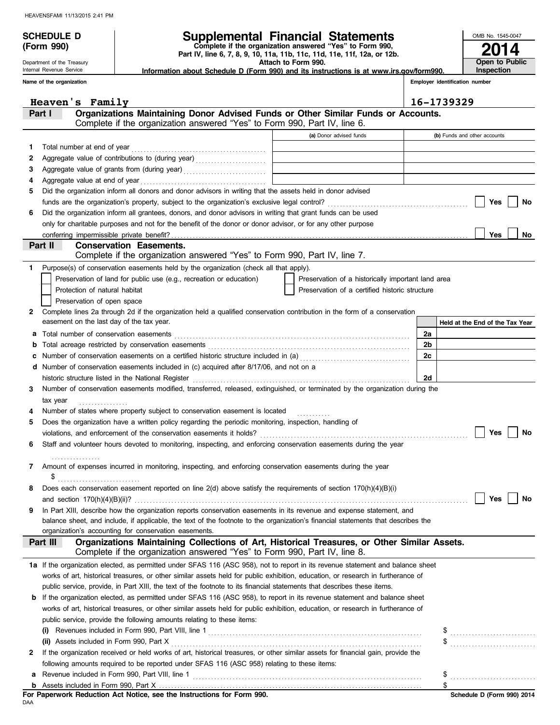**(Form 990)**

Department of the Treasury Internal Revenue Service

## **SCHEDULE D Supplemental Financial Statements**

 **Attach to Form 990. Part IV, line 6, 7, 8, 9, 10, 11a, 11b, 11c, 11d, 11e, 11f, 12a, or 12b. Complete if the organization answered "Yes" to Form 990,**

 **Information about Schedule D (Form 990) and its instructions is at www.irs.gov/form990.**

**Employer identification number**

**2014**

**Open to Public Inspection**

OMB No. 1545-0047

|    | Name of the organization |                                                                                                                                                                |                                                    |                | Employer identification number  |
|----|--------------------------|----------------------------------------------------------------------------------------------------------------------------------------------------------------|----------------------------------------------------|----------------|---------------------------------|
|    |                          | Heaven's Family                                                                                                                                                |                                                    |                | 16-1739329                      |
|    | Part I                   | Organizations Maintaining Donor Advised Funds or Other Similar Funds or Accounts.<br>Complete if the organization answered "Yes" to Form 990, Part IV, line 6. |                                                    |                |                                 |
|    |                          |                                                                                                                                                                | (a) Donor advised funds                            |                | (b) Funds and other accounts    |
| 1. |                          | Total number at end of year                                                                                                                                    |                                                    |                |                                 |
| 2  |                          |                                                                                                                                                                |                                                    |                |                                 |
| З  |                          | Aggregate value of grants from (during year) [[11] Aggregate value of grants from (during year)                                                                |                                                    |                |                                 |
| 4  |                          |                                                                                                                                                                |                                                    |                |                                 |
| 5  |                          | Did the organization inform all donors and donor advisors in writing that the assets held in donor advised                                                     |                                                    |                |                                 |
|    |                          |                                                                                                                                                                |                                                    |                | Yes<br>No                       |
| 6  |                          | Did the organization inform all grantees, donors, and donor advisors in writing that grant funds can be used                                                   |                                                    |                |                                 |
|    |                          | only for charitable purposes and not for the benefit of the donor or donor advisor, or for any other purpose                                                   |                                                    |                |                                 |
|    |                          |                                                                                                                                                                |                                                    |                | Yes<br>No                       |
|    | Part II                  | <b>Conservation Easements.</b>                                                                                                                                 |                                                    |                |                                 |
|    |                          | Complete if the organization answered "Yes" to Form 990, Part IV, line 7.                                                                                      |                                                    |                |                                 |
| 1  |                          | Purpose(s) of conservation easements held by the organization (check all that apply).                                                                          |                                                    |                |                                 |
|    |                          | Preservation of land for public use (e.g., recreation or education)                                                                                            | Preservation of a historically important land area |                |                                 |
|    |                          | Protection of natural habitat                                                                                                                                  | Preservation of a certified historic structure     |                |                                 |
|    |                          | Preservation of open space                                                                                                                                     |                                                    |                |                                 |
| 2  |                          | Complete lines 2a through 2d if the organization held a qualified conservation contribution in the form of a conservation                                      |                                                    |                |                                 |
|    |                          | easement on the last day of the tax year.                                                                                                                      |                                                    |                | Held at the End of the Tax Year |
| а  |                          | Total number of conservation easements                                                                                                                         |                                                    | 2a             |                                 |
| b  |                          |                                                                                                                                                                |                                                    | 2 <sub>b</sub> |                                 |
| c  |                          | Number of conservation easements on a certified historic structure included in (a) [[[[[[[[[[[[[[[[[[[[[[[[[[]]]]]]]                                           |                                                    | 2c             |                                 |
| d  |                          | Number of conservation easements included in (c) acquired after 8/17/06, and not on a                                                                          |                                                    |                |                                 |
|    |                          | historic structure listed in the National Register                                                                                                             |                                                    | 2d             |                                 |
| 3  |                          | Number of conservation easements modified, transferred, released, extinguished, or terminated by the organization during the                                   |                                                    |                |                                 |
|    | tax year                 |                                                                                                                                                                |                                                    |                |                                 |
|    |                          | Number of states where property subject to conservation easement is located                                                                                    |                                                    |                |                                 |
| 5  |                          | Does the organization have a written policy regarding the periodic monitoring, inspection, handling of                                                         |                                                    |                |                                 |
|    |                          |                                                                                                                                                                |                                                    |                | Yes<br>No                       |
| 6  |                          | Staff and volunteer hours devoted to monitoring, inspecting, and enforcing conservation easements during the year                                              |                                                    |                |                                 |
|    |                          |                                                                                                                                                                |                                                    |                |                                 |
|    | \$                       | Amount of expenses incurred in monitoring, inspecting, and enforcing conservation easements during the year                                                    |                                                    |                |                                 |
|    |                          |                                                                                                                                                                |                                                    |                |                                 |
|    |                          | Does each conservation easement reported on line 2(d) above satisfy the requirements of section 170(h)(4)(B)(i)                                                |                                                    |                | Yes<br>No                       |
| 9  |                          | In Part XIII, describe how the organization reports conservation easements in its revenue and expense statement, and                                           |                                                    |                |                                 |
|    |                          | balance sheet, and include, if applicable, the text of the footnote to the organization's financial statements that describes the                              |                                                    |                |                                 |
|    |                          | organization's accounting for conservation easements.                                                                                                          |                                                    |                |                                 |
|    | Part III                 | Organizations Maintaining Collections of Art, Historical Treasures, or Other Similar Assets.                                                                   |                                                    |                |                                 |
|    |                          | Complete if the organization answered "Yes" to Form 990, Part IV, line 8.                                                                                      |                                                    |                |                                 |
|    |                          | 1a If the organization elected, as permitted under SFAS 116 (ASC 958), not to report in its revenue statement and balance sheet                                |                                                    |                |                                 |
|    |                          | works of art, historical treasures, or other similar assets held for public exhibition, education, or research in furtherance of                               |                                                    |                |                                 |
|    |                          | public service, provide, in Part XIII, the text of the footnote to its financial statements that describes these items.                                        |                                                    |                |                                 |
|    |                          | <b>b</b> If the organization elected, as permitted under SFAS 116 (ASC 958), to report in its revenue statement and balance sheet                              |                                                    |                |                                 |
|    |                          | works of art, historical treasures, or other similar assets held for public exhibition, education, or research in furtherance of                               |                                                    |                |                                 |
|    |                          | public service, provide the following amounts relating to these items:                                                                                         |                                                    |                |                                 |
|    | (i)                      |                                                                                                                                                                |                                                    |                | \$                              |
|    |                          | (ii) Assets included in Form 990, Part X                                                                                                                       |                                                    |                |                                 |
| 2  |                          | If the organization received or held works of art, historical treasures, or other similar assets for financial gain, provide the                               |                                                    |                |                                 |
|    |                          | following amounts required to be reported under SFAS 116 (ASC 958) relating to these items:                                                                    |                                                    |                |                                 |
| а  |                          |                                                                                                                                                                |                                                    |                | \$                              |
| b  |                          |                                                                                                                                                                |                                                    |                | \$                              |

DAA **For Paperwork Reduction Act Notice, see the Instructions for Form 990.**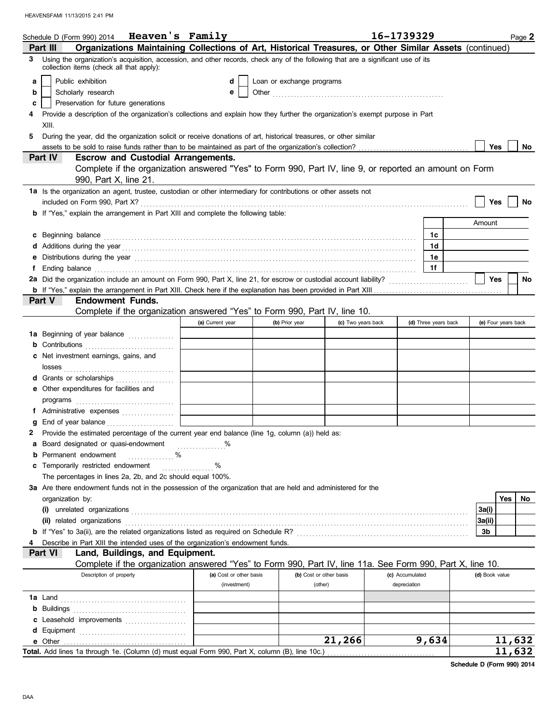|    | Schedule D (Form 990) 2014 Heaven's Family                                                                                                                                                                                          |                                         |                           |                                    | 16-1739329                      | Page 2              |
|----|-------------------------------------------------------------------------------------------------------------------------------------------------------------------------------------------------------------------------------------|-----------------------------------------|---------------------------|------------------------------------|---------------------------------|---------------------|
|    | Organizations Maintaining Collections of Art, Historical Treasures, or Other Similar Assets (continued)<br>Part III                                                                                                                 |                                         |                           |                                    |                                 |                     |
| 3. | Using the organization's acquisition, accession, and other records, check any of the following that are a significant use of its<br>collection items (check all that apply):                                                        |                                         |                           |                                    |                                 |                     |
| a  | Public exhibition                                                                                                                                                                                                                   | d                                       | Loan or exchange programs |                                    |                                 |                     |
| b  | Scholarly research                                                                                                                                                                                                                  | e                                       |                           |                                    |                                 |                     |
| c  | Preservation for future generations                                                                                                                                                                                                 |                                         |                           |                                    |                                 |                     |
|    | Provide a description of the organization's collections and explain how they further the organization's exempt purpose in Part                                                                                                      |                                         |                           |                                    |                                 |                     |
|    | XIII.                                                                                                                                                                                                                               |                                         |                           |                                    |                                 |                     |
| 5  | During the year, did the organization solicit or receive donations of art, historical treasures, or other similar                                                                                                                   |                                         |                           |                                    |                                 |                     |
|    |                                                                                                                                                                                                                                     |                                         |                           |                                    |                                 | Yes<br>No           |
|    | <b>Escrow and Custodial Arrangements.</b><br><b>Part IV</b>                                                                                                                                                                         |                                         |                           |                                    |                                 |                     |
|    | Complete if the organization answered "Yes" to Form 990, Part IV, line 9, or reported an amount on Form                                                                                                                             |                                         |                           |                                    |                                 |                     |
|    | 990, Part X, line 21.                                                                                                                                                                                                               |                                         |                           |                                    |                                 |                     |
|    | 1a Is the organization an agent, trustee, custodian or other intermediary for contributions or other assets not                                                                                                                     |                                         |                           |                                    |                                 |                     |
|    |                                                                                                                                                                                                                                     |                                         |                           |                                    |                                 | Yes<br>No           |
|    | <b>b</b> If "Yes," explain the arrangement in Part XIII and complete the following table:                                                                                                                                           |                                         |                           |                                    |                                 |                     |
|    |                                                                                                                                                                                                                                     |                                         |                           |                                    |                                 | Amount              |
| c  | Beginning balance expressions and the contract of the contract of the contract of the contract of the contract of the contract of the contract of the contract of the contract of the contract of the contract of the contract      |                                         |                           |                                    | 1c                              |                     |
|    |                                                                                                                                                                                                                                     |                                         |                           |                                    | 1d                              |                     |
| е  | Distributions during the year manufactured contains and the year manufactured with the year manufactured with                                                                                                                       |                                         |                           |                                    | 1е                              |                     |
| f  | Ending balance <b>construction and the construction of the construction</b> of the construction of the construction of the construction of the construction of the construction of the construction of the construction of the cons |                                         |                           |                                    | 1f                              |                     |
|    | 2a Did the organization include an amount on Form 990, Part X, line 21, for escrow or custodial account liability?                                                                                                                  |                                         |                           |                                    |                                 | <b>Yes</b><br>No    |
|    | Part V<br><b>Endowment Funds.</b>                                                                                                                                                                                                   |                                         |                           |                                    |                                 |                     |
|    | Complete if the organization answered "Yes" to Form 990, Part IV, line 10.                                                                                                                                                          |                                         |                           |                                    |                                 |                     |
|    |                                                                                                                                                                                                                                     | (a) Current year                        | (b) Prior year            | (c) Two years back                 | (d) Three years back            | (e) Four years back |
|    | 1a Beginning of year balance                                                                                                                                                                                                        |                                         |                           |                                    |                                 |                     |
|    | <b>b</b> Contributions <b>contributions</b>                                                                                                                                                                                         |                                         |                           |                                    |                                 |                     |
|    | c Net investment earnings, gains, and                                                                                                                                                                                               |                                         |                           |                                    |                                 |                     |
|    |                                                                                                                                                                                                                                     |                                         |                           |                                    |                                 |                     |
|    | d Grants or scholarships                                                                                                                                                                                                            |                                         |                           |                                    |                                 |                     |
|    | e Other expenditures for facilities and                                                                                                                                                                                             |                                         |                           |                                    |                                 |                     |
|    |                                                                                                                                                                                                                                     |                                         |                           |                                    |                                 |                     |
|    | f Administrative expenses                                                                                                                                                                                                           |                                         |                           |                                    |                                 |                     |
|    | End of year balance                                                                                                                                                                                                                 |                                         |                           |                                    |                                 |                     |
|    | 2 Provide the estimated percentage of the current year end balance (line 1g, column (a)) held as:                                                                                                                                   |                                         |                           |                                    |                                 |                     |
|    | a Board designated or quasi-endowment                                                                                                                                                                                               |                                         |                           |                                    |                                 |                     |
| b  | Permanent endowment<br>%<br>.                                                                                                                                                                                                       |                                         |                           |                                    |                                 |                     |
| c  | Temporarily restricted endowment                                                                                                                                                                                                    | %<br>.                                  |                           |                                    |                                 |                     |
|    | The percentages in lines 2a, 2b, and 2c should equal 100%.                                                                                                                                                                          |                                         |                           |                                    |                                 |                     |
|    | 3a Are there endowment funds not in the possession of the organization that are held and administered for the                                                                                                                       |                                         |                           |                                    |                                 |                     |
|    | organization by:                                                                                                                                                                                                                    |                                         |                           |                                    |                                 | Yes<br>No           |
|    | $(i)$ unrelated organizations $\ldots$ . $\ldots$ . $\ldots$ . $\ldots$ . $\ldots$ . $\ldots$ . $\ldots$ . $\ldots$ . $\ldots$ . $\ldots$ . $\ldots$                                                                                |                                         |                           |                                    |                                 | 3a(i)               |
|    | (ii) related organizations                                                                                                                                                                                                          |                                         |                           |                                    |                                 | 3a(ii)              |
|    |                                                                                                                                                                                                                                     |                                         |                           |                                    |                                 | 3b                  |
|    | Describe in Part XIII the intended uses of the organization's endowment funds.                                                                                                                                                      |                                         |                           |                                    |                                 |                     |
|    | Land, Buildings, and Equipment.<br><b>Part VI</b>                                                                                                                                                                                   |                                         |                           |                                    |                                 |                     |
|    | Complete if the organization answered "Yes" to Form 990, Part IV, line 11a. See Form 990, Part X, line 10.                                                                                                                          |                                         |                           |                                    |                                 |                     |
|    | Description of property                                                                                                                                                                                                             | (a) Cost or other basis<br>(investment) |                           | (b) Cost or other basis<br>(other) | (c) Accumulated<br>depreciation | (d) Book value      |
|    |                                                                                                                                                                                                                                     |                                         |                           |                                    |                                 |                     |
|    |                                                                                                                                                                                                                                     |                                         |                           |                                    |                                 |                     |
|    |                                                                                                                                                                                                                                     |                                         |                           |                                    |                                 |                     |
|    | c Leasehold improvements                                                                                                                                                                                                            |                                         |                           |                                    |                                 |                     |
|    | e Other                                                                                                                                                                                                                             |                                         |                           | 21,266                             | 9,634                           | 11,632              |
|    | Total. Add lines 1a through 1e. (Column (d) must equal Form 990, Part X, column (B), line 10c.)                                                                                                                                     |                                         |                           |                                    |                                 | 11,632              |
|    |                                                                                                                                                                                                                                     |                                         |                           |                                    |                                 |                     |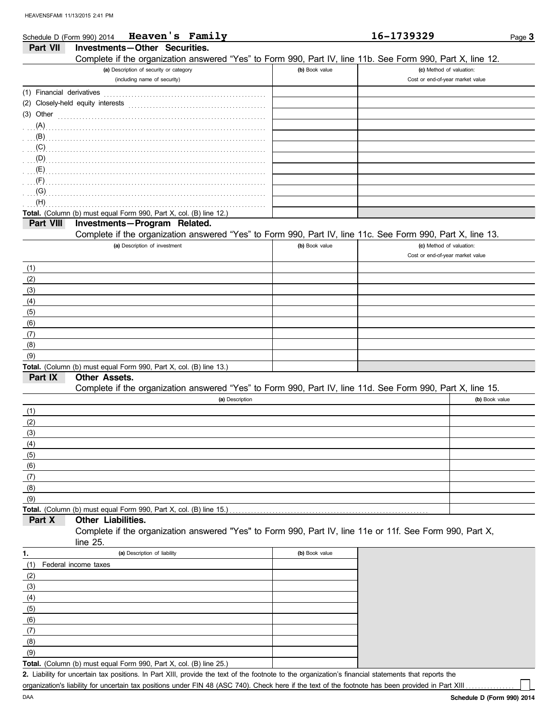| Schedule D (Form 990) 2014 | Heaven's Family                                                                                            |                | 16-1739329                       | Page 3         |
|----------------------------|------------------------------------------------------------------------------------------------------------|----------------|----------------------------------|----------------|
| Part VII                   | Investments-Other Securities.                                                                              |                |                                  |                |
|                            | Complete if the organization answered "Yes" to Form 990, Part IV, line 11b. See Form 990, Part X, line 12. |                |                                  |                |
|                            | (a) Description of security or category                                                                    | (b) Book value | (c) Method of valuation:         |                |
|                            | (including name of security)                                                                               |                | Cost or end-of-year market value |                |
| (1) Financial derivatives  |                                                                                                            |                |                                  |                |
|                            | (2) Closely-held equity interests                                                                          |                |                                  |                |
| (3) Other                  |                                                                                                            |                |                                  |                |
| (A)                        |                                                                                                            |                |                                  |                |
| (B)                        |                                                                                                            |                |                                  |                |
| (C)                        |                                                                                                            |                |                                  |                |
| (D)                        |                                                                                                            |                |                                  |                |
| (E)                        |                                                                                                            |                |                                  |                |
| (F)                        |                                                                                                            |                |                                  |                |
| (G)                        |                                                                                                            |                |                                  |                |
| (H)                        |                                                                                                            |                |                                  |                |
|                            | Total. (Column (b) must equal Form 990, Part X, col. (B) line 12.)                                         |                |                                  |                |
| Part VIII                  | Investments-Program Related.                                                                               |                |                                  |                |
|                            | Complete if the organization answered "Yes" to Form 990, Part IV, line 11c. See Form 990, Part X, line 13. |                |                                  |                |
|                            | (a) Description of investment                                                                              | (b) Book value | (c) Method of valuation:         |                |
|                            |                                                                                                            |                | Cost or end-of-year market value |                |
| (1)                        |                                                                                                            |                |                                  |                |
| (2)                        |                                                                                                            |                |                                  |                |
| (3)                        |                                                                                                            |                |                                  |                |
| (4)                        |                                                                                                            |                |                                  |                |
| (5)                        |                                                                                                            |                |                                  |                |
| (6)                        |                                                                                                            |                |                                  |                |
| (7)                        |                                                                                                            |                |                                  |                |
| (8)                        |                                                                                                            |                |                                  |                |
| (9)                        |                                                                                                            |                |                                  |                |
| Part IX                    | Total. (Column (b) must equal Form 990, Part X, col. (B) line 13.)<br><b>Other Assets.</b>                 |                |                                  |                |
|                            | Complete if the organization answered "Yes" to Form 990, Part IV, line 11d. See Form 990, Part X, line 15. |                |                                  |                |
|                            | (a) Description                                                                                            |                |                                  | (b) Book value |
|                            |                                                                                                            |                |                                  |                |
| (1)<br>(2)                 |                                                                                                            |                |                                  |                |
| (3)                        |                                                                                                            |                |                                  |                |
|                            |                                                                                                            |                |                                  |                |
| (4)<br>(5)                 |                                                                                                            |                |                                  |                |
| (6)                        |                                                                                                            |                |                                  |                |
| (7)                        |                                                                                                            |                |                                  |                |
| (8)                        |                                                                                                            |                |                                  |                |
| (9)                        |                                                                                                            |                |                                  |                |
|                            | Total. (Column (b) must equal Form 990, Part X, col. (B) line 15.)                                         |                |                                  |                |
| Part X                     | <b>Other Liabilities.</b>                                                                                  |                |                                  |                |
|                            | Complete if the organization answered "Yes" to Form 990, Part IV, line 11e or 11f. See Form 990, Part X,   |                |                                  |                |
|                            | line 25.                                                                                                   |                |                                  |                |
| 1.                         | (a) Description of liability                                                                               | (b) Book value |                                  |                |
| (1)                        | Federal income taxes                                                                                       |                |                                  |                |
| (2)                        |                                                                                                            |                |                                  |                |
| (3)                        |                                                                                                            |                |                                  |                |
| (4)                        |                                                                                                            |                |                                  |                |
| (5)                        |                                                                                                            |                |                                  |                |
| (6)                        |                                                                                                            |                |                                  |                |

**Total.** (Column (b) must equal Form 990, Part X, col. (B) line 25.)  $(9)$ 

Liability for uncertain tax positions. In Part XIII, provide the text of the footnote to the organization's financial statements that reports the **2.** organization's liability for uncertain tax positions under FIN 48 (ASC 740). Check here if the text of the footnote has been provided in Part XIII

(8) (7)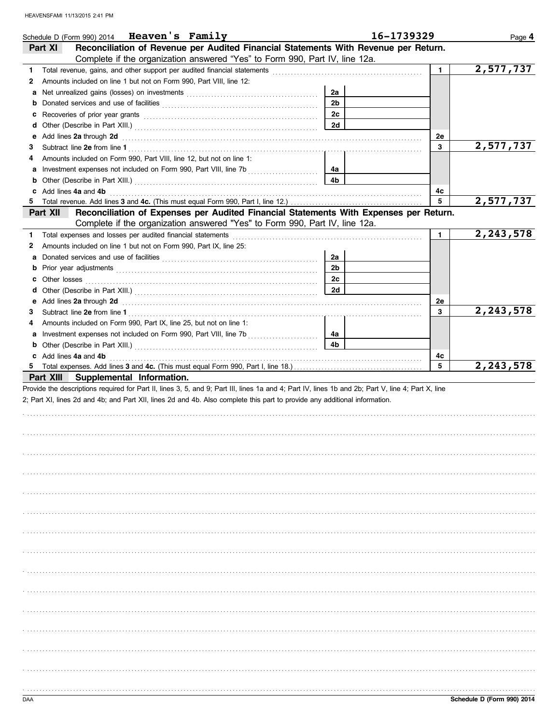|        | Schedule D (Form 990) 2014 <b>Heaven's Family</b>                                                                                                                                                                                        |                | 16-1739329     | Page 4                 |
|--------|------------------------------------------------------------------------------------------------------------------------------------------------------------------------------------------------------------------------------------------|----------------|----------------|------------------------|
|        | Reconciliation of Revenue per Audited Financial Statements With Revenue per Return.<br>Part XI<br>Complete if the organization answered "Yes" to Form 990, Part IV, line 12a.                                                            |                |                |                        |
|        |                                                                                                                                                                                                                                          |                | $\blacksquare$ | 2,577,737              |
| 1<br>2 | Amounts included on line 1 but not on Form 990, Part VIII, line 12:                                                                                                                                                                      |                |                |                        |
|        | a Net unrealized gains (losses) on investments [11] [11] Net also have not also have not also have not all net                                                                                                                           | 2a             |                |                        |
|        |                                                                                                                                                                                                                                          | 2 <sub>b</sub> |                |                        |
| c      | <b>b</b> Donated services and use of facilities <b>constants</b> and the service of the service of the service of the service of the service of the service of the service of the service of the service of the service of the service o | 2c             |                |                        |
|        |                                                                                                                                                                                                                                          | 2d             |                |                        |
|        |                                                                                                                                                                                                                                          |                | 2e             |                        |
| 3      | e Add lines 2a through 2d (and all contains and all contains and all contains and all contains and all contains and all contains and all contains and all contains and all contains and all contains and all contains and all            |                | 3              | 2,577,737              |
| 4      | Amounts included on Form 990, Part VIII, line 12, but not on line 1:                                                                                                                                                                     |                |                |                        |
|        |                                                                                                                                                                                                                                          | 4a             |                |                        |
|        |                                                                                                                                                                                                                                          | 4b             |                |                        |
|        | c Add lines 4a and 4b                                                                                                                                                                                                                    |                | 4c             |                        |
|        |                                                                                                                                                                                                                                          |                | 5              | 2,577,737              |
|        | Reconciliation of Expenses per Audited Financial Statements With Expenses per Return.<br>Part XII                                                                                                                                        |                |                |                        |
|        | Complete if the organization answered "Yes" to Form 990, Part IV, line 12a.                                                                                                                                                              |                |                |                        |
| 1      | Total expenses and losses per audited financial statements                                                                                                                                                                               |                | $\mathbf{1}$   | $\overline{2,243,578}$ |
| 2      | Amounts included on line 1 but not on Form 990, Part IX, line 25:                                                                                                                                                                        |                |                |                        |
|        |                                                                                                                                                                                                                                          | 2a             |                |                        |
|        |                                                                                                                                                                                                                                          | 2 <sub>b</sub> |                |                        |
|        |                                                                                                                                                                                                                                          | 2c             |                |                        |
|        |                                                                                                                                                                                                                                          | 2d             |                |                        |
|        |                                                                                                                                                                                                                                          |                |                |                        |
|        | e Add lines 2a through 2d (and all contains and all contains and all contains and all contains and all contains and all contains and all contains and all contains and all contains and all contains and all contains and all            |                | 2e             | 2, 243, 578            |
| З.     |                                                                                                                                                                                                                                          |                | 3              |                        |
| 4      | Amounts included on Form 990, Part IX, line 25, but not on line 1:                                                                                                                                                                       |                |                |                        |
|        |                                                                                                                                                                                                                                          | 4a             |                |                        |
|        |                                                                                                                                                                                                                                          | 4b             |                |                        |
|        | c Add lines 4a and 4b                                                                                                                                                                                                                    |                |                |                        |
|        |                                                                                                                                                                                                                                          |                | 4с             |                        |
|        |                                                                                                                                                                                                                                          |                | 5              | 2,243,578              |
|        | Part XIII Supplemental Information.                                                                                                                                                                                                      |                |                |                        |
|        | Provide the descriptions required for Part II, lines 3, 5, and 9; Part III, lines 1a and 4; Part IV, lines 1b and 2b; Part V, line 4; Part X, line                                                                                       |                |                |                        |
|        | 2; Part XI, lines 2d and 4b; and Part XII, lines 2d and 4b. Also complete this part to provide any additional information.                                                                                                               |                |                |                        |
|        |                                                                                                                                                                                                                                          |                |                |                        |
|        |                                                                                                                                                                                                                                          |                |                |                        |
|        |                                                                                                                                                                                                                                          |                |                |                        |
|        |                                                                                                                                                                                                                                          |                |                |                        |
|        |                                                                                                                                                                                                                                          |                |                |                        |
|        |                                                                                                                                                                                                                                          |                |                |                        |
|        |                                                                                                                                                                                                                                          |                |                |                        |
|        |                                                                                                                                                                                                                                          |                |                |                        |
|        |                                                                                                                                                                                                                                          |                |                |                        |
|        |                                                                                                                                                                                                                                          |                |                |                        |
|        |                                                                                                                                                                                                                                          |                |                |                        |
|        |                                                                                                                                                                                                                                          |                |                |                        |
|        |                                                                                                                                                                                                                                          |                |                |                        |
|        |                                                                                                                                                                                                                                          |                |                |                        |
|        |                                                                                                                                                                                                                                          |                |                |                        |
|        |                                                                                                                                                                                                                                          |                |                |                        |
|        |                                                                                                                                                                                                                                          |                |                |                        |
|        |                                                                                                                                                                                                                                          |                |                |                        |
|        |                                                                                                                                                                                                                                          |                |                |                        |
|        |                                                                                                                                                                                                                                          |                |                |                        |
|        |                                                                                                                                                                                                                                          |                |                |                        |
|        |                                                                                                                                                                                                                                          |                |                |                        |
|        |                                                                                                                                                                                                                                          |                |                |                        |
|        |                                                                                                                                                                                                                                          |                |                |                        |
|        |                                                                                                                                                                                                                                          |                |                |                        |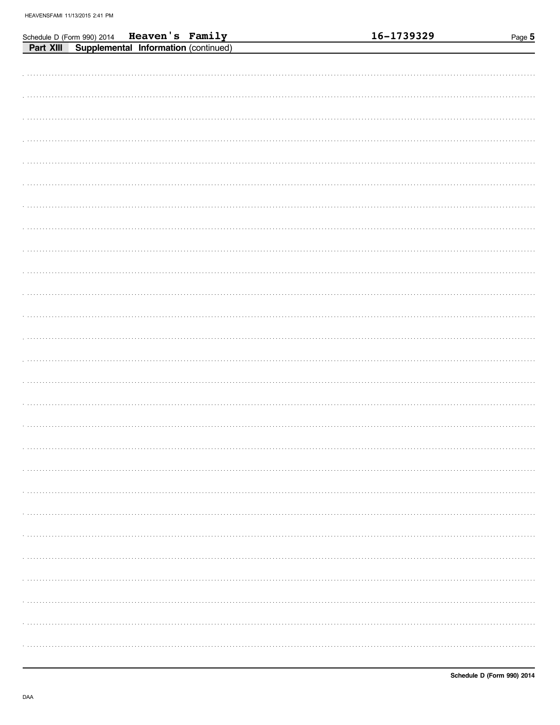| Schedule D (Form 990) 2014 Heaven's Family     |  |  | 16-1739329 | Page 5 |
|------------------------------------------------|--|--|------------|--------|
| Part XIII Supplemental Information (continued) |  |  |            |        |
|                                                |  |  |            |        |
|                                                |  |  |            |        |
|                                                |  |  |            |        |
|                                                |  |  |            |        |
|                                                |  |  |            |        |
|                                                |  |  |            |        |
|                                                |  |  |            |        |
|                                                |  |  |            |        |
|                                                |  |  |            |        |
|                                                |  |  |            |        |
|                                                |  |  |            |        |
|                                                |  |  |            |        |
|                                                |  |  |            |        |
|                                                |  |  |            |        |
|                                                |  |  |            |        |
|                                                |  |  |            |        |
|                                                |  |  |            |        |
|                                                |  |  |            |        |
|                                                |  |  |            |        |
|                                                |  |  |            |        |
|                                                |  |  |            |        |
|                                                |  |  |            |        |
|                                                |  |  |            |        |
|                                                |  |  |            |        |
|                                                |  |  |            |        |
|                                                |  |  |            |        |
|                                                |  |  |            |        |
|                                                |  |  |            |        |
|                                                |  |  |            |        |
|                                                |  |  |            |        |
|                                                |  |  |            |        |
|                                                |  |  |            |        |
|                                                |  |  |            |        |
|                                                |  |  |            |        |
|                                                |  |  |            |        |
|                                                |  |  |            |        |
|                                                |  |  |            |        |
|                                                |  |  |            |        |
|                                                |  |  |            |        |
|                                                |  |  |            |        |
|                                                |  |  |            |        |
|                                                |  |  |            |        |
|                                                |  |  |            |        |
|                                                |  |  |            |        |
|                                                |  |  |            |        |
|                                                |  |  |            |        |
|                                                |  |  |            |        |
|                                                |  |  |            |        |
|                                                |  |  |            |        |
|                                                |  |  |            |        |
|                                                |  |  |            |        |
|                                                |  |  |            |        |
|                                                |  |  |            |        |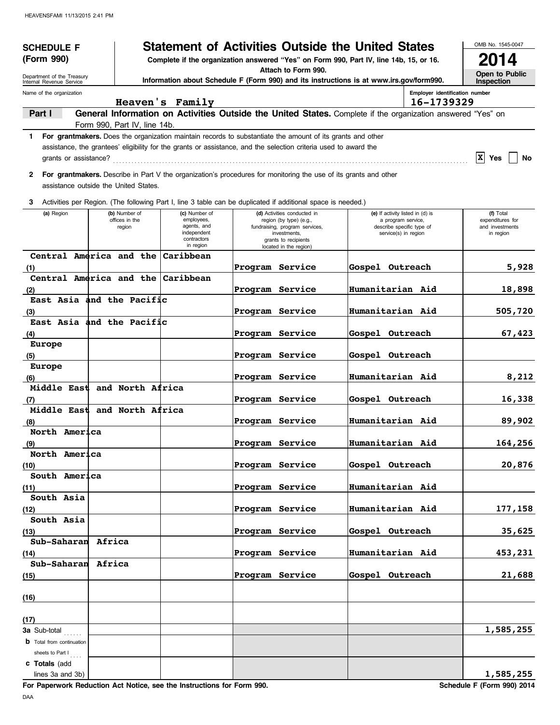| <b>SCHEDULE F</b>                                                                                                     | <b>Statement of Activities Outside the United States</b>                                |                                                        | OMB No. 1545-0047             |
|-----------------------------------------------------------------------------------------------------------------------|-----------------------------------------------------------------------------------------|--------------------------------------------------------|-------------------------------|
| (Form 990)                                                                                                            | Complete if the organization answered "Yes" on Form 990, Part IV, line 14b, 15, or 16.  |                                                        |                               |
| Department of the Treasury                                                                                            | Attach to Form 990.                                                                     |                                                        | Open to Public                |
| Internal Revenue Service                                                                                              | Information about Schedule F (Form 990) and its instructions is at www.irs.gov/form990. |                                                        | Inspection                    |
| Name of the organization<br>Heaven's Family                                                                           |                                                                                         | Employer identification number<br>16-1739329           |                               |
| General Information on Activities Outside the United States. Complete if the organization answered "Yes" on<br>Part I |                                                                                         |                                                        |                               |
| Form 990, Part IV, line 14b.                                                                                          |                                                                                         |                                                        |                               |
| For grantmakers. Does the organization maintain records to substantiate the amount of its grants and other<br>1.      |                                                                                         |                                                        |                               |
| assistance, the grantees' eligibility for the grants or assistance, and the selection criteria used to award the      |                                                                                         |                                                        | $ X $ Yes                     |
|                                                                                                                       |                                                                                         |                                                        | No                            |
| 2 For grantmakers. Describe in Part V the organization's procedures for monitoring the use of its grants and other    |                                                                                         |                                                        |                               |
| assistance outside the United States.                                                                                 |                                                                                         |                                                        |                               |
| Activities per Region. (The following Part I, line 3 table can be duplicated if additional space is needed.)<br>3     |                                                                                         |                                                        |                               |
| (a) Region<br>(b) Number of<br>(c) Number of<br>employees,<br>offices in the                                          | (d) Activities conducted in<br>region (by type) (e.g.,                                  | (e) If activity listed in (d) is<br>a program service, | (f) Total<br>expenditures for |
| agents, and<br>region<br>independent                                                                                  | fundraising, program services,<br>investments,                                          | describe specific type of<br>service(s) in region      | and investments<br>in region  |
| contractors<br>in region                                                                                              | grants to recipients                                                                    |                                                        |                               |
| Central America and the Caribbean                                                                                     | located in the region)                                                                  |                                                        |                               |
| (1)                                                                                                                   | Program Service                                                                         | Gospel Outreach                                        | 5,928                         |
| Central America and the Caribbean                                                                                     |                                                                                         |                                                        |                               |
| (2)                                                                                                                   | Program Service                                                                         | Humanitarian Aid                                       | 18,898                        |
| East Asia and the Pacific                                                                                             |                                                                                         |                                                        |                               |
| (3)<br>East Asia and the Pacific                                                                                      | Program Service                                                                         | Humanitarian Aid                                       | 505,720                       |
|                                                                                                                       | Program Service                                                                         | Gospel Outreach                                        | 67,423                        |
| (4)<br>Europe                                                                                                         |                                                                                         |                                                        |                               |
| (5)                                                                                                                   | Program Service                                                                         | Gospel Outreach                                        |                               |
| Europe                                                                                                                |                                                                                         |                                                        |                               |
| (6)                                                                                                                   | Program Service                                                                         | Humanitarian Aid                                       | 8,212                         |
| Middle East and North Africa                                                                                          |                                                                                         |                                                        |                               |
| (7)<br>Middle East and North Africa                                                                                   | Program Service                                                                         | Gospel Outreach                                        | 16,338                        |
| (8)                                                                                                                   | Program Service                                                                         | Humanitarian Aid                                       | 89,902                        |
| North America                                                                                                         |                                                                                         |                                                        |                               |
| (9)                                                                                                                   | <b>Program Service</b>                                                                  | <b>Humanitarian Aid</b>                                | 164,256                       |
| North America                                                                                                         |                                                                                         |                                                        |                               |
| (10)                                                                                                                  | Program Service                                                                         | Gospel Outreach                                        | 20,876                        |
| South America                                                                                                         | Program Service                                                                         | Humanitarian Aid                                       |                               |
| (11)<br>South Asia                                                                                                    |                                                                                         |                                                        |                               |
| (12)                                                                                                                  | Program Service                                                                         | Humanitarian Aid                                       | 177,158                       |
| South Asia                                                                                                            |                                                                                         |                                                        |                               |
| (13)                                                                                                                  | Program Service                                                                         | Gospel Outreach                                        | 35,625                        |
| Sub-Saharan Africa                                                                                                    |                                                                                         |                                                        |                               |
| (14)<br>Sub-Saharan Africa                                                                                            | Program Service                                                                         | Humanitarian Aid                                       | 453,231                       |
| (15)                                                                                                                  | Program Service                                                                         | Gospel Outreach                                        | 21,688                        |
|                                                                                                                       |                                                                                         |                                                        |                               |
| (16)                                                                                                                  |                                                                                         |                                                        |                               |
|                                                                                                                       |                                                                                         |                                                        |                               |
| (17)                                                                                                                  |                                                                                         |                                                        |                               |
| 3a Sub-total                                                                                                          |                                                                                         |                                                        | 1,585,255                     |
| <b>b</b> Total from continuation                                                                                      |                                                                                         |                                                        |                               |
| sheets to Part $I_{\ldots}$<br>c Totals (add                                                                          |                                                                                         |                                                        |                               |
| lines 3a and 3b)                                                                                                      |                                                                                         |                                                        | 1,585,255                     |

**For Paperwork Reduction Act Notice, see the Instructions for Form 990.** Schedule F (Form 990) 2014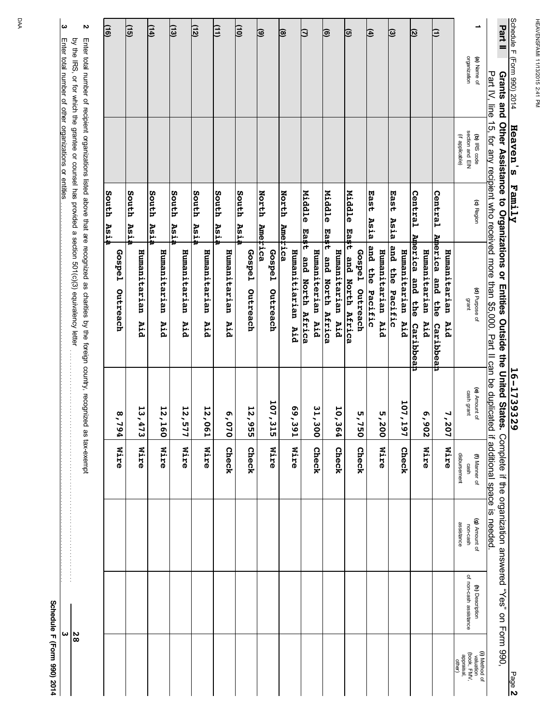| ω                                                     | Z                                                                                                                                                                                                                                     | $\overline{116}$   | <u>(15)</u>         |                     | <u>(14)</u>   |                     | <u>(13)</u>          | <u>(12)</u> |                     | Œ             |                     | $\overline{10}$ |                           | ම              |                    | ছ                |                      | ₿                |                  | ಠ                |                     | তি               |                 | 囝                  |                     | <u>ම</u>        |                     | Ø                            |                     | Ξ                            |                     |                      | ∸                                         | Part II                                                                                                                                                                                                     |                            |
|-------------------------------------------------------|---------------------------------------------------------------------------------------------------------------------------------------------------------------------------------------------------------------------------------------|--------------------|---------------------|---------------------|---------------|---------------------|----------------------|-------------|---------------------|---------------|---------------------|-----------------|---------------------------|----------------|--------------------|------------------|----------------------|------------------|------------------|------------------|---------------------|------------------|-----------------|--------------------|---------------------|-----------------|---------------------|------------------------------|---------------------|------------------------------|---------------------|----------------------|-------------------------------------------|-------------------------------------------------------------------------------------------------------------------------------------------------------------------------------------------------------------|----------------------------|
|                                                       |                                                                                                                                                                                                                                       |                    |                     |                     |               |                     |                      |             |                     |               |                     |                 |                           |                |                    |                  |                      |                  |                  |                  |                     |                  |                 |                    |                     |                 |                     |                              |                     |                              |                     |                      | organization<br>(a) Name of               | Part IV, line                                                                                                                                                                                               | Schedule F (Form 990) 2014 |
| Enter total number of other organizations or entities |                                                                                                                                                                                                                                       |                    |                     |                     |               |                     |                      |             |                     |               |                     |                 |                           |                |                    |                  |                      |                  |                  |                  |                     |                  |                 |                    |                     |                 |                     |                              |                     |                              |                     | (if applicable)      | section and EIN<br>(b) IRS code           |                                                                                                                                                                                                             | Heaven's                   |
|                                                       |                                                                                                                                                                                                                                       | South<br>Asia      | South<br><b>Asi</b> |                     | South<br>Asia |                     | <b>South</b><br>Asia | South       | Asia                | South<br>Asia |                     | South<br>Asia   |                           | North          |                    | North<br>Ametica |                      | Middle<br>Ea\$t  |                  | Middle<br>East   |                     | Middle<br>Ea\$t  |                 | East<br>Asia       |                     | East<br>Asia    |                     | Central                      |                     | Central                      |                     |                      | (c) Region                                |                                                                                                                                                                                                             | <b>Family</b>              |
|                                                       | by the IRS, or for which the grantee or counsel has provided a section 501(c)(3) equivalency letter<br>Enter total number of recipient organizations listed above that are recognized as charities by the foreign country, recognized | Gospe1<br>Outreach |                     | Humanitarian<br>Aid |               | Humanitarian<br>Aid | Humanitarian         | Aid         | Humanitarian<br>Aid |               | Humanitarian<br>Aid |                 | <b>Gospe1</b><br>Outreach | <b>America</b> | Gospe1<br>Outreach |                  | Humanitiarian<br>Aid | and North Africa | Humaniterian Aid | and North Africa | Humanitarian<br>Aid | and North Africa | Gospel Outreach | and the<br>Pacific | Humanitarian<br>Aid | and the Pacific | Humanitarian<br>Aid | Anerica and the<br>Caribbeah | Humanitarian<br>Aid | America and the<br>Caribbeah | Humanitarian<br>Aid |                      | (d) Purpose of<br>grant                   | Grams and Other Nessistance to Ordanizations or Hitlies outside the function of the Square<br>15, for any recipient who received more than \$5,000. Part II can be duplicated if additional space is needed |                            |
|                                                       |                                                                                                                                                                                                                                       | 8,794              |                     | 13,47<br>ω          |               | 12,160              |                      | 12,57<br>2  | 12,061              |               | 6,0.7<br>ă          |                 | 12,955                    |                | 107, 315           |                  | E6E'69               |                  | 31,300           |                  | 10,364              |                  | 5,750           |                    | 5,200               |                 | 107,197             |                              | 6,902               |                              | 7,207               |                      | (e) Amount of<br>cash grant               |                                                                                                                                                                                                             | 16-1739329                 |
|                                                       | as tax-exempt                                                                                                                                                                                                                         | Nire               |                     | Nire                |               | Nire                | Nire                 |             | Nire                |               | Check               |                 | Check                     |                | Nire               |                  | <b>Nire</b>          |                  | Check            |                  | Check               |                  | Check           |                    | Mire                |                 | Check               |                              | Mire                |                              | Mire                | disbursement         | (f) Manner of<br>cash                     |                                                                                                                                                                                                             |                            |
|                                                       |                                                                                                                                                                                                                                       |                    |                     |                     |               |                     |                      |             |                     |               |                     |                 |                           |                |                    |                  |                      |                  |                  |                  |                     |                  |                 |                    |                     |                 |                     |                              |                     |                              |                     | assistance           | (g) Amount of<br>non-cash                 |                                                                                                                                                                                                             |                            |
| ω                                                     |                                                                                                                                                                                                                                       |                    |                     |                     |               |                     |                      |             |                     |               |                     |                 |                           |                |                    |                  |                      |                  |                  |                  |                     |                  |                 |                    |                     |                 |                     |                              |                     |                              |                     |                      | of non-cash assistance<br>(h) Description | Complete if the organization answered "Yes" on Form 990,                                                                                                                                                    |                            |
|                                                       | 28                                                                                                                                                                                                                                    |                    |                     |                     |               |                     |                      |             |                     |               |                     |                 |                           |                |                    |                  |                      |                  |                  |                  |                     |                  |                 |                    |                     |                 |                     |                              |                     |                              |                     | appraisal,<br>other) | (i) Method of<br>valuation<br>(book, FMV, |                                                                                                                                                                                                             | Page 2                     |

Schedule F (Form 990) 2014 **Schedule F (Form 990) 2014**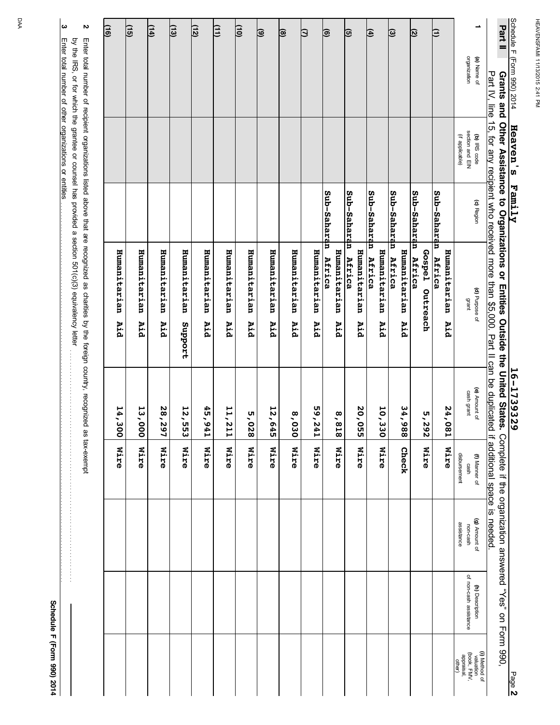|                                                                |                         | $16 - 1739329$                                                                                                                                                 |                                                                                                                                                                                                                                                                                                                                                           |                                         |                                                                                                                             | Page 2                                                            |
|----------------------------------------------------------------|-------------------------|----------------------------------------------------------------------------------------------------------------------------------------------------------------|-----------------------------------------------------------------------------------------------------------------------------------------------------------------------------------------------------------------------------------------------------------------------------------------------------------------------------------------------------------|-----------------------------------------|-----------------------------------------------------------------------------------------------------------------------------|-------------------------------------------------------------------|
|                                                                |                         |                                                                                                                                                                |                                                                                                                                                                                                                                                                                                                                                           |                                         |                                                                                                                             |                                                                   |
| (c) Region                                                     | (d) Purpose of<br>grant | (e) Amount of<br>cash grant                                                                                                                                    | disbursement<br>(f) Manner of<br>cash                                                                                                                                                                                                                                                                                                                     | (g) Amount of<br>assistance<br>non-cash | of non-cash assistance<br>(h) Description                                                                                   | (i) Method of<br>valuation<br>(book, FMV,<br>appraisal,<br>other) |
|                                                                | Humanitarian<br>Aid     | 24,0<br>$\overline{18}$                                                                                                                                        | <b>Nire</b>                                                                                                                                                                                                                                                                                                                                               |                                         |                                                                                                                             |                                                                   |
|                                                                |                         |                                                                                                                                                                |                                                                                                                                                                                                                                                                                                                                                           |                                         |                                                                                                                             |                                                                   |
|                                                                | Africa                  |                                                                                                                                                                |                                                                                                                                                                                                                                                                                                                                                           |                                         |                                                                                                                             |                                                                   |
|                                                                | Humanitarian<br>Aid     | 34,988                                                                                                                                                         | Check                                                                                                                                                                                                                                                                                                                                                     |                                         |                                                                                                                             |                                                                   |
|                                                                | Humanitarian<br>Aid     | 10,330                                                                                                                                                         | <b>Wire</b>                                                                                                                                                                                                                                                                                                                                               |                                         |                                                                                                                             |                                                                   |
|                                                                | Africa                  |                                                                                                                                                                |                                                                                                                                                                                                                                                                                                                                                           |                                         |                                                                                                                             |                                                                   |
|                                                                | Humanitarian<br>Aid     | <b>20,055</b>                                                                                                                                                  | <b>Nire</b>                                                                                                                                                                                                                                                                                                                                               |                                         |                                                                                                                             |                                                                   |
|                                                                |                         |                                                                                                                                                                |                                                                                                                                                                                                                                                                                                                                                           |                                         |                                                                                                                             |                                                                   |
|                                                                | Africa                  |                                                                                                                                                                |                                                                                                                                                                                                                                                                                                                                                           |                                         |                                                                                                                             |                                                                   |
|                                                                | Humanitarian<br>Aid     | 59,241                                                                                                                                                         | Mire                                                                                                                                                                                                                                                                                                                                                      |                                         |                                                                                                                             |                                                                   |
|                                                                | Humanitarian<br>Aid     | $\sigma'$<br>$rac{6}{5}$                                                                                                                                       | Nire                                                                                                                                                                                                                                                                                                                                                      |                                         |                                                                                                                             |                                                                   |
|                                                                | Humanitarian<br>Aid     | 12,645                                                                                                                                                         | Mire                                                                                                                                                                                                                                                                                                                                                      |                                         |                                                                                                                             |                                                                   |
|                                                                | Humanitarian<br>Aid     | 5,028                                                                                                                                                          | Mire                                                                                                                                                                                                                                                                                                                                                      |                                         |                                                                                                                             |                                                                   |
|                                                                | Humanitarian<br>Aid     | 11,211                                                                                                                                                         | Mire                                                                                                                                                                                                                                                                                                                                                      |                                         |                                                                                                                             |                                                                   |
|                                                                | Humanitarian<br>Aid     | 6'56<br>$\frac{1}{4}$                                                                                                                                          | <b>Nire</b>                                                                                                                                                                                                                                                                                                                                               |                                         |                                                                                                                             |                                                                   |
|                                                                | Humanitarian            | 12,5<br>ິຕ<br>ຜ                                                                                                                                                | Mire                                                                                                                                                                                                                                                                                                                                                      |                                         |                                                                                                                             |                                                                   |
|                                                                | Humanitarian<br>Aid     | 28,297                                                                                                                                                         | Mire                                                                                                                                                                                                                                                                                                                                                      |                                         |                                                                                                                             |                                                                   |
|                                                                | Humanitarian<br>Aid     | 13,000                                                                                                                                                         | <b>Wire</b>                                                                                                                                                                                                                                                                                                                                               |                                         |                                                                                                                             |                                                                   |
|                                                                | Humanitarian<br>Aid     | 14,300                                                                                                                                                         | <b>Nire</b>                                                                                                                                                                                                                                                                                                                                               |                                         |                                                                                                                             |                                                                   |
|                                                                |                         |                                                                                                                                                                |                                                                                                                                                                                                                                                                                                                                                           |                                         |                                                                                                                             |                                                                   |
| Heaven's<br>section and EIN<br>(b) IRS code<br>(if applicable) | <b>Family</b>           | Sub-Saharan<br>Sub-Saharan<br>Sub-Saharan<br>Sub-Saharan<br>Sub-Saharan<br>Sub-Saharan<br>Humanitarian<br>Gospel Outreach<br>Africa<br>Africa<br>Africa<br>Aid | by the IRS, or for which the grantee or counsel has provided a section 501(c)(3) equivalency letter<br>Enter total number of recipient organizations listed above that are recognized as charities by the foreign country, recognized<br>Grants and Other Assistance to Organizations or Entities Outside the United States.<br>Support<br>818'8<br>5,292 | as tax-exempt<br>Mire<br>Mire           | Part IV, line 15, for any recipient who received more than \$5,000. Part II can be duplicated if additional space is needed | Complete if the organization answered "Yes" on Form 990,<br>.     |

DAA

**3**

Enter total number of other organizations or entities

Enter total number of other organizations or entities remains and consider the construction of the constitution or entities and consider the constitution of entities or entities and consider the constitution of entities or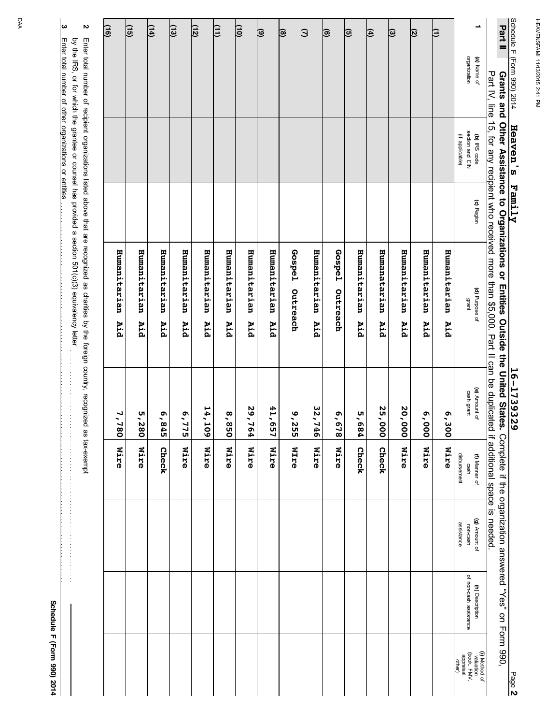| Schedule F (Form 990) 2014<br>Part II<br>Grants | and<br>Heaven's                                    | Family     | Other Assistance to Organizations or Entities Outside the United States.                                                                                                                                                       | 16-1739329                                               |                                       |                                         | Complete if the organization answered "Yes" on Form 990, | Page 2                                                            |
|-------------------------------------------------|----------------------------------------------------|------------|--------------------------------------------------------------------------------------------------------------------------------------------------------------------------------------------------------------------------------|----------------------------------------------------------|---------------------------------------|-----------------------------------------|----------------------------------------------------------|-------------------------------------------------------------------|
| Part IV,                                        | line<br>$\overline{15}$                            |            | for any recipient who received more than \$5,000.                                                                                                                                                                              | Part II can be duplicated if additional space is needed. |                                       |                                         |                                                          |                                                                   |
| ∸<br>organization<br>(a) Name of                | section and EIN<br>(if applicable)<br>(b) IRS code | (c) Region | (d) Purpose of<br>grant                                                                                                                                                                                                        | (e) Amount of<br>cash grant                              | disbursement<br>(f) Manner of<br>cash | (g) Amount of<br>assistance<br>non-cash | of non-cash assistance<br>(h) Description                | (i) Method of<br>valuation<br>(book, FMV,<br>appraisal,<br>other) |
| β                                               |                                                    |            | Humanitarian<br>Aid                                                                                                                                                                                                            | Ō<br>1,300                                               | <b>Nire</b>                           |                                         |                                                          |                                                                   |
| ত                                               |                                                    |            | Humanitarian<br>Aid                                                                                                                                                                                                            | 000'9                                                    | <b>Wire</b>                           |                                         |                                                          |                                                                   |
| $\circledcirc$                                  |                                                    |            | Humanitarian<br>Aid                                                                                                                                                                                                            | 20,000                                                   | Nire                                  |                                         |                                                          |                                                                   |
| 囝                                               |                                                    |            | Humanatarian<br>Aid                                                                                                                                                                                                            | 25,000                                                   | Check                                 |                                         |                                                          |                                                                   |
| ভি                                              |                                                    |            | Humanitarian<br>Aid                                                                                                                                                                                                            | .<br>~<br>584                                            | Check                                 |                                         |                                                          |                                                                   |
| ্ত                                              |                                                    |            | <b>Gospe1</b><br>Outreach                                                                                                                                                                                                      | 6,678                                                    | <b>Nire</b>                           |                                         |                                                          |                                                                   |
| Э                                               |                                                    |            | Humanitarian<br>Aid                                                                                                                                                                                                            | 32,746                                                   | <b>Wire</b>                           |                                         |                                                          |                                                                   |
| ම                                               |                                                    |            | <b>Gospe1</b><br>Outreach                                                                                                                                                                                                      | 9,255                                                    | <b>MITE</b>                           |                                         |                                                          |                                                                   |
| $\circledcirc$                                  |                                                    |            | Humanitarian<br>Aid                                                                                                                                                                                                            | 41,657                                                   | <b>Nire</b>                           |                                         |                                                          |                                                                   |
| $\overline{10}$                                 |                                                    |            | Humanitarian<br>Aid                                                                                                                                                                                                            | 29,<br>164                                               | Mire                                  |                                         |                                                          |                                                                   |
| Œ                                               |                                                    |            | Humanitarian<br>Aid                                                                                                                                                                                                            | 058'8                                                    | <b>Wire</b>                           |                                         |                                                          |                                                                   |
| <u>(12)</u>                                     |                                                    |            | Humanitarian<br>Aid                                                                                                                                                                                                            | 14,109                                                   | Mire                                  |                                         |                                                          |                                                                   |
| (13)                                            |                                                    |            | Humanitarian<br>Aid                                                                                                                                                                                                            | $\tilde{\mathcal{L}}$<br>775                             | <b>Wire</b>                           |                                         |                                                          |                                                                   |
| <u>(14)</u>                                     |                                                    |            | Humanitarian<br>Aid                                                                                                                                                                                                            | 6,845                                                    | Check                                 |                                         |                                                          |                                                                   |
| <u>(15)</u>                                     |                                                    |            | Humanitarian<br>Aid                                                                                                                                                                                                            | 5,280                                                    | <b>Wire</b>                           |                                         |                                                          |                                                                   |
| (16)                                            |                                                    |            | Humanitarian<br>Aid                                                                                                                                                                                                            | 7,7<br>$\overline{8}$                                    | Mire                                  |                                         |                                                          |                                                                   |
| N                                               |                                                    |            | hulter total number of redication controller as the figure of the section of the distribution of the digino column of the digino controller as keyearing to the diginal condition of the digino controller of the digino contr |                                                          |                                       |                                         |                                                          |                                                                   |

**3 2** Enter total number of recipient organizations listed above that are recognized as charities by the foreign country, recognized as tax-exempt<br>by the IRS, or for which the grantee or counsel has provided a section 501(c)(3) Enter total number of other organizations or entities Enter total number of other organizations or entities remains and consider the construction of the constitution or entities and consider the constitution of entities or entities and consider the constitution of entities or by the IRS, or for which the grantee or counsel has provided a section 501(c)(3) equivalency letter . . . . . . . . . . . . . . . . . . . . . . . . . . . . . . . . . . . . . . . . . . . . . . . . . . . . . . . . . . . . . . . . . . . . . . . . . . . .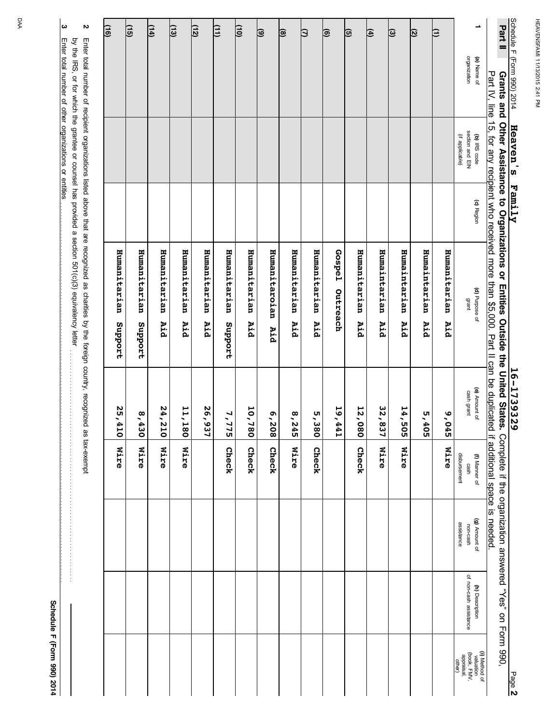| Part II<br>organization<br>(a) Name of<br>Part IV, line 15, for any recipient who received more than \$5,000. Part II can be duplicated if additional space is needed<br>Grants and Other Assistance to Organizations on Drosold the Unites.<br>(b) IRS code<br>(c) Region<br>(d) Purpose of<br>grant<br>(e) Amount of<br>cash grant<br>Complete if the organization answered "Yes" on Form 990,<br>(f) Manner of<br>cash<br>(g) Amount of<br>non-cash<br>(h) Description |                        |                                                         |
|---------------------------------------------------------------------------------------------------------------------------------------------------------------------------------------------------------------------------------------------------------------------------------------------------------------------------------------------------------------------------------------------------------------------------------------------------------------------------|------------------------|---------------------------------------------------------|
|                                                                                                                                                                                                                                                                                                                                                                                                                                                                           |                        |                                                         |
| section and EIN                                                                                                                                                                                                                                                                                                                                                                                                                                                           | of non-cash assistance | (i) Method of<br>valuation<br>(book, FMV,<br>appraisal, |
| (if applicable)<br>Humanitarian<br>Aid<br>9,045<br><b>Nire</b><br>disbursement                                                                                                                                                                                                                                                                                                                                                                                            |                        | other)                                                  |
| Ε                                                                                                                                                                                                                                                                                                                                                                                                                                                                         |                        |                                                         |
| Ø<br>Humaintarian<br>Aid<br>5,405                                                                                                                                                                                                                                                                                                                                                                                                                                         |                        |                                                         |
| $\circ$<br>Humaintarian<br>Aid<br>14,505<br>Mire                                                                                                                                                                                                                                                                                                                                                                                                                          |                        |                                                         |
| (⊕<br>Humaintarian<br>Aid<br>32,837<br><b>Nire</b>                                                                                                                                                                                                                                                                                                                                                                                                                        |                        |                                                         |
| ভি<br>Humanitarian<br>Aid<br>12,0<br>$\overline{8}$<br>Check                                                                                                                                                                                                                                                                                                                                                                                                              |                        |                                                         |
| ಠ<br>Gospe1<br>Outreach<br>19,441                                                                                                                                                                                                                                                                                                                                                                                                                                         |                        |                                                         |
| β<br>Humanitarian<br>Aid<br>ι<br>Ω<br>ω<br>$\overline{8}$<br>Check                                                                                                                                                                                                                                                                                                                                                                                                        |                        |                                                         |
| ®<br>Humanitarian<br>Aid<br>8,2<br>ä<br><b>Nire</b>                                                                                                                                                                                                                                                                                                                                                                                                                       |                        |                                                         |
| $\circledcirc$<br>Humanitaroian<br>Aid<br>6,208<br>Check                                                                                                                                                                                                                                                                                                                                                                                                                  |                        |                                                         |
| $\overline{10}$<br>Humanitarian<br>Aid<br>10,7<br>$\overline{8}$<br>Check                                                                                                                                                                                                                                                                                                                                                                                                 |                        |                                                         |
| 印<br>Humanitarian<br>Support<br>7,7<br>ry<br>S<br>Check                                                                                                                                                                                                                                                                                                                                                                                                                   |                        |                                                         |
| <u>(12)</u><br>Humanitarian<br>Aid<br>26,937                                                                                                                                                                                                                                                                                                                                                                                                                              |                        |                                                         |
| (13)<br>Humanitarian<br>Aid<br>11, 1<br>$\overline{8}$<br>Mire                                                                                                                                                                                                                                                                                                                                                                                                            |                        |                                                         |
| $\overline{14}$<br>Humanitarian<br>Aid<br>24,2<br>50<br>Mire                                                                                                                                                                                                                                                                                                                                                                                                              |                        |                                                         |
| <u>(15)</u><br>Humanitarian<br>Support<br>8,4<br>تة<br>0<br>Mire                                                                                                                                                                                                                                                                                                                                                                                                          |                        |                                                         |
| (16)<br>Humanitarian<br>Support<br>25,4<br>ō<br>Mire                                                                                                                                                                                                                                                                                                                                                                                                                      |                        |                                                         |
| N<br>Enter total number of recipient organizations listed above that are recognized as charities by the foreign country, recognized<br>by the IRS, or for which the grantee or counsel has provided a section 501(c)(3) equivalency letter<br>as tax-exempt<br><b>+++++++++++++++</b>                                                                                                                                                                                     |                        |                                                         |

DAA

**3**

Enter total number of other organizations or entities

Enter total number of other organizations or entities remains and consider the construction of the constitution or entities and consider the constitution of entities or entities and consider the constitution of entities or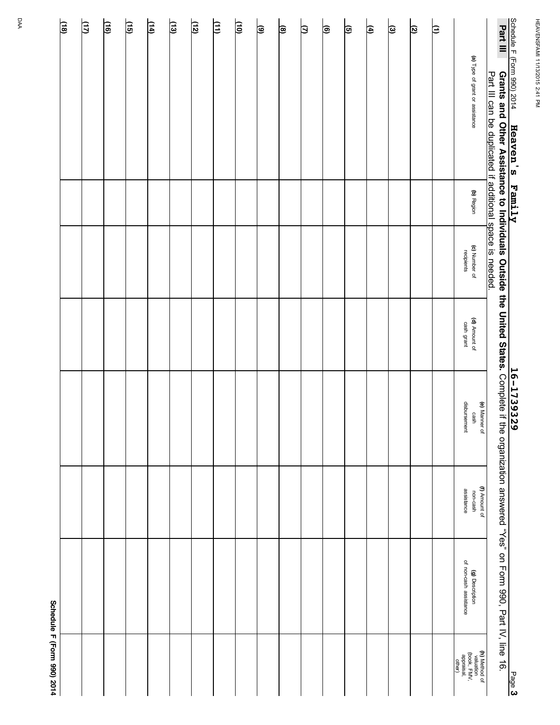| <u>(18)</u> | $\overline{2}$ | $\overline{(16)}$ | 间 | $\mathbb{E}$ | 国 | <u>(12)</u> | 闫 | $\overline{\Xi}$ | ම | ⊜ | β | ∣® | তি | $\Xi$ | <u>ම</u> | ত | β |                                                                   |                                                           | Part III                                                                                                                                                                               |                            |
|-------------|----------------|-------------------|---|--------------|---|-------------|---|------------------|---|---|---|----|----|-------|----------|---|---|-------------------------------------------------------------------|-----------------------------------------------------------|----------------------------------------------------------------------------------------------------------------------------------------------------------------------------------------|----------------------------|
|             |                |                   |   |              |   |             |   |                  |   |   |   |    |    |       |          |   |   | (a) Type of grant or assistance                                   | Part III can be duplicated if additional space is needed. |                                                                                                                                                                                        | Schedule F (Form 990) 2014 |
|             |                |                   |   |              |   |             |   |                  |   |   |   |    |    |       |          |   |   |                                                                   |                                                           |                                                                                                                                                                                        |                            |
|             |                |                   |   |              |   |             |   |                  |   |   |   |    |    |       |          |   |   | (b) Region                                                        |                                                           |                                                                                                                                                                                        |                            |
|             |                |                   |   |              |   |             |   |                  |   |   |   |    |    |       |          |   |   | (c) Number of<br>recipients                                       |                                                           |                                                                                                                                                                                        |                            |
|             |                |                   |   |              |   |             |   |                  |   |   |   |    |    |       |          |   |   | (d) Amount of<br>cash grant                                       |                                                           |                                                                                                                                                                                        |                            |
|             |                |                   |   |              |   |             |   |                  |   |   |   |    |    |       |          |   |   | disbursement<br>cash                                              | (e) Manner of                                             |                                                                                                                                                                                        |                            |
|             |                |                   |   |              |   |             |   |                  |   |   |   |    |    |       |          |   |   | assistance<br>non-cash                                            | (f) Amount of                                             |                                                                                                                                                                                        |                            |
|             |                |                   |   |              |   |             |   |                  |   |   |   |    |    |       |          |   |   | of non-cash assistance<br>(g) Description                         |                                                           | m 990) 2014 <b>Heaven's Family</b><br>Grants and Other Assistance to Individuals Outside the United States. Complete if the organization answered "Yes" on Form 990, Part IV, line 16. |                            |
|             |                |                   |   |              |   |             |   |                  |   |   |   |    |    |       |          |   |   | (h) Method of<br>valuation<br>(book, FMV,<br>appraisal,<br>other) |                                                           |                                                                                                                                                                                        | Page 3                     |

Schedule F (Form 990) 2014 **Schedule F (Form 990) 2014**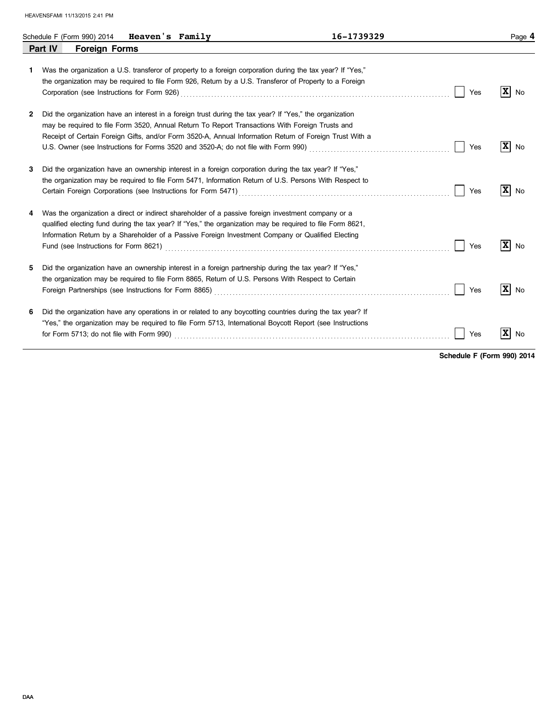|    | Heaven's Family<br>Schedule F (Form 990) 2014                                                                                                                                                                                                                                                                                                                                                                                                       | 16-1739329 |     | Page 4                        |
|----|-----------------------------------------------------------------------------------------------------------------------------------------------------------------------------------------------------------------------------------------------------------------------------------------------------------------------------------------------------------------------------------------------------------------------------------------------------|------------|-----|-------------------------------|
|    | Part IV<br><b>Foreign Forms</b>                                                                                                                                                                                                                                                                                                                                                                                                                     |            |     |                               |
| 1. | Was the organization a U.S. transferor of property to a foreign corporation during the tax year? If "Yes,"<br>the organization may be required to file Form 926, Return by a U.S. Transferor of Property to a Foreign                                                                                                                                                                                                                               |            | Yes | $\mathbf{x}$<br>No            |
| 2  | Did the organization have an interest in a foreign trust during the tax year? If "Yes," the organization<br>may be required to file Form 3520, Annual Return To Report Transactions With Foreign Trusts and<br>Receipt of Certain Foreign Gifts, and/or Form 3520-A, Annual Information Return of Foreign Trust With a                                                                                                                              |            | Yes | $\mathbf{x}$<br>No            |
| 3  | Did the organization have an ownership interest in a foreign corporation during the tax year? If "Yes,"<br>the organization may be required to file Form 5471, Information Return of U.S. Persons With Respect to<br>Certain Foreign Corporations (see Instructions for Form 5471) [[20] Contains contains a container container contains a container container container container container container container container container container con |            | Yes | $\mathbf{x}$<br>No            |
| 4  | Was the organization a direct or indirect shareholder of a passive foreign investment company or a<br>qualified electing fund during the tax year? If "Yes," the organization may be required to file Form 8621,<br>Information Return by a Shareholder of a Passive Foreign Investment Company or Qualified Electing                                                                                                                               |            | Yes | $\overline{\mathbf{x}}$<br>No |
| 5  | Did the organization have an ownership interest in a foreign partnership during the tax year? If "Yes,"<br>the organization may be required to file Form 8865, Return of U.S. Persons With Respect to Certain<br>Foreign Partnerships (see Instructions for Form 8865) [[20] Case Construction Construction Construction Construction Construction Construction Construction Construction Construction Construction Construction Construction C     |            | Yes | $\mathbf{x}$<br>No            |
| 6  | Did the organization have any operations in or related to any boycotting countries during the tax year? If<br>"Yes," the organization may be required to file Form 5713, International Boycott Report (see Instructions                                                                                                                                                                                                                             |            | Yes | $\overline{\mathbf{x}}$<br>No |

**Schedule F (Form 990) 2014**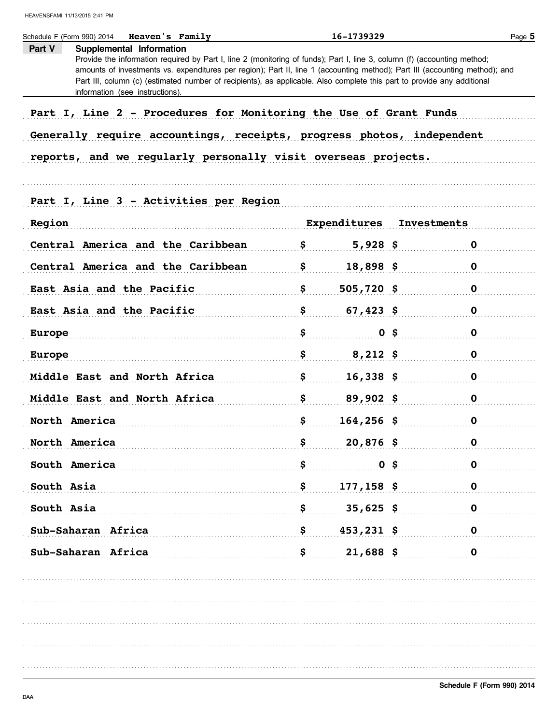| <b>Heaven's Family</b><br>Schedule F (Form 990) 2014                  | 16-1739329                                                                                                                                                                                                                                                                                                                                                                         |             | Page 5 |  |  |
|-----------------------------------------------------------------------|------------------------------------------------------------------------------------------------------------------------------------------------------------------------------------------------------------------------------------------------------------------------------------------------------------------------------------------------------------------------------------|-------------|--------|--|--|
| Supplemental Information<br>Part V<br>information (see instructions). | Provide the information required by Part I, line 2 (monitoring of funds); Part I, line 3, column (f) (accounting method;<br>amounts of investments vs. expenditures per region); Part II, line 1 (accounting method); Part III (accounting method); and<br>Part III, column (c) (estimated number of recipients), as applicable. Also complete this part to provide any additional |             |        |  |  |
| Part I, Line 2 - Procedures for Monitoring the Use of Grant Funds     |                                                                                                                                                                                                                                                                                                                                                                                    |             |        |  |  |
| Generally require accountings, receipts, progress photos, independent |                                                                                                                                                                                                                                                                                                                                                                                    |             |        |  |  |
| reports, and we regularly personally visit overseas projects.         |                                                                                                                                                                                                                                                                                                                                                                                    |             |        |  |  |
|                                                                       |                                                                                                                                                                                                                                                                                                                                                                                    |             |        |  |  |
| Part I, Line 3 - Activities per Region                                |                                                                                                                                                                                                                                                                                                                                                                                    |             |        |  |  |
| Region                                                                | Expenditures                                                                                                                                                                                                                                                                                                                                                                       | Investments |        |  |  |
| Central America and the Caribbean                                     | \$<br>$5,928$ \$                                                                                                                                                                                                                                                                                                                                                                   | 0           |        |  |  |
| Central America and the Caribbean                                     | \$<br>$18,898$ \$                                                                                                                                                                                                                                                                                                                                                                  | 0           |        |  |  |
| East Asia and the Pacific                                             | \$<br>$505,720$ \$                                                                                                                                                                                                                                                                                                                                                                 | 0           |        |  |  |
| East Asia and the Pacific                                             | \$<br>$67,423$ \$                                                                                                                                                                                                                                                                                                                                                                  | 0           |        |  |  |
| <b>Europe</b>                                                         | \$<br>$0$ \$                                                                                                                                                                                                                                                                                                                                                                       | $\mathbf 0$ |        |  |  |
| <b>Europe</b>                                                         | \$<br>$8,212$ \$                                                                                                                                                                                                                                                                                                                                                                   | 0           |        |  |  |
| Middle East and North Africa                                          | \$<br>$16,338$ \$                                                                                                                                                                                                                                                                                                                                                                  | 0           |        |  |  |
| Middle East and North Africa                                          | \$<br>$89,902$ \$                                                                                                                                                                                                                                                                                                                                                                  | 0           |        |  |  |
| North America                                                         | \$<br>$164, 256$ \$                                                                                                                                                                                                                                                                                                                                                                | 0           |        |  |  |
| North America                                                         | \$<br>$20,876$ \$                                                                                                                                                                                                                                                                                                                                                                  | $\mathbf 0$ |        |  |  |
| South America                                                         | \$<br>$0$ \$                                                                                                                                                                                                                                                                                                                                                                       | $\mathbf 0$ |        |  |  |
| South Asia                                                            | \$<br>$177, 158$ \$                                                                                                                                                                                                                                                                                                                                                                | $\mathbf 0$ |        |  |  |
| South Asia                                                            | \$<br>$35,625$ \$                                                                                                                                                                                                                                                                                                                                                                  | $\mathbf 0$ |        |  |  |
| Sub-Saharan Africa                                                    | \$<br>$453,231$ \$                                                                                                                                                                                                                                                                                                                                                                 | $\mathbf 0$ |        |  |  |
| Sub-Saharan Africa                                                    | \$<br>$21,688$ \$                                                                                                                                                                                                                                                                                                                                                                  | $\mathbf 0$ |        |  |  |
|                                                                       |                                                                                                                                                                                                                                                                                                                                                                                    |             |        |  |  |
|                                                                       |                                                                                                                                                                                                                                                                                                                                                                                    |             |        |  |  |
|                                                                       |                                                                                                                                                                                                                                                                                                                                                                                    |             |        |  |  |
|                                                                       |                                                                                                                                                                                                                                                                                                                                                                                    |             |        |  |  |
|                                                                       |                                                                                                                                                                                                                                                                                                                                                                                    |             |        |  |  |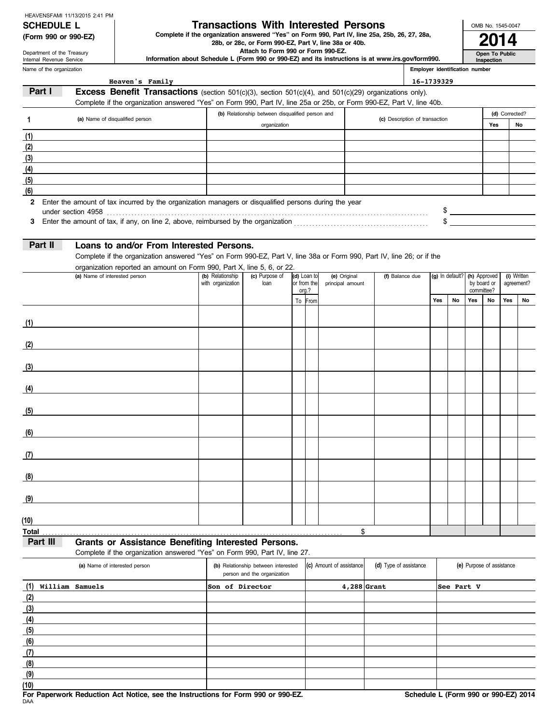## **SCHEDULE L Transactions With Interested Persons**

**(Form 990 or 990-EZ)** Complete if the organization answered "Yes" on Form 990, Part IV, line 25a, 25b, 26, 27, 28a,<br>28b, or 28c, or Form 990-EZ, Part V, line 38a or 40b.<br>**2014** 

 **Attach to Form 990 or Form 990-EZ.**

 **Information about Schedule L (Form 990 or 990-EZ) and its instructions is at www.irs.gov/form990.**

Name of the organization Department of the Treasury Internal Revenue Service

**(6) (5) (4) (3) (2)**

**(7) (8) (9) (10)**

**Inspection**

**Open To Public**

OMB No. 1545-0047

| Name of the organization |                                                                                                                       |                                       |                                                  |  |                            |                                  |                                | Employer identification number |     |                              |     |                           |     |                           |
|--------------------------|-----------------------------------------------------------------------------------------------------------------------|---------------------------------------|--------------------------------------------------|--|----------------------------|----------------------------------|--------------------------------|--------------------------------|-----|------------------------------|-----|---------------------------|-----|---------------------------|
|                          | Heaven's Family                                                                                                       |                                       |                                                  |  |                            |                                  |                                | 16-1739329                     |     |                              |     |                           |     |                           |
| Part I                   | <b>Excess Benefit Transactions</b> (section $501(c)(3)$ , section $501(c)(4)$ , and $501(c)(29)$ organizations only). |                                       |                                                  |  |                            |                                  |                                |                                |     |                              |     |                           |     |                           |
|                          | Complete if the organization answered "Yes" on Form 990, Part IV, line 25a or 25b, or Form 990-EZ, Part V, line 40b.  |                                       |                                                  |  |                            |                                  |                                |                                |     |                              |     |                           |     |                           |
| 1                        | (a) Name of disqualified person                                                                                       |                                       | (b) Relationship between disqualified person and |  |                            |                                  | (c) Description of transaction |                                |     |                              |     | (d) Corrected?            |     |                           |
|                          |                                                                                                                       |                                       | organization                                     |  |                            |                                  |                                |                                |     |                              |     | Yes                       |     | No                        |
| (1)                      |                                                                                                                       |                                       |                                                  |  |                            |                                  |                                |                                |     |                              |     |                           |     |                           |
| (2)                      |                                                                                                                       |                                       |                                                  |  |                            |                                  |                                |                                |     |                              |     |                           |     |                           |
| (3)                      |                                                                                                                       |                                       |                                                  |  |                            |                                  |                                |                                |     |                              |     |                           |     |                           |
| (4)                      |                                                                                                                       |                                       |                                                  |  |                            |                                  |                                |                                |     |                              |     |                           |     |                           |
| (5)                      |                                                                                                                       |                                       |                                                  |  |                            |                                  |                                |                                |     |                              |     |                           |     |                           |
| (6)                      |                                                                                                                       |                                       |                                                  |  |                            |                                  |                                |                                |     |                              |     |                           |     |                           |
|                          | 2 Enter the amount of tax incurred by the organization managers or disqualified persons during the year               |                                       |                                                  |  |                            |                                  |                                |                                |     |                              |     |                           |     |                           |
|                          |                                                                                                                       |                                       |                                                  |  |                            |                                  |                                |                                |     |                              |     |                           |     | $\frac{1}{2}$             |
| 3                        |                                                                                                                       |                                       |                                                  |  |                            |                                  |                                |                                |     |                              |     | $\frac{1}{2}$             |     |                           |
|                          |                                                                                                                       |                                       |                                                  |  |                            |                                  |                                |                                |     |                              |     |                           |     |                           |
| Part II                  | Loans to and/or From Interested Persons.                                                                              |                                       |                                                  |  |                            |                                  |                                |                                |     |                              |     |                           |     |                           |
|                          | Complete if the organization answered "Yes" on Form 990-EZ, Part V, line 38a or Form 990, Part IV, line 26; or if the |                                       |                                                  |  |                            |                                  |                                |                                |     |                              |     |                           |     |                           |
|                          | organization reported an amount on Form 990, Part X, line 5, 6, or 22.                                                |                                       |                                                  |  |                            |                                  |                                |                                |     |                              |     |                           |     |                           |
|                          | (a) Name of interested person                                                                                         | (b) Relationship<br>with organization | (c) Purpose of<br>loan                           |  | (d) Loan to<br>or from the | (e) Original<br>principal amount | (f) Balance due                |                                |     | (g) In default? (h) Approved |     | by board or               |     | (i) Written<br>agreement? |
|                          |                                                                                                                       |                                       |                                                  |  | org.?                      |                                  |                                |                                |     |                              |     | committee?                |     |                           |
|                          |                                                                                                                       |                                       |                                                  |  | To From                    |                                  |                                |                                | Yes | No                           | Yes | No                        | Yes | No                        |
|                          |                                                                                                                       |                                       |                                                  |  |                            |                                  |                                |                                |     |                              |     |                           |     |                           |
| (1)                      |                                                                                                                       |                                       |                                                  |  |                            |                                  |                                |                                |     |                              |     |                           |     |                           |
|                          |                                                                                                                       |                                       |                                                  |  |                            |                                  |                                |                                |     |                              |     |                           |     |                           |
| (2)                      |                                                                                                                       |                                       |                                                  |  |                            |                                  |                                |                                |     |                              |     |                           |     |                           |
|                          |                                                                                                                       |                                       |                                                  |  |                            |                                  |                                |                                |     |                              |     |                           |     |                           |
| (3)                      | <u> 1980 - Johann Barbara, martxa a</u>                                                                               |                                       |                                                  |  |                            |                                  |                                |                                |     |                              |     |                           |     |                           |
|                          |                                                                                                                       |                                       |                                                  |  |                            |                                  |                                |                                |     |                              |     |                           |     |                           |
| (4)                      |                                                                                                                       |                                       |                                                  |  |                            |                                  |                                |                                |     |                              |     |                           |     |                           |
|                          |                                                                                                                       |                                       |                                                  |  |                            |                                  |                                |                                |     |                              |     |                           |     |                           |
| (5)                      |                                                                                                                       |                                       |                                                  |  |                            |                                  |                                |                                |     |                              |     |                           |     |                           |
|                          |                                                                                                                       |                                       |                                                  |  |                            |                                  |                                |                                |     |                              |     |                           |     |                           |
| (6)                      |                                                                                                                       |                                       |                                                  |  |                            |                                  |                                |                                |     |                              |     |                           |     |                           |
|                          |                                                                                                                       |                                       |                                                  |  |                            |                                  |                                |                                |     |                              |     |                           |     |                           |
| (7)                      |                                                                                                                       |                                       |                                                  |  |                            |                                  |                                |                                |     |                              |     |                           |     |                           |
|                          |                                                                                                                       |                                       |                                                  |  |                            |                                  |                                |                                |     |                              |     |                           |     |                           |
| (8)                      |                                                                                                                       |                                       |                                                  |  |                            |                                  |                                |                                |     |                              |     |                           |     |                           |
| (9)                      |                                                                                                                       |                                       |                                                  |  |                            |                                  |                                |                                |     |                              |     |                           |     |                           |
|                          |                                                                                                                       |                                       |                                                  |  |                            |                                  |                                |                                |     |                              |     |                           |     |                           |
| (10)                     |                                                                                                                       |                                       |                                                  |  |                            |                                  |                                |                                |     |                              |     |                           |     |                           |
| <b>Total</b>             |                                                                                                                       |                                       |                                                  |  |                            | \$                               |                                |                                |     |                              |     |                           |     |                           |
| Part III                 | Grants or Assistance Benefiting Interested Persons.                                                                   |                                       |                                                  |  |                            |                                  |                                |                                |     |                              |     |                           |     |                           |
|                          | Complete if the organization answered "Yes" on Form 990, Part IV, line 27.                                            |                                       |                                                  |  |                            |                                  |                                |                                |     |                              |     |                           |     |                           |
|                          | (a) Name of interested person                                                                                         |                                       | (b) Relationship between interested              |  |                            | (c) Amount of assistance         | (d) Type of assistance         |                                |     |                              |     | (e) Purpose of assistance |     |                           |
|                          |                                                                                                                       |                                       | person and the organization                      |  |                            |                                  |                                |                                |     |                              |     |                           |     |                           |
| William Samuels<br>(1)   |                                                                                                                       |                                       | Son of Director                                  |  |                            | $4,288$ Grant                    |                                |                                |     | See Part V                   |     |                           |     |                           |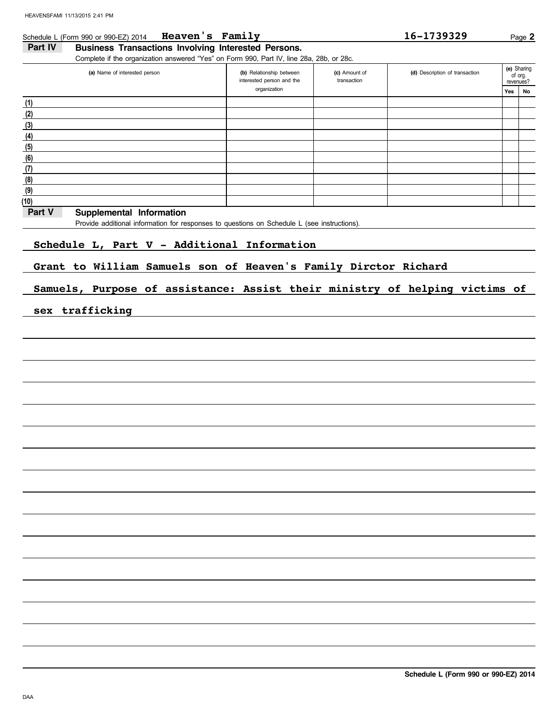#### Schedule L (Form 990 or 990-EZ) 2014 **Heaven's Family Example 2 16-1739329** Page 2 **Heaven's Family 16-1739329**

### Part IV Business Transactions Involving Interested Persons.

Complete if the organization answered "Yes" on Form 990, Part IV, line 28a, 28b, or 28c.

| (a) Name of interested person | (b) Relationship between<br>interested person and the | (c) Amount of<br>transaction | (d) Description of transaction |     | (e) Sharing<br>of org.<br>revenues? |
|-------------------------------|-------------------------------------------------------|------------------------------|--------------------------------|-----|-------------------------------------|
|                               | organization                                          |                              |                                | Yes | No                                  |
| (1)                           |                                                       |                              |                                |     |                                     |
| (2)                           |                                                       |                              |                                |     |                                     |
| (3)                           |                                                       |                              |                                |     |                                     |
| (4)                           |                                                       |                              |                                |     |                                     |
| (5)                           |                                                       |                              |                                |     |                                     |
| (6)                           |                                                       |                              |                                |     |                                     |
| (7)                           |                                                       |                              |                                |     |                                     |
| (8)                           |                                                       |                              |                                |     |                                     |
| (9)                           |                                                       |                              |                                |     |                                     |
| (10)                          |                                                       |                              |                                |     |                                     |

#### **Part V Supplemental Information**

Provide additional information for responses to questions on Schedule L (see instructions).

### **Schedule L, Part V - Additional Information**

#### **Grant to William Samuels son of Heaven's Family Dirctor Richard**

#### **Samuels, Purpose of assistance: Assist their ministry of helping victims of**

#### **sex trafficking**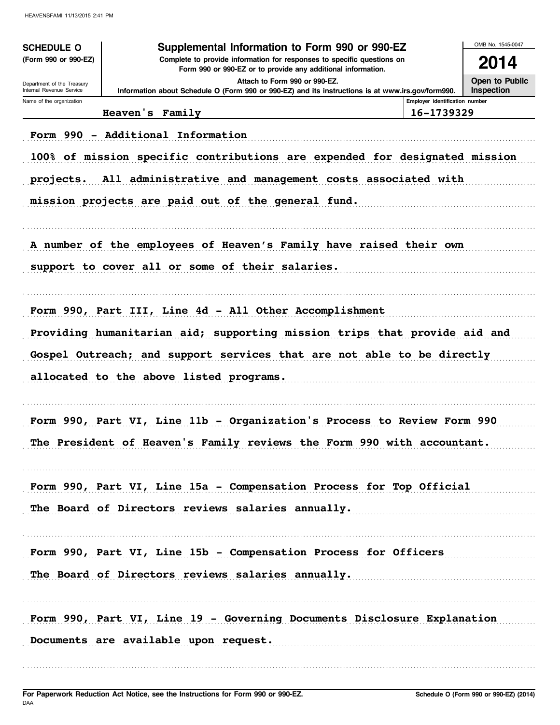| <b>SCHEDULE O</b>                                      | Supplemental Information to Form 990 or 990-EZ                                                                                         |                                | OMB No. 1545-0047                                    |
|--------------------------------------------------------|----------------------------------------------------------------------------------------------------------------------------------------|--------------------------------|------------------------------------------------------|
| (Form 990 or 990-EZ)                                   | Complete to provide information for responses to specific questions on<br>Form 990 or 990-EZ or to provide any additional information. |                                | 2014                                                 |
| Department of the Treasury<br>Internal Revenue Service | Attach to Form 990 or 990-EZ.<br>Information about Schedule O (Form 990 or 990-EZ) and its instructions is at www.irs.gov/form990.     |                                | Open to Public<br>Inspection                         |
| Name of the organization                               |                                                                                                                                        | Employer identification number |                                                      |
|                                                        | Heaven's Family                                                                                                                        | 16-1739329                     |                                                      |
|                                                        | Form 990 - Additional Information                                                                                                      |                                |                                                      |
|                                                        | 100% of mission specific contributions are expended for designated mission                                                             |                                |                                                      |
| projects.                                              | All administrative and management costs associated with                                                                                |                                |                                                      |
|                                                        | mission projects are paid out of the general fund.                                                                                     |                                |                                                      |
|                                                        | A number of the employees of Heaven's Family have raised their own                                                                     |                                |                                                      |
|                                                        | support to cover all or some of their salaries.                                                                                        |                                |                                                      |
|                                                        | Form 990, Part III, Line 4d - All Other Accomplishment                                                                                 |                                |                                                      |
|                                                        | Providing humanitarian aid; supporting mission trips that provide aid and                                                              |                                |                                                      |
|                                                        | Gospel Outreach; and support services that are not able to be directly                                                                 |                                |                                                      |
|                                                        | allocated to the above listed programs.                                                                                                |                                |                                                      |
|                                                        |                                                                                                                                        |                                |                                                      |
|                                                        | Form 990, Part VI, Line 11b - Organization's Process to Review Form 990                                                                |                                |                                                      |
|                                                        | The President of Heaven's Family reviews the Form 990 with accountant.                                                                 |                                |                                                      |
|                                                        | Form 990, Part VI, Line 15a - Compensation Process for Top Official                                                                    |                                |                                                      |
|                                                        | The Board of Directors reviews salaries annually.                                                                                      |                                |                                                      |
|                                                        |                                                                                                                                        |                                |                                                      |
|                                                        | Form 990, Part VI, Line 15b - Compensation Process for Officers                                                                        |                                | <u> 1999 - Johann Stoff, amerikansk fotograf i s</u> |
|                                                        | The Board of Directors reviews salaries annually.                                                                                      |                                |                                                      |
|                                                        |                                                                                                                                        |                                |                                                      |
|                                                        | Form 990, Part VI, Line 19 - Governing Documents Disclosure Explanation                                                                |                                |                                                      |
|                                                        | Documents are available upon request.                                                                                                  |                                |                                                      |
|                                                        |                                                                                                                                        |                                |                                                      |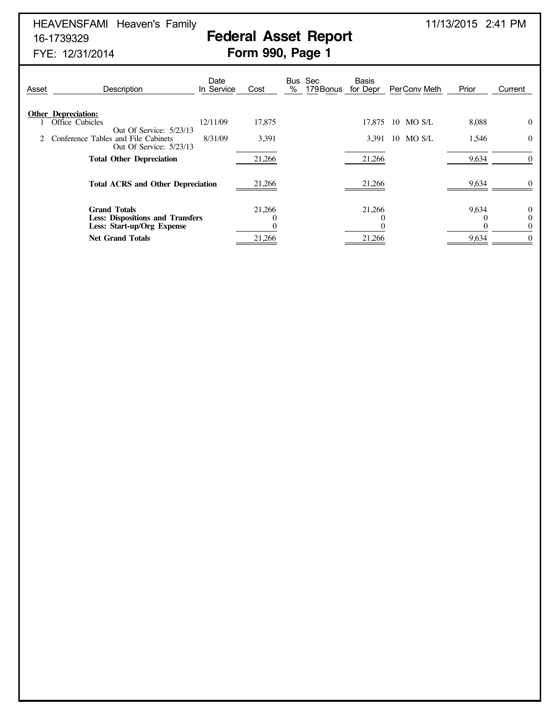HEAVENSFAMI Heaven's Family 2001 2:41 PM

# 16-1739329 **Federal Asset Report**

## FYE: 12/31/2014 **Form 990, Page 1**

| Asset | Description                                                                                  | Date<br>In Service | Cost   | Sec<br>Bus<br>$\%$<br>179 Bonus | Basis<br>for Depr | PerCony Meth     | Prior | Current                             |
|-------|----------------------------------------------------------------------------------------------|--------------------|--------|---------------------------------|-------------------|------------------|-------|-------------------------------------|
|       | <b>Other Depreciation:</b><br>Office Cubicles                                                | 12/11/09           | 17,875 |                                 |                   | 17.875 10 MO S/L | 8,088 | $\theta$                            |
|       | Out Of Service: 5/23/13<br>Conference Tables and File Cabinets<br>Out Of Service: 5/23/13    | 8/31/09            | 3,391  |                                 |                   | 3,391 10 MO S/L  | 1,546 | $\mathbf{0}$                        |
|       | <b>Total Other Depreciation</b>                                                              |                    | 21,266 |                                 | 21,266            |                  | 9,634 | $\theta$                            |
|       | <b>Total ACRS and Other Depreciation</b>                                                     |                    | 21,266 |                                 | 21,266            |                  | 9,634 |                                     |
|       | <b>Grand Totals</b><br><b>Less: Dispositions and Transfers</b><br>Less: Start-up/Org Expense |                    | 21,266 |                                 | 21,266            |                  | 9,634 | $\bf{0}$<br>$\mathbf 0$<br>$\Omega$ |
|       | <b>Net Grand Totals</b>                                                                      |                    | 21,266 |                                 | 21,266            |                  | 9,634 | $\Omega$                            |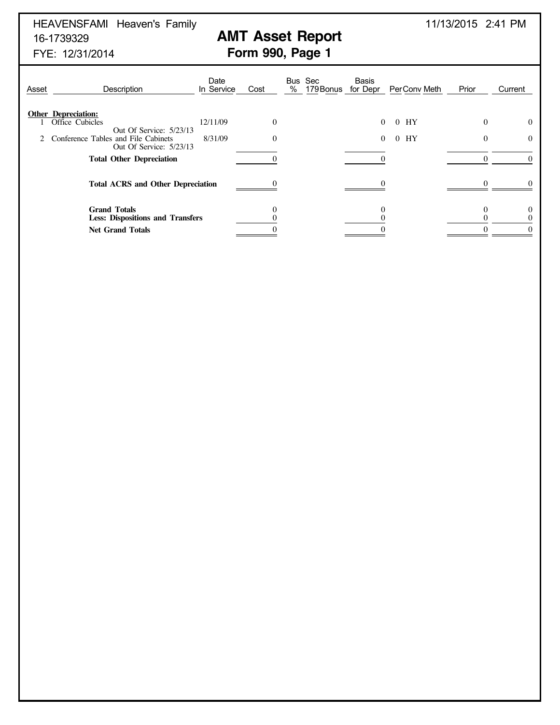# HEAVENSFAMI Heaven's Family 11/13/2015 2:41 PM 16-1739329 **AMT Asset Report**<br>FYE: 12/31/2014 **FYE: 12/31/2014**

# **Form 990, Page 1**

| Asset | Description                                                                                                     | Date<br>In Service  | Cost                       | Bus Sec<br>%<br>179 Bonus for Depr | Basis<br>Per Conv Meth                    | Prior         | Current              |
|-------|-----------------------------------------------------------------------------------------------------------------|---------------------|----------------------------|------------------------------------|-------------------------------------------|---------------|----------------------|
| 2     | <b>Other Depreciation:</b><br>Office Cubicles<br>Out Of Service: 5/23/13<br>Conference Tables and File Cabinets | 12/11/09<br>8/31/09 | $\overline{0}$<br>$\Omega$ |                                    | $0$ HY<br>$\Omega$<br>HY<br>0<br>$\Omega$ | $\Omega$<br>0 | $\Omega$<br>$\Omega$ |
|       | Out Of Service: 5/23/13<br><b>Total Other Depreciation</b>                                                      |                     |                            |                                    |                                           |               |                      |
|       | <b>Total ACRS and Other Depreciation</b>                                                                        |                     |                            |                                    |                                           |               |                      |
|       | <b>Grand Totals</b><br><b>Less: Dispositions and Transfers</b>                                                  |                     |                            |                                    |                                           |               |                      |
|       | <b>Net Grand Totals</b>                                                                                         |                     |                            |                                    |                                           |               |                      |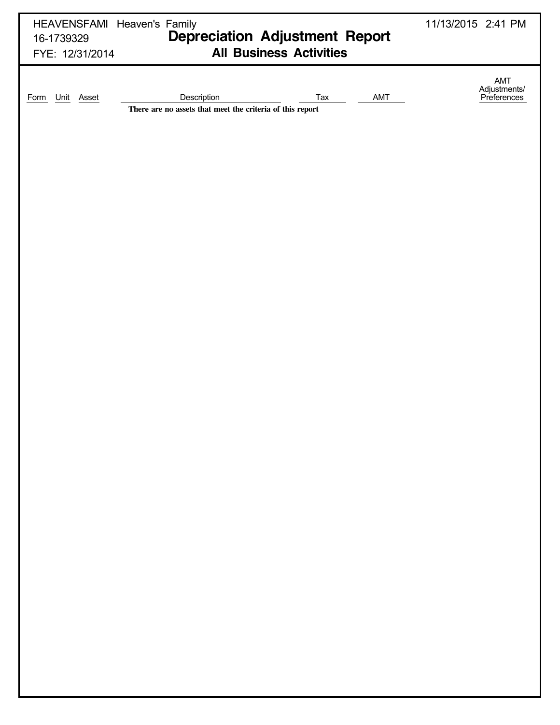| HEAVENSFAMI Heaven's Family<br>16-1739329    | 11/13/2015 2:41 PM                                                                                                       |                                    |
|----------------------------------------------|--------------------------------------------------------------------------------------------------------------------------|------------------------------------|
| FYE: 12/31/2014<br>Unit Asset<br><b>Form</b> | <b>All Business Activities</b><br>Description<br>Tax<br>AMT<br>There are no assets that meet the criteria of this report | AMT<br>Adjustments/<br>Preferences |
|                                              |                                                                                                                          |                                    |
|                                              |                                                                                                                          |                                    |
|                                              |                                                                                                                          |                                    |
|                                              |                                                                                                                          |                                    |
|                                              |                                                                                                                          |                                    |
|                                              |                                                                                                                          |                                    |
|                                              |                                                                                                                          |                                    |
|                                              |                                                                                                                          |                                    |
|                                              |                                                                                                                          |                                    |
|                                              |                                                                                                                          |                                    |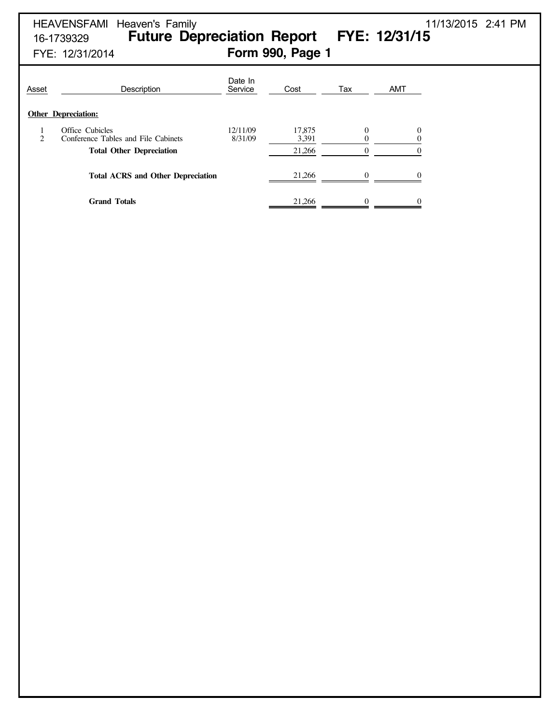# HEAVENSFAMI Heaven's Family 11/13/2015 2:41 PM 16-1739329 **Future Depreciation Report FYE: 12/31/15** FYE: 12/31/2014 **Form 990, Page 1**

| Asset                                    | Description                                            | Date In<br>Service  | Cost            | Tax      | <b>AMT</b> |  |
|------------------------------------------|--------------------------------------------------------|---------------------|-----------------|----------|------------|--|
|                                          | <b>Other Depreciation:</b>                             |                     |                 |          |            |  |
| $\mathcal{D}_{\mathcal{A}}$              | Office Cubicles<br>Conference Tables and File Cabinets | 12/11/09<br>8/31/09 | 17,875<br>3,391 | $\theta$ | $\theta$   |  |
|                                          | <b>Total Other Depreciation</b>                        |                     | 21,266          | $\Omega$ |            |  |
| <b>Total ACRS and Other Depreciation</b> |                                                        |                     | 21.266          | $\Omega$ |            |  |
|                                          | <b>Grand Totals</b>                                    |                     | 21,266          | $\Omega$ |            |  |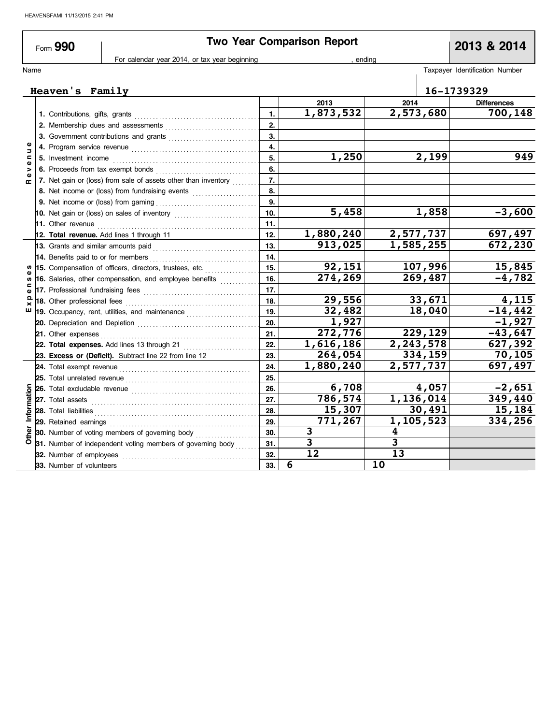| Form 990                      |                                               | <b>Two Year Comparison Report</b> |        | 2013 & 2014                    |  |
|-------------------------------|-----------------------------------------------|-----------------------------------|--------|--------------------------------|--|
|                               | For calendar year 2014, or tax year beginning |                                   | ending |                                |  |
| Name                          |                                               |                                   |        | Taxpayer Identification Number |  |
| 16-1739329<br>Heaven's Family |                                               |                                   |        |                                |  |
|                               |                                               | 2013                              | 2014   | <b>Differences</b>             |  |
|                               |                                               | - ---                             |        |                                |  |

|       |                                                                                                                                                                                                                                     | 1.  | 1,873,532 | 2,573,680 | 700,148   |
|-------|-------------------------------------------------------------------------------------------------------------------------------------------------------------------------------------------------------------------------------------|-----|-----------|-----------|-----------|
|       |                                                                                                                                                                                                                                     | 2.  |           |           |           |
|       |                                                                                                                                                                                                                                     | 3.  |           |           |           |
| Ξ     |                                                                                                                                                                                                                                     | 4.  |           |           |           |
|       | 5. Investment income                                                                                                                                                                                                                | 5.  | 1,250     | 2,199     | 949       |
|       | 6. Proceeds from tax exempt bonds                                                                                                                                                                                                   | 6.  |           |           |           |
| œ     | 7. Net gain or (loss) from sale of assets other than inventory                                                                                                                                                                      | 7.  |           |           |           |
|       | 8. Net income or (loss) from fundraising events                                                                                                                                                                                     | 8.  |           |           |           |
|       |                                                                                                                                                                                                                                     | 9.  |           |           |           |
|       |                                                                                                                                                                                                                                     | 10. | 5,458     | 1,858     | $-3,600$  |
|       | <b>11.</b> Other revenue                                                                                                                                                                                                            | 11. |           |           |           |
|       | 12. Total revenue. Add lines 1 through 11                                                                                                                                                                                           | 12. | 1,880,240 | 2,577,737 | 697,497   |
|       | 13. Grants and similar amounts paid                                                                                                                                                                                                 | 13. | 913,025   | 1,585,255 | 672,230   |
|       | 14. Benefits paid to or for members                                                                                                                                                                                                 | 14. |           |           |           |
|       | 15. Compensation of officers, directors, trustees, etc.                                                                                                                                                                             | 15. | 92,151    | 107,996   | 15,845    |
|       | 16. Salaries, other compensation, and employee benefits                                                                                                                                                                             | 16. | 274,269   | 269,487   | $-4,782$  |
|       |                                                                                                                                                                                                                                     | 17. |           |           |           |
|       | 18. Other professional fees                                                                                                                                                                                                         | 18. | 29,556    | 33,671    | 4,115     |
| ш     | 19. Occupancy, rent, utilities, and maintenance <i>maintenance</i>                                                                                                                                                                  | 19. | 32,482    | 18,040    | $-14,442$ |
|       |                                                                                                                                                                                                                                     | 20. | 1,927     |           | $-1,927$  |
|       | 21. Other expenses                                                                                                                                                                                                                  | 21. | 272,776   | 229,129   | $-43,647$ |
|       | 22. Total expenses. Add lines 13 through 21                                                                                                                                                                                         | 22. | 1,616,186 | 2,243,578 | 627,392   |
|       | 23. Excess or (Deficit). Subtract line 22 from line 12                                                                                                                                                                              | 23. | 264,054   | 334,159   | 70,105    |
|       |                                                                                                                                                                                                                                     | 24. | 1,880,240 | 2,577,737 | 697,497   |
|       | 25. Total unrelated revenue <i>communically</i> contained a set of the set of the set of the set of the set of the set of the set of the set of the set of the set of the set of the set of the set of the set of the set of the se | 25. |           |           |           |
|       | 26. Total excludable revenue <i>communically continued</i> and the set of the set of the set of the set of the set of the set of the set of the set of the set of the set of the set of the set of the set of the set of the set of | 26. | 6,708     | 4,057     | $-2,651$  |
|       | 27. Total assets                                                                                                                                                                                                                    | 27. | 786,574   | 1,136,014 | 349,440   |
| Infor |                                                                                                                                                                                                                                     | 28. | 15,307    | 30,491    | 15,184    |
|       | 29. Retained earnings                                                                                                                                                                                                               | 29. | 771,267   | 1,105,523 | 334,256   |
| Other | 30. Number of voting members of governing body                                                                                                                                                                                      | 30. | 3         | 4         |           |
|       | 31. Number of independent voting members of governing body                                                                                                                                                                          | 31. | 3         | 3         |           |
|       | 32. Number of employees                                                                                                                                                                                                             | 32. | 12        | 13        |           |
|       | 33. Number of volunteers                                                                                                                                                                                                            | 33. | 6         | 10        |           |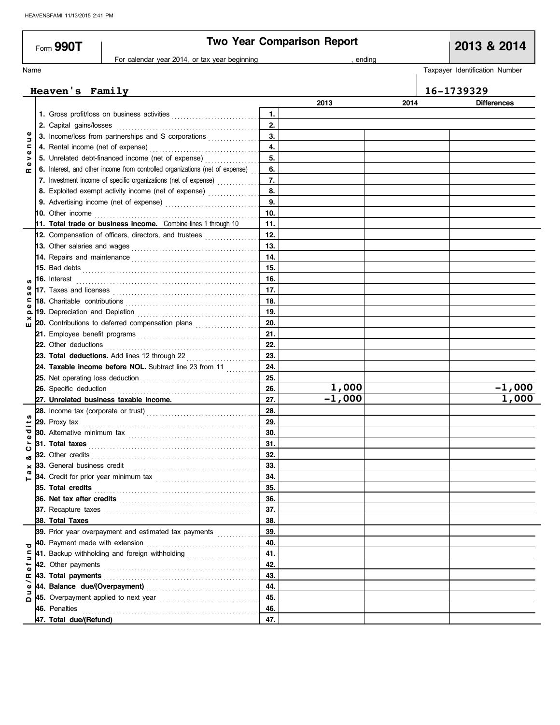|               | Form $990T$                        |                                                                                                                                                                                                                                           |          | <b>Two Year Comparison Report</b> |      | 2013 & 2014                    |
|---------------|------------------------------------|-------------------------------------------------------------------------------------------------------------------------------------------------------------------------------------------------------------------------------------------|----------|-----------------------------------|------|--------------------------------|
|               |                                    | For calendar year 2014, or tax year beginning                                                                                                                                                                                             |          | , ending                          |      |                                |
| Name          |                                    |                                                                                                                                                                                                                                           |          |                                   |      | Taxpayer Identification Number |
|               |                                    |                                                                                                                                                                                                                                           |          |                                   |      |                                |
|               | Heaven's Family                    |                                                                                                                                                                                                                                           |          |                                   |      | 16-1739329                     |
|               |                                    |                                                                                                                                                                                                                                           |          | 2013                              | 2014 | <b>Differences</b>             |
|               |                                    |                                                                                                                                                                                                                                           | 1.<br>2. |                                   |      |                                |
|               | 2. Capital gains/losses            | 3. Income/loss from partnerships and S corporations                                                                                                                                                                                       | 3.       |                                   |      |                                |
| Ξ<br>c        |                                    |                                                                                                                                                                                                                                           | 4.       |                                   |      |                                |
| $\omega$<br>> |                                    | 5. Unrelated debt-financed income (net of expense)                                                                                                                                                                                        | 5.       |                                   |      |                                |
|               |                                    | 6. Interest, and other income from controlled organizations (net of expense)                                                                                                                                                              | 6.       |                                   |      |                                |
| œ             |                                    | 7. Investment income of specific organizations (net of expense)                                                                                                                                                                           | 7.       |                                   |      |                                |
|               |                                    | 8. Exploited exempt activity income (net of expense)                                                                                                                                                                                      | 8.       |                                   |      |                                |
|               |                                    |                                                                                                                                                                                                                                           | 9.       |                                   |      |                                |
|               | 10. Other income                   |                                                                                                                                                                                                                                           | 10.      |                                   |      |                                |
|               |                                    | 11. Total trade or business income. Combine lines 1 through 10                                                                                                                                                                            | 11.      |                                   |      |                                |
|               |                                    | 12. Compensation of officers, directors, and trustees                                                                                                                                                                                     | 12.      |                                   |      |                                |
|               | 13. Other salaries and wages       |                                                                                                                                                                                                                                           | 13.      |                                   |      |                                |
|               |                                    |                                                                                                                                                                                                                                           | 14.      |                                   |      |                                |
|               |                                    |                                                                                                                                                                                                                                           | 15.      |                                   |      |                                |
|               |                                    | <b>16.</b> Interest <b>Construction 16.</b> Interest                                                                                                                                                                                      | 16.      |                                   |      |                                |
|               |                                    | 17. Taxes and licenses $\ldots \ldots \ldots \ldots \ldots \ldots \ldots \ldots \ldots \ldots \ldots \ldots$                                                                                                                              | 17.      |                                   |      |                                |
|               |                                    |                                                                                                                                                                                                                                           | 18.      |                                   |      |                                |
| ௨             | 19. Depreciation and Depletion     |                                                                                                                                                                                                                                           | 19.      |                                   |      |                                |
| ш             |                                    | 20. Contributions to deferred compensation plans                                                                                                                                                                                          | 20.      |                                   |      |                                |
|               |                                    |                                                                                                                                                                                                                                           | 21.      |                                   |      |                                |
|               | 22. Other deductions               |                                                                                                                                                                                                                                           | 22.      |                                   |      |                                |
|               |                                    | 23. Total deductions. Add lines 12 through 22                                                                                                                                                                                             | 23.      |                                   |      |                                |
|               |                                    | 24. Taxable income before NOL. Subtract line 23 from 11                                                                                                                                                                                   | 24.      |                                   |      |                                |
|               |                                    |                                                                                                                                                                                                                                           | 25.      |                                   |      |                                |
|               | 26. Specific deduction             |                                                                                                                                                                                                                                           | 26.      | 1,000                             |      | $-1,000$                       |
|               |                                    | 27. Unrelated business taxable income.                                                                                                                                                                                                    | 27.      | $-1,000$                          |      | 1,000                          |
|               |                                    |                                                                                                                                                                                                                                           | 28.      |                                   |      |                                |
|               |                                    |                                                                                                                                                                                                                                           | 29.      |                                   |      |                                |
| ਠ             | <b>30.</b> Alternative minimum tax |                                                                                                                                                                                                                                           | 30.      |                                   |      |                                |
|               | 31. Total taxes                    |                                                                                                                                                                                                                                           | 31.      |                                   |      |                                |
| ပ<br>య        | 32. Other credits                  |                                                                                                                                                                                                                                           | 32.      |                                   |      |                                |
| ×             |                                    | <b>33.</b> General business credit <b>container and the set of the set of the set of the set of the set of the set of the set of the set of the set of the set of the set of the set of the set of the set of the set of the set of t</b> | 33.      |                                   |      |                                |
|               |                                    |                                                                                                                                                                                                                                           | 34.      |                                   |      |                                |
|               | 35. Total credits                  |                                                                                                                                                                                                                                           | 35.      |                                   |      |                                |
|               |                                    |                                                                                                                                                                                                                                           | 36.      |                                   |      |                                |
|               |                                    |                                                                                                                                                                                                                                           | 37.      |                                   |      |                                |
|               | 38. Total Taxes                    |                                                                                                                                                                                                                                           | 38.      |                                   |      |                                |
|               |                                    | 39. Prior year overpayment and estimated tax payments                                                                                                                                                                                     | 39.      |                                   |      |                                |
|               | 40. Payment made with extension    |                                                                                                                                                                                                                                           | 40.      |                                   |      |                                |
| ∍             |                                    | 41. Backup withholding and foreign withholding                                                                                                                                                                                            | 41.      |                                   |      |                                |
|               |                                    |                                                                                                                                                                                                                                           | 42.      |                                   |      |                                |
| œ             | 43. Total payments                 |                                                                                                                                                                                                                                           | 43.      |                                   |      |                                |
| Φ             |                                    |                                                                                                                                                                                                                                           | 44.      |                                   |      |                                |
| $\Omega$      |                                    | 45. Overpayment applied to next year <i>[100]</i> contains the contract of the set of the set of the set of the set of the set of the set of the set of the set of the set of the set of the set of the set of the set of the set o       | 45.      |                                   |      |                                |
|               | 46. Penalties                      |                                                                                                                                                                                                                                           | 46.      |                                   |      |                                |
|               | 47. Total due/(Refund)             |                                                                                                                                                                                                                                           | 47.      |                                   |      |                                |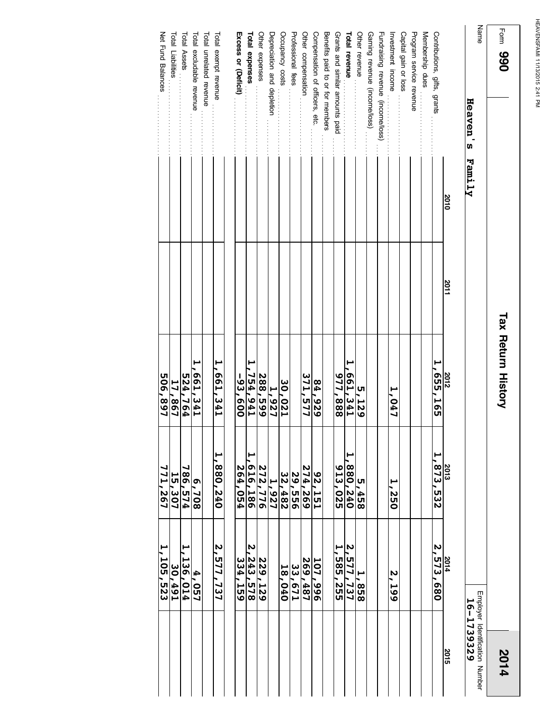| Form 990                     |      |                  | <b>Tax Return History</b> |                          |                          | 2014                                                |
|------------------------------|------|------------------|---------------------------|--------------------------|--------------------------|-----------------------------------------------------|
| Name<br>Heaven's Family      |      |                  |                           |                          |                          | Employer Identification Number<br><b>16-1739329</b> |
|                              | 2010 | $\frac{2011}{1}$ |                           |                          |                          | <b>SO15</b>                                         |
| Contributions, gifts, grants |      |                  | $\frac{2012}{1,655,165}$  | $\frac{2013}{1,873,532}$ | $\frac{2014}{2,573,680}$ |                                                     |
| Membership dues              |      |                  |                           |                          |                          |                                                     |

|                                   | 2010 | 2011 | 2012         | 2013          | 2014                     | 2015 |
|-----------------------------------|------|------|--------------|---------------|--------------------------|------|
| Contributions, gifts, grants      |      |      | 1,655,165    | 1,873,532     | 2,573,680                |      |
| Membership dues                   |      |      |              |               |                          |      |
| Program service revenue           |      |      |              |               |                          |      |
| Capital gain or loss              |      |      |              |               |                          |      |
| Investment income                 |      |      | 1,047        | 1,250         | N<br>599                 |      |
| Fundraising revenue (income/loss) |      |      |              |               |                          |      |
| Gaming revenue (income/loss)      |      |      |              |               |                          |      |
| Other revenue                     |      |      | <b>5,129</b> | 5,458         | 1,858                    |      |
| <b>Total revenue</b>              |      |      | 1,661,341    | 880, 240      | 2,577,737                |      |
| Grants and similar amounts paid   |      |      | 977,888      | 913,025       | $\frac{1}{1}$ , 585, 255 |      |
| Benefits paid to or for members   |      |      |              |               |                          |      |
| Compensation of officers, etc.    |      |      | 84,929       | <b>92,151</b> | 107,996                  |      |
| Other compensation                |      |      | 371,577      | 274,269       | 269,487                  |      |
| Professional fees                 |      |      |              | 29,556        | 33,671                   |      |
| Occupancy costs                   |      |      | 30,021       | 32,482        | 18,040                   |      |
| Depreciation and depletion        |      |      | 1,927        | 1,927         |                          |      |
| Other expenses                    |      |      | 288,599      | 272,776       | 229,129                  |      |
| Total expenses                    |      |      | 1,754,941    | 616,186       | 2,243,578                |      |
| Excess or (Deficit)               |      |      | -93,600      | 264,054       | 334,<br><b>SSP</b>       |      |
| Total exempt revenue              |      |      | 1,661,541    | 1,880,240     | 2,577,737                |      |
| Total unrelated revenue           |      |      |              |               |                          |      |
| Total excludable revenue          |      |      | 1,661,541    | 802'9         | 4,057                    |      |
| Total Assets                      |      |      | 524,764      | 786,574       | 1,136,014                |      |
| Total Liabilities                 |      |      | 17,867       | 15,307        | 30,491                   |      |
| Net Fund Balances                 |      |      | 506,897      | 771,267       | 1,105,523                |      |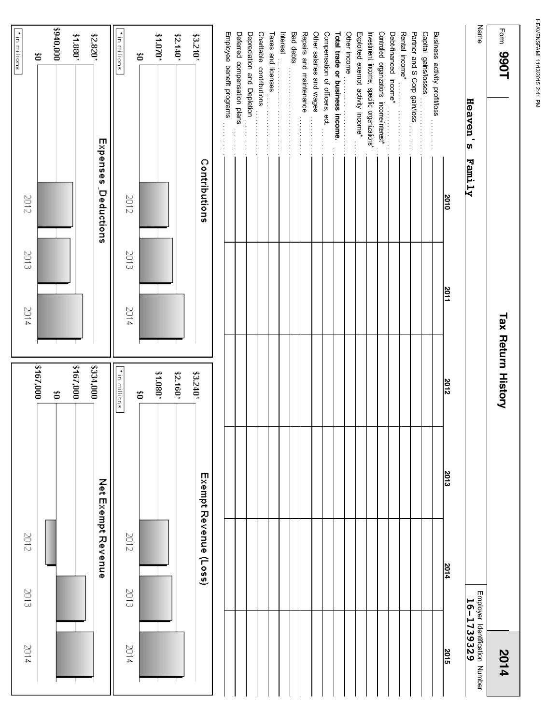|                                              | Exempt Revenue (Loss) |      | \$3.240*                  |      | Contributions |                                                                                                                                                 | \$3.210*             |
|----------------------------------------------|-----------------------|------|---------------------------|------|---------------|-------------------------------------------------------------------------------------------------------------------------------------------------|----------------------|
|                                              |                       |      |                           |      |               |                                                                                                                                                 |                      |
|                                              |                       |      |                           |      |               | Employee benefit programs                                                                                                                       |                      |
|                                              |                       |      |                           |      |               | Deferred compensation plans                                                                                                                     |                      |
|                                              |                       |      |                           |      |               | Depreciation and Depletion                                                                                                                      |                      |
|                                              |                       |      |                           |      |               | Charitable contributions                                                                                                                        |                      |
|                                              |                       |      |                           |      |               | $\overline{I}$ axes and licenses                                                                                                                |                      |
|                                              |                       |      |                           |      |               |                                                                                                                                                 |                      |
|                                              |                       |      |                           |      |               |                                                                                                                                                 |                      |
|                                              |                       |      |                           |      |               | Repairs and maintenance                                                                                                                         |                      |
|                                              |                       |      |                           |      |               | Other salaries and wages                                                                                                                        |                      |
|                                              |                       |      |                           |      |               | Compensation of officers, ect.                                                                                                                  |                      |
|                                              |                       |      |                           |      |               | community of property and trade or business income.                                                                                             |                      |
|                                              |                       |      |                           |      |               |                                                                                                                                                 | Other income         |
|                                              |                       |      |                           |      |               | Exploited exempt activity income*                                                                                                               |                      |
|                                              |                       |      |                           |      |               | Investment income, specific organizations*                                                                                                      |                      |
|                                              |                       |      |                           |      |               | Controlled organizations income/interest*                                                                                                       |                      |
|                                              |                       |      |                           |      |               | Debt-financed income*<br>Debt-financed income*                                                                                                  |                      |
|                                              |                       |      |                           |      |               |                                                                                                                                                 | Rental income*       |
|                                              |                       |      |                           |      |               | Partner and S Corp gain/loss<br>$\begin{array}{c} \bullet & \bullet \\ \bullet & \bullet \\ \bullet & \bullet \\ \bullet & \bullet \end{array}$ |                      |
|                                              |                       |      |                           |      |               |                                                                                                                                                 | Capital gains/losses |
|                                              |                       |      |                           |      |               | Business activity profit/loss                                                                                                                   |                      |
| 2015                                         | 2014                  | 2013 | 2012                      | 2011 | 2010          |                                                                                                                                                 |                      |
| Employer Identification Number<br>16-1739329 |                       |      |                           |      |               | Heaven's Family                                                                                                                                 | Name                 |
| 2014                                         |                       |      | <b>Tax Return History</b> |      |               |                                                                                                                                                 | Form 990T            |